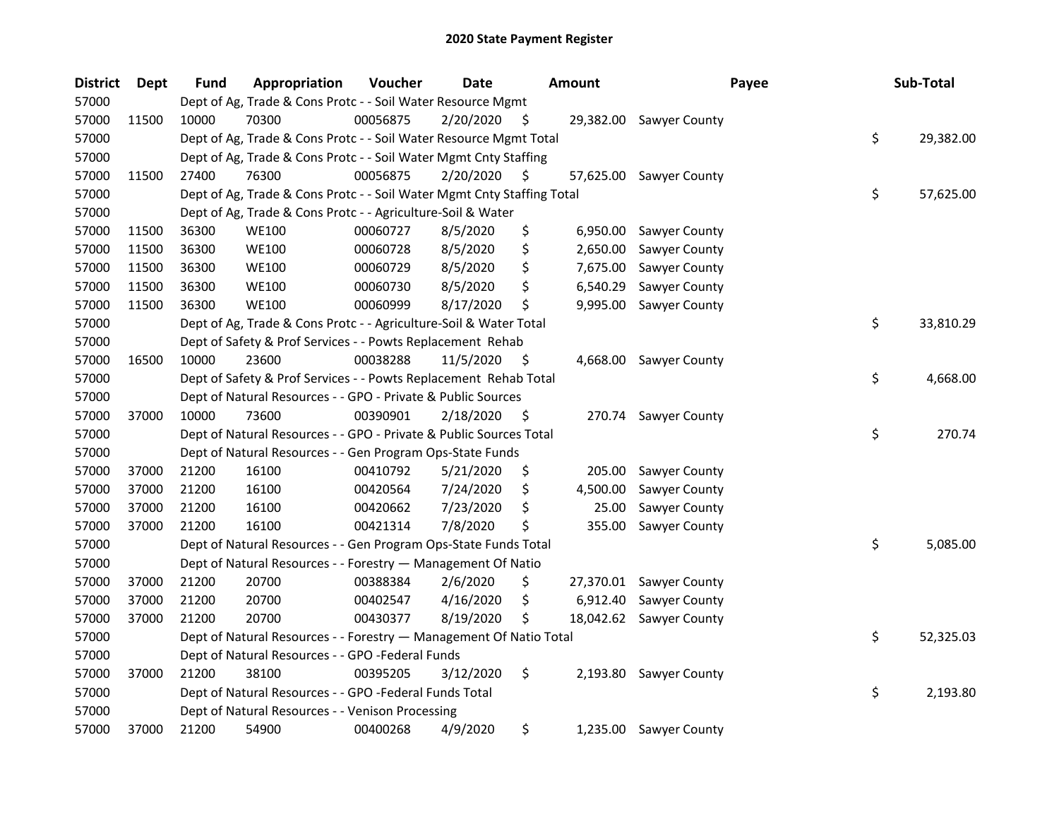| <b>District</b> | Dept  | <b>Fund</b> | Appropriation                                                          | Voucher  | <b>Date</b> |     | <b>Amount</b> | Payee                   | Sub-Total       |
|-----------------|-------|-------------|------------------------------------------------------------------------|----------|-------------|-----|---------------|-------------------------|-----------------|
| 57000           |       |             | Dept of Ag, Trade & Cons Protc - - Soil Water Resource Mgmt            |          |             |     |               |                         |                 |
| 57000           | 11500 | 10000       | 70300                                                                  | 00056875 | 2/20/2020   | S   |               | 29,382.00 Sawyer County |                 |
| 57000           |       |             | Dept of Ag, Trade & Cons Protc - - Soil Water Resource Mgmt Total      |          |             |     |               |                         | \$<br>29,382.00 |
| 57000           |       |             | Dept of Ag, Trade & Cons Protc - - Soil Water Mgmt Cnty Staffing       |          |             |     |               |                         |                 |
| 57000           | 11500 | 27400       | 76300                                                                  | 00056875 | 2/20/2020   | \$. |               | 57,625.00 Sawyer County |                 |
| 57000           |       |             | Dept of Ag, Trade & Cons Protc - - Soil Water Mgmt Cnty Staffing Total |          |             |     |               |                         | \$<br>57,625.00 |
| 57000           |       |             | Dept of Ag, Trade & Cons Protc - - Agriculture-Soil & Water            |          |             |     |               |                         |                 |
| 57000           | 11500 | 36300       | <b>WE100</b>                                                           | 00060727 | 8/5/2020    | \$  | 6,950.00      | Sawyer County           |                 |
| 57000           | 11500 | 36300       | <b>WE100</b>                                                           | 00060728 | 8/5/2020    | \$  | 2,650.00      | Sawyer County           |                 |
| 57000           | 11500 | 36300       | <b>WE100</b>                                                           | 00060729 | 8/5/2020    | \$  | 7,675.00      | Sawyer County           |                 |
| 57000           | 11500 | 36300       | <b>WE100</b>                                                           | 00060730 | 8/5/2020    | \$  | 6,540.29      | Sawyer County           |                 |
| 57000           | 11500 | 36300       | <b>WE100</b>                                                           | 00060999 | 8/17/2020   | \$  | 9,995.00      | <b>Sawyer County</b>    |                 |
| 57000           |       |             | Dept of Ag, Trade & Cons Protc - - Agriculture-Soil & Water Total      |          |             |     |               |                         | \$<br>33,810.29 |
| 57000           |       |             | Dept of Safety & Prof Services - - Powts Replacement Rehab             |          |             |     |               |                         |                 |
| 57000           | 16500 | 10000       | 23600                                                                  | 00038288 | 11/5/2020   | Ş   |               | 4,668.00 Sawyer County  |                 |
| 57000           |       |             | Dept of Safety & Prof Services - - Powts Replacement Rehab Total       |          |             |     |               |                         | \$<br>4,668.00  |
| 57000           |       |             | Dept of Natural Resources - - GPO - Private & Public Sources           |          |             |     |               |                         |                 |
| 57000           | 37000 | 10000       | 73600                                                                  | 00390901 | 2/18/2020   | \$. |               | 270.74 Sawyer County    |                 |
| 57000           |       |             | Dept of Natural Resources - - GPO - Private & Public Sources Total     |          |             |     |               |                         | \$<br>270.74    |
| 57000           |       |             | Dept of Natural Resources - - Gen Program Ops-State Funds              |          |             |     |               |                         |                 |
| 57000           | 37000 | 21200       | 16100                                                                  | 00410792 | 5/21/2020   | \$  | 205.00        | Sawyer County           |                 |
| 57000           | 37000 | 21200       | 16100                                                                  | 00420564 | 7/24/2020   | \$  | 4,500.00      | Sawyer County           |                 |
| 57000           | 37000 | 21200       | 16100                                                                  | 00420662 | 7/23/2020   | \$  | 25.00         | Sawyer County           |                 |
| 57000           | 37000 | 21200       | 16100                                                                  | 00421314 | 7/8/2020    | \$  | 355.00        | <b>Sawyer County</b>    |                 |
| 57000           |       |             | Dept of Natural Resources - - Gen Program Ops-State Funds Total        |          |             |     |               |                         | \$<br>5,085.00  |
| 57000           |       |             | Dept of Natural Resources - - Forestry - Management Of Natio           |          |             |     |               |                         |                 |
| 57000           | 37000 | 21200       | 20700                                                                  | 00388384 | 2/6/2020    | \$  |               | 27,370.01 Sawyer County |                 |
| 57000           | 37000 | 21200       | 20700                                                                  | 00402547 | 4/16/2020   | \$  | 6,912.40      | Sawyer County           |                 |
| 57000           | 37000 | 21200       | 20700                                                                  | 00430377 | 8/19/2020   | \$  | 18,042.62     | Sawyer County           |                 |
| 57000           |       |             | Dept of Natural Resources - - Forestry - Management Of Natio Total     |          |             |     |               |                         | \$<br>52,325.03 |
| 57000           |       |             | Dept of Natural Resources - - GPO -Federal Funds                       |          |             |     |               |                         |                 |
| 57000           | 37000 | 21200       | 38100                                                                  | 00395205 | 3/12/2020   | \$  |               | 2,193.80 Sawyer County  |                 |
| 57000           |       |             | Dept of Natural Resources - - GPO -Federal Funds Total                 |          |             |     |               |                         | \$<br>2,193.80  |
| 57000           |       |             | Dept of Natural Resources - - Venison Processing                       |          |             |     |               |                         |                 |
| 57000           | 37000 | 21200       | 54900                                                                  | 00400268 | 4/9/2020    | \$  |               | 1,235.00 Sawyer County  |                 |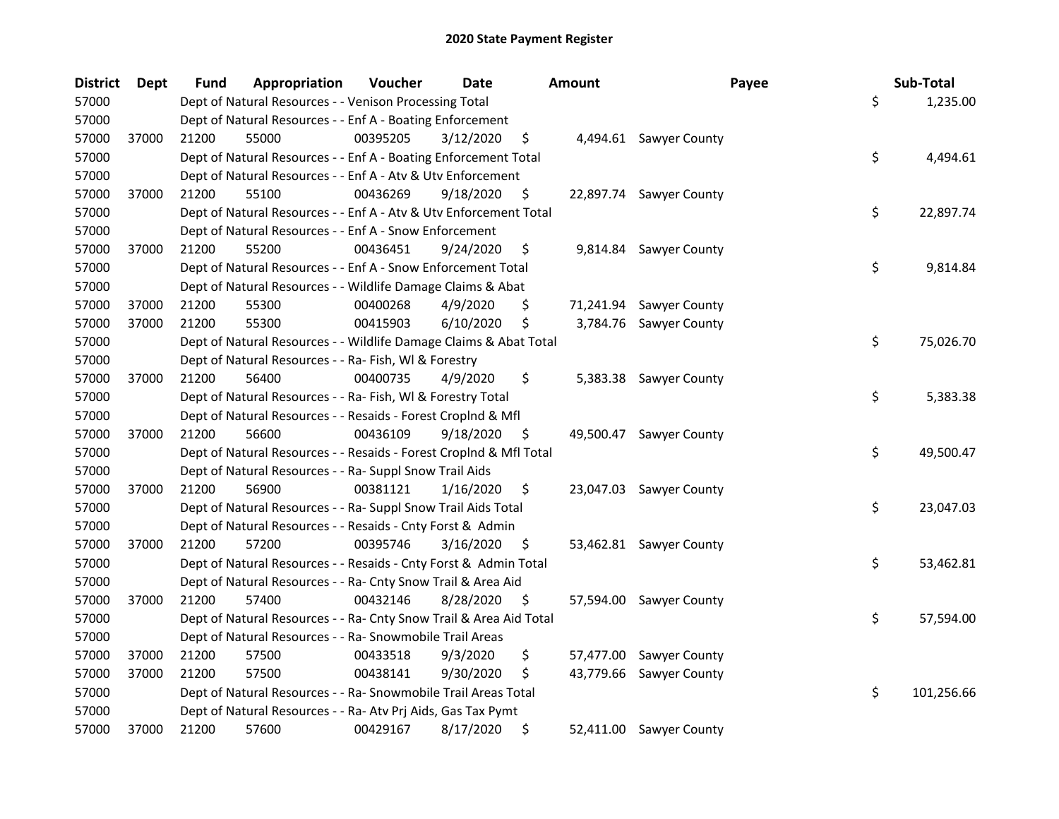| <b>District</b> | <b>Dept</b> | <b>Fund</b> | Appropriation                                                      | Voucher  | Date      |     | <b>Amount</b> | Payee                   | Sub-Total        |
|-----------------|-------------|-------------|--------------------------------------------------------------------|----------|-----------|-----|---------------|-------------------------|------------------|
| 57000           |             |             | Dept of Natural Resources - - Venison Processing Total             |          |           |     |               |                         | \$<br>1,235.00   |
| 57000           |             |             | Dept of Natural Resources - - Enf A - Boating Enforcement          |          |           |     |               |                         |                  |
| 57000           | 37000       | 21200       | 55000                                                              | 00395205 | 3/12/2020 | \$  |               | 4,494.61 Sawyer County  |                  |
| 57000           |             |             | Dept of Natural Resources - - Enf A - Boating Enforcement Total    |          |           |     |               |                         | \$<br>4,494.61   |
| 57000           |             |             | Dept of Natural Resources - - Enf A - Atv & Utv Enforcement        |          |           |     |               |                         |                  |
| 57000           | 37000       | 21200       | 55100                                                              | 00436269 | 9/18/2020 | \$  |               | 22,897.74 Sawyer County |                  |
| 57000           |             |             | Dept of Natural Resources - - Enf A - Atv & Utv Enforcement Total  |          |           |     |               |                         | \$<br>22,897.74  |
| 57000           |             |             | Dept of Natural Resources - - Enf A - Snow Enforcement             |          |           |     |               |                         |                  |
| 57000           | 37000       | 21200       | 55200                                                              | 00436451 | 9/24/2020 | \$  |               | 9,814.84 Sawyer County  |                  |
| 57000           |             |             | Dept of Natural Resources - - Enf A - Snow Enforcement Total       |          |           |     |               |                         | \$<br>9,814.84   |
| 57000           |             |             | Dept of Natural Resources - - Wildlife Damage Claims & Abat        |          |           |     |               |                         |                  |
| 57000           | 37000       | 21200       | 55300                                                              | 00400268 | 4/9/2020  | \$  |               | 71,241.94 Sawyer County |                  |
| 57000           | 37000       | 21200       | 55300                                                              | 00415903 | 6/10/2020 | \$  |               | 3,784.76 Sawyer County  |                  |
| 57000           |             |             | Dept of Natural Resources - - Wildlife Damage Claims & Abat Total  |          |           |     |               |                         | \$<br>75,026.70  |
| 57000           |             |             | Dept of Natural Resources - - Ra- Fish, WI & Forestry              |          |           |     |               |                         |                  |
| 57000           | 37000       | 21200       | 56400                                                              | 00400735 | 4/9/2020  | \$  |               | 5,383.38 Sawyer County  |                  |
| 57000           |             |             | Dept of Natural Resources - - Ra- Fish, WI & Forestry Total        |          |           |     |               |                         | \$<br>5,383.38   |
| 57000           |             |             | Dept of Natural Resources - - Resaids - Forest Croplnd & Mfl       |          |           |     |               |                         |                  |
| 57000           | 37000       | 21200       | 56600                                                              | 00436109 | 9/18/2020 | \$  |               | 49,500.47 Sawyer County |                  |
| 57000           |             |             | Dept of Natural Resources - - Resaids - Forest CropInd & Mfl Total |          |           |     |               |                         | \$<br>49,500.47  |
| 57000           |             |             | Dept of Natural Resources - - Ra- Suppl Snow Trail Aids            |          |           |     |               |                         |                  |
| 57000           | 37000       | 21200       | 56900                                                              | 00381121 | 1/16/2020 | \$  |               | 23,047.03 Sawyer County |                  |
| 57000           |             |             | Dept of Natural Resources - - Ra- Suppl Snow Trail Aids Total      |          |           |     |               |                         | \$<br>23,047.03  |
| 57000           |             |             | Dept of Natural Resources - - Resaids - Cnty Forst & Admin         |          |           |     |               |                         |                  |
| 57000           | 37000       | 21200       | 57200                                                              | 00395746 | 3/16/2020 | \$. |               | 53,462.81 Sawyer County |                  |
| 57000           |             |             | Dept of Natural Resources - - Resaids - Cnty Forst & Admin Total   |          |           |     |               |                         | \$<br>53,462.81  |
| 57000           |             |             | Dept of Natural Resources - - Ra- Cnty Snow Trail & Area Aid       |          |           |     |               |                         |                  |
| 57000           | 37000       | 21200       | 57400                                                              | 00432146 | 8/28/2020 | S   |               | 57,594.00 Sawyer County |                  |
| 57000           |             |             | Dept of Natural Resources - - Ra- Cnty Snow Trail & Area Aid Total |          |           |     |               |                         | \$<br>57,594.00  |
| 57000           |             |             | Dept of Natural Resources - - Ra- Snowmobile Trail Areas           |          |           |     |               |                         |                  |
| 57000           | 37000       | 21200       | 57500                                                              | 00433518 | 9/3/2020  | \$  |               | 57,477.00 Sawyer County |                  |
| 57000           | 37000       | 21200       | 57500                                                              | 00438141 | 9/30/2020 | \$  |               | 43,779.66 Sawyer County |                  |
| 57000           |             |             | Dept of Natural Resources - - Ra- Snowmobile Trail Areas Total     |          |           |     |               |                         | \$<br>101,256.66 |
| 57000           |             |             | Dept of Natural Resources - - Ra- Atv Prj Aids, Gas Tax Pymt       |          |           |     |               |                         |                  |
| 57000           | 37000       | 21200       | 57600                                                              | 00429167 | 8/17/2020 | \$  |               | 52,411.00 Sawyer County |                  |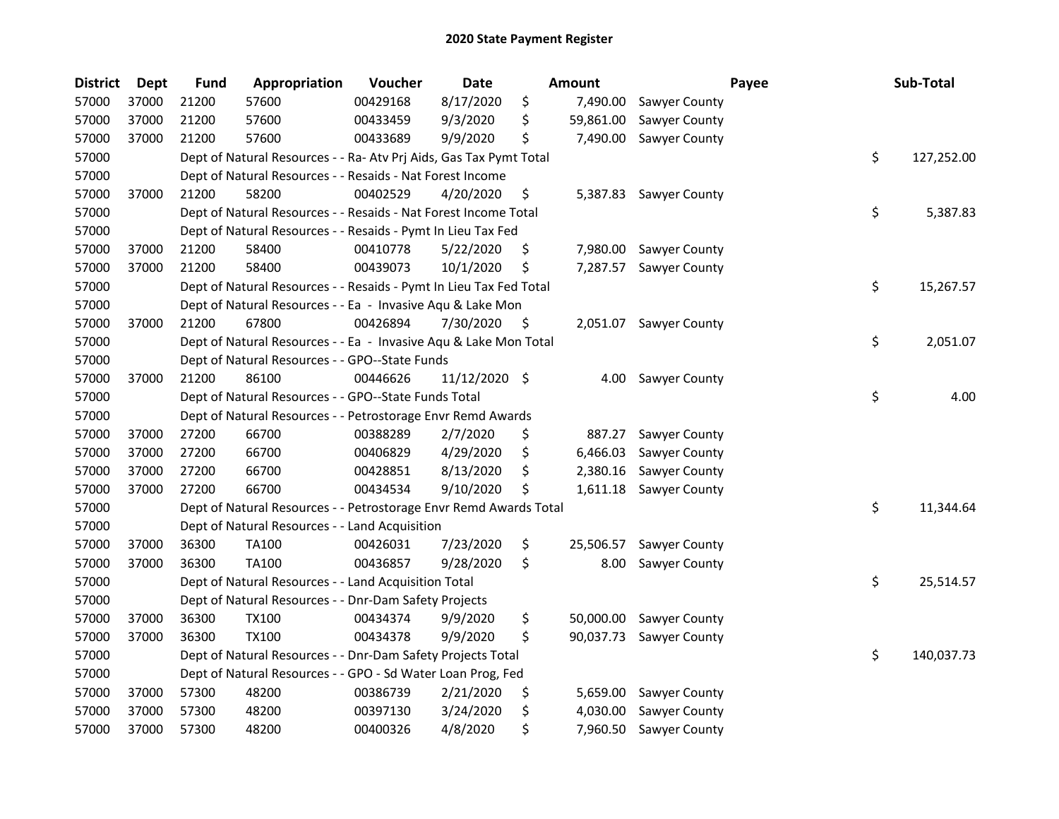| <b>District</b> | <b>Dept</b> | <b>Fund</b> | Appropriation                                                      | Voucher  | <b>Date</b>   |    | <b>Amount</b> |                        | Payee | Sub-Total        |
|-----------------|-------------|-------------|--------------------------------------------------------------------|----------|---------------|----|---------------|------------------------|-------|------------------|
| 57000           | 37000       | 21200       | 57600                                                              | 00429168 | 8/17/2020     | \$ | 7,490.00      | Sawyer County          |       |                  |
| 57000           | 37000       | 21200       | 57600                                                              | 00433459 | 9/3/2020      | \$ | 59,861.00     | Sawyer County          |       |                  |
| 57000           | 37000       | 21200       | 57600                                                              | 00433689 | 9/9/2020      | \$ | 7,490.00      | Sawyer County          |       |                  |
| 57000           |             |             | Dept of Natural Resources - - Ra- Atv Prj Aids, Gas Tax Pymt Total |          |               |    |               |                        |       | \$<br>127,252.00 |
| 57000           |             |             | Dept of Natural Resources - - Resaids - Nat Forest Income          |          |               |    |               |                        |       |                  |
| 57000           | 37000       | 21200       | 58200                                                              | 00402529 | 4/20/2020     | \$ |               | 5,387.83 Sawyer County |       |                  |
| 57000           |             |             | Dept of Natural Resources - - Resaids - Nat Forest Income Total    |          |               |    |               |                        |       | \$<br>5,387.83   |
| 57000           |             |             | Dept of Natural Resources - - Resaids - Pymt In Lieu Tax Fed       |          |               |    |               |                        |       |                  |
| 57000           | 37000       | 21200       | 58400                                                              | 00410778 | 5/22/2020     | \$ | 7,980.00      | Sawyer County          |       |                  |
| 57000           | 37000       | 21200       | 58400                                                              | 00439073 | 10/1/2020     | \$ | 7,287.57      | Sawyer County          |       |                  |
| 57000           |             |             | Dept of Natural Resources - - Resaids - Pymt In Lieu Tax Fed Total |          |               |    |               |                        |       | \$<br>15,267.57  |
| 57000           |             |             | Dept of Natural Resources - - Ea - Invasive Aqu & Lake Mon         |          |               |    |               |                        |       |                  |
| 57000           | 37000       | 21200       | 67800                                                              | 00426894 | 7/30/2020     | \$ | 2,051.07      | Sawyer County          |       |                  |
| 57000           |             |             | Dept of Natural Resources - - Ea - Invasive Aqu & Lake Mon Total   |          |               |    |               |                        |       | \$<br>2,051.07   |
| 57000           |             |             | Dept of Natural Resources - - GPO--State Funds                     |          |               |    |               |                        |       |                  |
| 57000           | 37000       | 21200       | 86100                                                              | 00446626 | 11/12/2020 \$ |    | 4.00          | Sawyer County          |       |                  |
| 57000           |             |             | Dept of Natural Resources - - GPO--State Funds Total               |          |               |    |               |                        |       | \$<br>4.00       |
| 57000           |             |             | Dept of Natural Resources - - Petrostorage Envr Remd Awards        |          |               |    |               |                        |       |                  |
| 57000           | 37000       | 27200       | 66700                                                              | 00388289 | 2/7/2020      | \$ | 887.27        | Sawyer County          |       |                  |
| 57000           | 37000       | 27200       | 66700                                                              | 00406829 | 4/29/2020     | \$ | 6,466.03      | Sawyer County          |       |                  |
| 57000           | 37000       | 27200       | 66700                                                              | 00428851 | 8/13/2020     | \$ | 2,380.16      | Sawyer County          |       |                  |
| 57000           | 37000       | 27200       | 66700                                                              | 00434534 | 9/10/2020     | S  | 1,611.18      | Sawyer County          |       |                  |
| 57000           |             |             | Dept of Natural Resources - - Petrostorage Envr Remd Awards Total  |          |               |    |               |                        |       | \$<br>11,344.64  |
| 57000           |             |             | Dept of Natural Resources - - Land Acquisition                     |          |               |    |               |                        |       |                  |
| 57000           | 37000       | 36300       | <b>TA100</b>                                                       | 00426031 | 7/23/2020     | \$ | 25,506.57     | Sawyer County          |       |                  |
| 57000           | 37000       | 36300       | <b>TA100</b>                                                       | 00436857 | 9/28/2020     | \$ | 8.00          | Sawyer County          |       |                  |
| 57000           |             |             | Dept of Natural Resources - - Land Acquisition Total               |          |               |    |               |                        |       | \$<br>25,514.57  |
| 57000           |             |             | Dept of Natural Resources - - Dnr-Dam Safety Projects              |          |               |    |               |                        |       |                  |
| 57000           | 37000       | 36300       | <b>TX100</b>                                                       | 00434374 | 9/9/2020      | \$ | 50,000.00     | Sawyer County          |       |                  |
| 57000           | 37000       | 36300       | <b>TX100</b>                                                       | 00434378 | 9/9/2020      | \$ | 90,037.73     | Sawyer County          |       |                  |
| 57000           |             |             | Dept of Natural Resources - - Dnr-Dam Safety Projects Total        |          |               |    |               |                        |       | \$<br>140,037.73 |
| 57000           |             |             | Dept of Natural Resources - - GPO - Sd Water Loan Prog, Fed        |          |               |    |               |                        |       |                  |
| 57000           | 37000       | 57300       | 48200                                                              | 00386739 | 2/21/2020     | \$ | 5,659.00      | Sawyer County          |       |                  |
| 57000           | 37000       | 57300       | 48200                                                              | 00397130 | 3/24/2020     | \$ | 4,030.00      | Sawyer County          |       |                  |
| 57000           | 37000       | 57300       | 48200                                                              | 00400326 | 4/8/2020      | \$ | 7,960.50      | Sawyer County          |       |                  |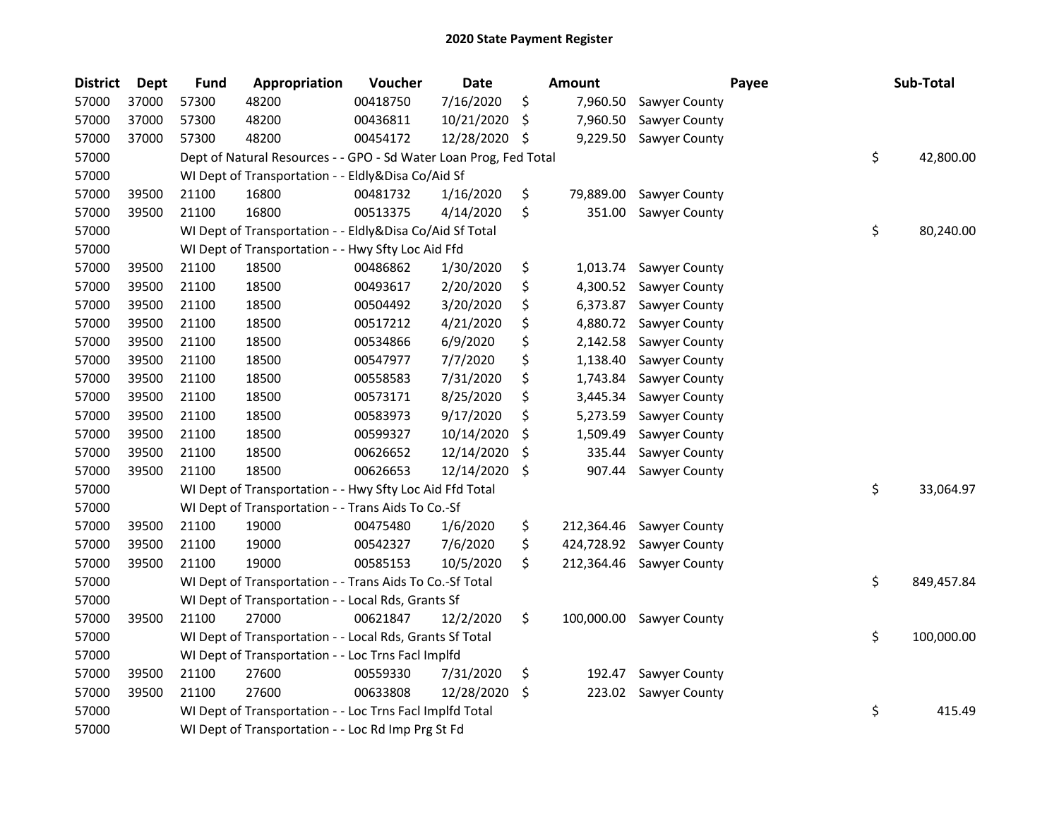| <b>District</b> | <b>Dept</b> | <b>Fund</b> | Appropriation                                                     | Voucher  | <b>Date</b> |     | <b>Amount</b> |               | Payee | Sub-Total        |
|-----------------|-------------|-------------|-------------------------------------------------------------------|----------|-------------|-----|---------------|---------------|-------|------------------|
| 57000           | 37000       | 57300       | 48200                                                             | 00418750 | 7/16/2020   | \$  | 7,960.50      | Sawyer County |       |                  |
| 57000           | 37000       | 57300       | 48200                                                             | 00436811 | 10/21/2020  | \$  | 7,960.50      | Sawyer County |       |                  |
| 57000           | 37000       | 57300       | 48200                                                             | 00454172 | 12/28/2020  | \$. | 9,229.50      | Sawyer County |       |                  |
| 57000           |             |             | Dept of Natural Resources - - GPO - Sd Water Loan Prog, Fed Total |          |             |     |               |               |       | \$<br>42,800.00  |
| 57000           |             |             | WI Dept of Transportation - - Eldly&Disa Co/Aid Sf                |          |             |     |               |               |       |                  |
| 57000           | 39500       | 21100       | 16800                                                             | 00481732 | 1/16/2020   | \$  | 79,889.00     | Sawyer County |       |                  |
| 57000           | 39500       | 21100       | 16800                                                             | 00513375 | 4/14/2020   | \$  | 351.00        | Sawyer County |       |                  |
| 57000           |             |             | WI Dept of Transportation - - Eldly&Disa Co/Aid Sf Total          |          |             |     |               |               |       | \$<br>80,240.00  |
| 57000           |             |             | WI Dept of Transportation - - Hwy Sfty Loc Aid Ffd                |          |             |     |               |               |       |                  |
| 57000           | 39500       | 21100       | 18500                                                             | 00486862 | 1/30/2020   | \$  | 1,013.74      | Sawyer County |       |                  |
| 57000           | 39500       | 21100       | 18500                                                             | 00493617 | 2/20/2020   | \$  | 4,300.52      | Sawyer County |       |                  |
| 57000           | 39500       | 21100       | 18500                                                             | 00504492 | 3/20/2020   | \$  | 6,373.87      | Sawyer County |       |                  |
| 57000           | 39500       | 21100       | 18500                                                             | 00517212 | 4/21/2020   | \$  | 4,880.72      | Sawyer County |       |                  |
| 57000           | 39500       | 21100       | 18500                                                             | 00534866 | 6/9/2020    | \$  | 2,142.58      | Sawyer County |       |                  |
| 57000           | 39500       | 21100       | 18500                                                             | 00547977 | 7/7/2020    | \$  | 1,138.40      | Sawyer County |       |                  |
| 57000           | 39500       | 21100       | 18500                                                             | 00558583 | 7/31/2020   | \$  | 1,743.84      | Sawyer County |       |                  |
| 57000           | 39500       | 21100       | 18500                                                             | 00573171 | 8/25/2020   | \$  | 3,445.34      | Sawyer County |       |                  |
| 57000           | 39500       | 21100       | 18500                                                             | 00583973 | 9/17/2020   | \$  | 5,273.59      | Sawyer County |       |                  |
| 57000           | 39500       | 21100       | 18500                                                             | 00599327 | 10/14/2020  | \$  | 1,509.49      | Sawyer County |       |                  |
| 57000           | 39500       | 21100       | 18500                                                             | 00626652 | 12/14/2020  | \$  | 335.44        | Sawyer County |       |                  |
| 57000           | 39500       | 21100       | 18500                                                             | 00626653 | 12/14/2020  | \$  | 907.44        | Sawyer County |       |                  |
| 57000           |             |             | WI Dept of Transportation - - Hwy Sfty Loc Aid Ffd Total          |          |             |     |               |               |       | \$<br>33,064.97  |
| 57000           |             |             | WI Dept of Transportation - - Trans Aids To Co.-Sf                |          |             |     |               |               |       |                  |
| 57000           | 39500       | 21100       | 19000                                                             | 00475480 | 1/6/2020    | \$  | 212,364.46    | Sawyer County |       |                  |
| 57000           | 39500       | 21100       | 19000                                                             | 00542327 | 7/6/2020    | \$  | 424,728.92    | Sawyer County |       |                  |
| 57000           | 39500       | 21100       | 19000                                                             | 00585153 | 10/5/2020   | \$  | 212,364.46    | Sawyer County |       |                  |
| 57000           |             |             | WI Dept of Transportation - - Trans Aids To Co.-Sf Total          |          |             |     |               |               |       | \$<br>849,457.84 |
| 57000           |             |             | WI Dept of Transportation - - Local Rds, Grants Sf                |          |             |     |               |               |       |                  |
| 57000           | 39500       | 21100       | 27000                                                             | 00621847 | 12/2/2020   | \$  | 100,000.00    | Sawyer County |       |                  |
| 57000           |             |             | WI Dept of Transportation - - Local Rds, Grants Sf Total          |          |             |     |               |               |       | \$<br>100,000.00 |
| 57000           |             |             | WI Dept of Transportation - - Loc Trns Facl Implfd                |          |             |     |               |               |       |                  |
| 57000           | 39500       | 21100       | 27600                                                             | 00559330 | 7/31/2020   | \$  | 192.47        | Sawyer County |       |                  |
| 57000           | 39500       | 21100       | 27600                                                             | 00633808 | 12/28/2020  | \$  | 223.02        | Sawyer County |       |                  |
| 57000           |             |             | WI Dept of Transportation - - Loc Trns Facl Implfd Total          |          |             |     |               |               |       | \$<br>415.49     |
| 57000           |             |             | WI Dept of Transportation - - Loc Rd Imp Prg St Fd                |          |             |     |               |               |       |                  |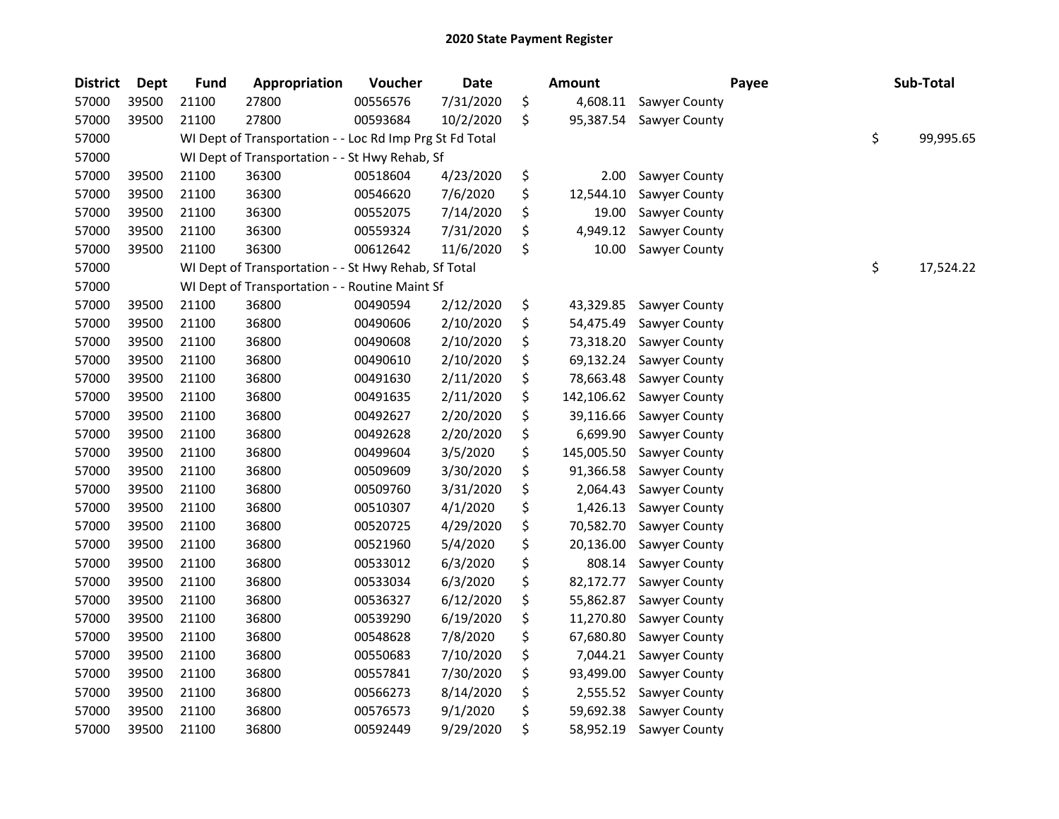| <b>District</b> | <b>Dept</b> | <b>Fund</b> | Appropriation                                            | Voucher  | <b>Date</b> | Amount           |               | Payee | Sub-Total       |
|-----------------|-------------|-------------|----------------------------------------------------------|----------|-------------|------------------|---------------|-------|-----------------|
| 57000           | 39500       | 21100       | 27800                                                    | 00556576 | 7/31/2020   | \$<br>4,608.11   | Sawyer County |       |                 |
| 57000           | 39500       | 21100       | 27800                                                    | 00593684 | 10/2/2020   | \$<br>95,387.54  | Sawyer County |       |                 |
| 57000           |             |             | WI Dept of Transportation - - Loc Rd Imp Prg St Fd Total |          |             |                  |               |       | \$<br>99,995.65 |
| 57000           |             |             | WI Dept of Transportation - - St Hwy Rehab, Sf           |          |             |                  |               |       |                 |
| 57000           | 39500       | 21100       | 36300                                                    | 00518604 | 4/23/2020   | \$<br>2.00       | Sawyer County |       |                 |
| 57000           | 39500       | 21100       | 36300                                                    | 00546620 | 7/6/2020    | \$<br>12,544.10  | Sawyer County |       |                 |
| 57000           | 39500       | 21100       | 36300                                                    | 00552075 | 7/14/2020   | \$<br>19.00      | Sawyer County |       |                 |
| 57000           | 39500       | 21100       | 36300                                                    | 00559324 | 7/31/2020   | \$<br>4,949.12   | Sawyer County |       |                 |
| 57000           | 39500       | 21100       | 36300                                                    | 00612642 | 11/6/2020   | \$<br>10.00      | Sawyer County |       |                 |
| 57000           |             |             | WI Dept of Transportation - - St Hwy Rehab, Sf Total     |          |             |                  |               |       | \$<br>17,524.22 |
| 57000           |             |             | WI Dept of Transportation - - Routine Maint Sf           |          |             |                  |               |       |                 |
| 57000           | 39500       | 21100       | 36800                                                    | 00490594 | 2/12/2020   | \$<br>43,329.85  | Sawyer County |       |                 |
| 57000           | 39500       | 21100       | 36800                                                    | 00490606 | 2/10/2020   | \$<br>54,475.49  | Sawyer County |       |                 |
| 57000           | 39500       | 21100       | 36800                                                    | 00490608 | 2/10/2020   | \$<br>73,318.20  | Sawyer County |       |                 |
| 57000           | 39500       | 21100       | 36800                                                    | 00490610 | 2/10/2020   | \$<br>69,132.24  | Sawyer County |       |                 |
| 57000           | 39500       | 21100       | 36800                                                    | 00491630 | 2/11/2020   | \$<br>78,663.48  | Sawyer County |       |                 |
| 57000           | 39500       | 21100       | 36800                                                    | 00491635 | 2/11/2020   | \$<br>142,106.62 | Sawyer County |       |                 |
| 57000           | 39500       | 21100       | 36800                                                    | 00492627 | 2/20/2020   | \$<br>39,116.66  | Sawyer County |       |                 |
| 57000           | 39500       | 21100       | 36800                                                    | 00492628 | 2/20/2020   | \$<br>6,699.90   | Sawyer County |       |                 |
| 57000           | 39500       | 21100       | 36800                                                    | 00499604 | 3/5/2020    | \$<br>145,005.50 | Sawyer County |       |                 |
| 57000           | 39500       | 21100       | 36800                                                    | 00509609 | 3/30/2020   | \$<br>91,366.58  | Sawyer County |       |                 |
| 57000           | 39500       | 21100       | 36800                                                    | 00509760 | 3/31/2020   | \$<br>2,064.43   | Sawyer County |       |                 |
| 57000           | 39500       | 21100       | 36800                                                    | 00510307 | 4/1/2020    | \$<br>1,426.13   | Sawyer County |       |                 |
| 57000           | 39500       | 21100       | 36800                                                    | 00520725 | 4/29/2020   | \$<br>70,582.70  | Sawyer County |       |                 |
| 57000           | 39500       | 21100       | 36800                                                    | 00521960 | 5/4/2020    | \$<br>20,136.00  | Sawyer County |       |                 |
| 57000           | 39500       | 21100       | 36800                                                    | 00533012 | 6/3/2020    | \$<br>808.14     | Sawyer County |       |                 |
| 57000           | 39500       | 21100       | 36800                                                    | 00533034 | 6/3/2020    | \$<br>82,172.77  | Sawyer County |       |                 |
| 57000           | 39500       | 21100       | 36800                                                    | 00536327 | 6/12/2020   | \$<br>55,862.87  | Sawyer County |       |                 |
| 57000           | 39500       | 21100       | 36800                                                    | 00539290 | 6/19/2020   | \$<br>11,270.80  | Sawyer County |       |                 |
| 57000           | 39500       | 21100       | 36800                                                    | 00548628 | 7/8/2020    | \$<br>67,680.80  | Sawyer County |       |                 |
| 57000           | 39500       | 21100       | 36800                                                    | 00550683 | 7/10/2020   | \$<br>7,044.21   | Sawyer County |       |                 |
| 57000           | 39500       | 21100       | 36800                                                    | 00557841 | 7/30/2020   | \$<br>93,499.00  | Sawyer County |       |                 |
| 57000           | 39500       | 21100       | 36800                                                    | 00566273 | 8/14/2020   | \$<br>2,555.52   | Sawyer County |       |                 |
| 57000           | 39500       | 21100       | 36800                                                    | 00576573 | 9/1/2020    | \$<br>59,692.38  | Sawyer County |       |                 |
| 57000           | 39500       | 21100       | 36800                                                    | 00592449 | 9/29/2020   | \$<br>58,952.19  | Sawyer County |       |                 |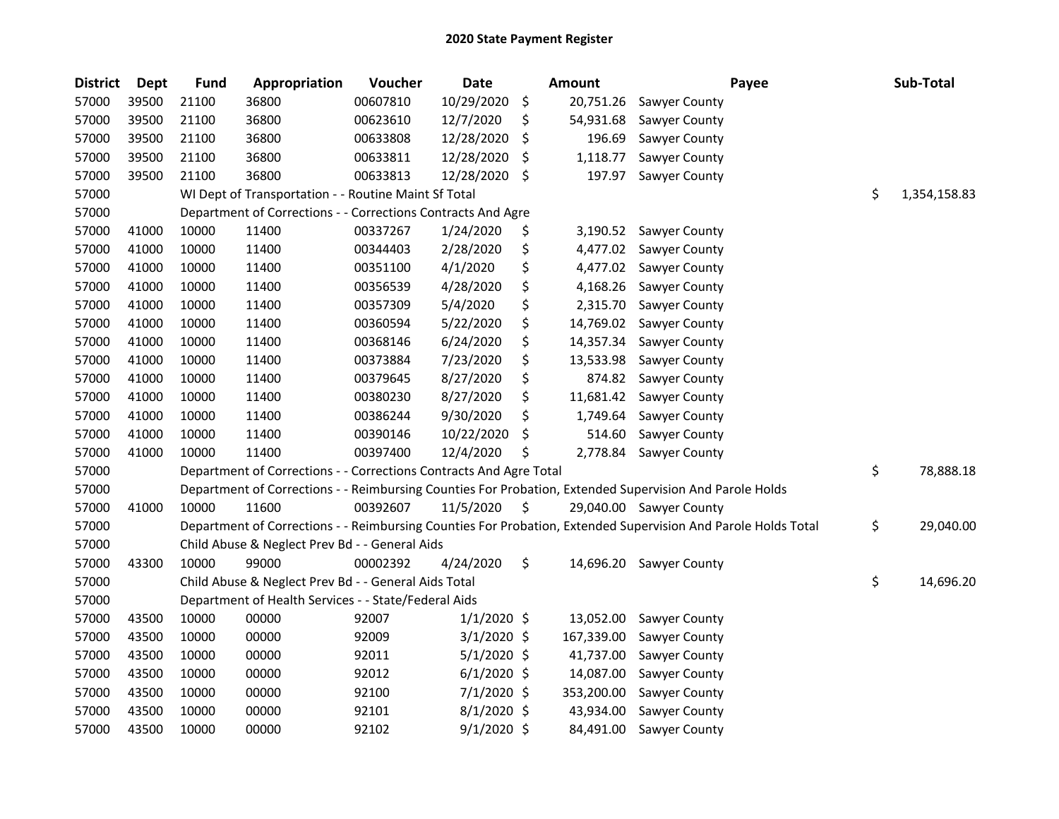| <b>District</b> | <b>Dept</b> | <b>Fund</b> | Appropriation                                                      | Voucher  | <b>Date</b>   | Amount          | Payee                                                                                                         | Sub-Total          |
|-----------------|-------------|-------------|--------------------------------------------------------------------|----------|---------------|-----------------|---------------------------------------------------------------------------------------------------------------|--------------------|
| 57000           | 39500       | 21100       | 36800                                                              | 00607810 | 10/29/2020    | \$<br>20,751.26 | Sawyer County                                                                                                 |                    |
| 57000           | 39500       | 21100       | 36800                                                              | 00623610 | 12/7/2020     | \$<br>54,931.68 | Sawyer County                                                                                                 |                    |
| 57000           | 39500       | 21100       | 36800                                                              | 00633808 | 12/28/2020    | \$<br>196.69    | Sawyer County                                                                                                 |                    |
| 57000           | 39500       | 21100       | 36800                                                              | 00633811 | 12/28/2020    | \$<br>1,118.77  | Sawyer County                                                                                                 |                    |
| 57000           | 39500       | 21100       | 36800                                                              | 00633813 | 12/28/2020    | \$<br>197.97    | Sawyer County                                                                                                 |                    |
| 57000           |             |             | WI Dept of Transportation - - Routine Maint Sf Total               |          |               |                 |                                                                                                               | \$<br>1,354,158.83 |
| 57000           |             |             | Department of Corrections - - Corrections Contracts And Agre       |          |               |                 |                                                                                                               |                    |
| 57000           | 41000       | 10000       | 11400                                                              | 00337267 | 1/24/2020     | \$<br>3,190.52  | Sawyer County                                                                                                 |                    |
| 57000           | 41000       | 10000       | 11400                                                              | 00344403 | 2/28/2020     | \$<br>4,477.02  | Sawyer County                                                                                                 |                    |
| 57000           | 41000       | 10000       | 11400                                                              | 00351100 | 4/1/2020      | \$<br>4,477.02  | <b>Sawyer County</b>                                                                                          |                    |
| 57000           | 41000       | 10000       | 11400                                                              | 00356539 | 4/28/2020     | \$<br>4,168.26  | Sawyer County                                                                                                 |                    |
| 57000           | 41000       | 10000       | 11400                                                              | 00357309 | 5/4/2020      | \$<br>2,315.70  | Sawyer County                                                                                                 |                    |
| 57000           | 41000       | 10000       | 11400                                                              | 00360594 | 5/22/2020     | \$<br>14,769.02 | Sawyer County                                                                                                 |                    |
| 57000           | 41000       | 10000       | 11400                                                              | 00368146 | 6/24/2020     | \$<br>14,357.34 | Sawyer County                                                                                                 |                    |
| 57000           | 41000       | 10000       | 11400                                                              | 00373884 | 7/23/2020     | \$<br>13,533.98 | Sawyer County                                                                                                 |                    |
| 57000           | 41000       | 10000       | 11400                                                              | 00379645 | 8/27/2020     | \$<br>874.82    | Sawyer County                                                                                                 |                    |
| 57000           | 41000       | 10000       | 11400                                                              | 00380230 | 8/27/2020     | \$<br>11,681.42 | Sawyer County                                                                                                 |                    |
| 57000           | 41000       | 10000       | 11400                                                              | 00386244 | 9/30/2020     | \$<br>1,749.64  | Sawyer County                                                                                                 |                    |
| 57000           | 41000       | 10000       | 11400                                                              | 00390146 | 10/22/2020    | \$<br>514.60    | Sawyer County                                                                                                 |                    |
| 57000           | 41000       | 10000       | 11400                                                              | 00397400 | 12/4/2020     | \$<br>2,778.84  | Sawyer County                                                                                                 |                    |
| 57000           |             |             | Department of Corrections - - Corrections Contracts And Agre Total |          |               |                 |                                                                                                               | \$<br>78,888.18    |
| 57000           |             |             |                                                                    |          |               |                 | Department of Corrections - - Reimbursing Counties For Probation, Extended Supervision And Parole Holds       |                    |
| 57000           | 41000       | 10000       | 11600                                                              | 00392607 | 11/5/2020     | \$              | 29,040.00 Sawyer County                                                                                       |                    |
| 57000           |             |             |                                                                    |          |               |                 | Department of Corrections - - Reimbursing Counties For Probation, Extended Supervision And Parole Holds Total | \$<br>29,040.00    |
| 57000           |             |             | Child Abuse & Neglect Prev Bd - - General Aids                     |          |               |                 |                                                                                                               |                    |
| 57000           | 43300       | 10000       | 99000                                                              | 00002392 | 4/24/2020     | \$              | 14,696.20 Sawyer County                                                                                       |                    |
| 57000           |             |             | Child Abuse & Neglect Prev Bd - - General Aids Total               |          |               |                 |                                                                                                               | \$<br>14,696.20    |
| 57000           |             |             | Department of Health Services - - State/Federal Aids               |          |               |                 |                                                                                                               |                    |
| 57000           | 43500       | 10000       | 00000                                                              | 92007    | $1/1/2020$ \$ | 13,052.00       | Sawyer County                                                                                                 |                    |
| 57000           | 43500       | 10000       | 00000                                                              | 92009    | $3/1/2020$ \$ | 167,339.00      | Sawyer County                                                                                                 |                    |
| 57000           | 43500       | 10000       | 00000                                                              | 92011    | $5/1/2020$ \$ | 41,737.00       | Sawyer County                                                                                                 |                    |
| 57000           | 43500       | 10000       | 00000                                                              | 92012    | $6/1/2020$ \$ | 14,087.00       | Sawyer County                                                                                                 |                    |
| 57000           | 43500       | 10000       | 00000                                                              | 92100    | 7/1/2020 \$   | 353,200.00      | Sawyer County                                                                                                 |                    |
| 57000           | 43500       | 10000       | 00000                                                              | 92101    | $8/1/2020$ \$ | 43,934.00       | Sawyer County                                                                                                 |                    |
| 57000           | 43500       | 10000       | 00000                                                              | 92102    | $9/1/2020$ \$ | 84,491.00       | Sawyer County                                                                                                 |                    |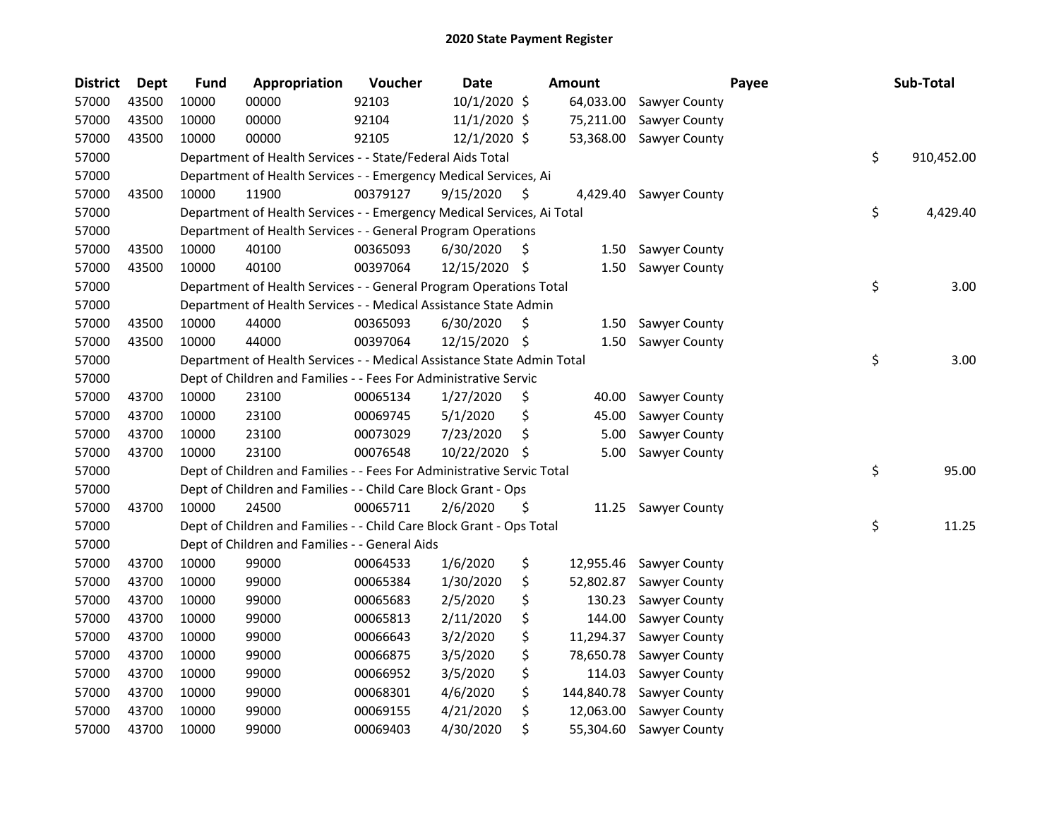| <b>District</b> | <b>Dept</b> | <b>Fund</b> | Appropriation                                                          | Voucher  | <b>Date</b>  |     | Amount     |                        | Payee | Sub-Total        |
|-----------------|-------------|-------------|------------------------------------------------------------------------|----------|--------------|-----|------------|------------------------|-------|------------------|
| 57000           | 43500       | 10000       | 00000                                                                  | 92103    | 10/1/2020 \$ |     | 64,033.00  | Sawyer County          |       |                  |
| 57000           | 43500       | 10000       | 00000                                                                  | 92104    | 11/1/2020 \$ |     | 75,211.00  | Sawyer County          |       |                  |
| 57000           | 43500       | 10000       | 00000                                                                  | 92105    | 12/1/2020 \$ |     | 53,368.00  | Sawyer County          |       |                  |
| 57000           |             |             | Department of Health Services - - State/Federal Aids Total             |          |              |     |            |                        |       | \$<br>910,452.00 |
| 57000           |             |             | Department of Health Services - - Emergency Medical Services, Ai       |          |              |     |            |                        |       |                  |
| 57000           | 43500       | 10000       | 11900                                                                  | 00379127 | 9/15/2020    | S   |            | 4,429.40 Sawyer County |       |                  |
| 57000           |             |             | Department of Health Services - - Emergency Medical Services, Ai Total |          |              |     |            |                        |       | \$<br>4,429.40   |
| 57000           |             |             | Department of Health Services - - General Program Operations           |          |              |     |            |                        |       |                  |
| 57000           | 43500       | 10000       | 40100                                                                  | 00365093 | 6/30/2020    | \$, |            | 1.50 Sawyer County     |       |                  |
| 57000           | 43500       | 10000       | 40100                                                                  | 00397064 | 12/15/2020   | \$  | 1.50       | Sawyer County          |       |                  |
| 57000           |             |             | Department of Health Services - - General Program Operations Total     |          |              |     |            |                        |       | \$<br>3.00       |
| 57000           |             |             | Department of Health Services - - Medical Assistance State Admin       |          |              |     |            |                        |       |                  |
| 57000           | 43500       | 10000       | 44000                                                                  | 00365093 | 6/30/2020    | \$, | 1.50       | <b>Sawyer County</b>   |       |                  |
| 57000           | 43500       | 10000       | 44000                                                                  | 00397064 | 12/15/2020   | S   | 1.50       | Sawyer County          |       |                  |
| 57000           |             |             | Department of Health Services - - Medical Assistance State Admin Total |          |              |     |            |                        |       | \$<br>3.00       |
| 57000           |             |             | Dept of Children and Families - - Fees For Administrative Servic       |          |              |     |            |                        |       |                  |
| 57000           | 43700       | 10000       | 23100                                                                  | 00065134 | 1/27/2020    | \$  | 40.00      | Sawyer County          |       |                  |
| 57000           | 43700       | 10000       | 23100                                                                  | 00069745 | 5/1/2020     | \$  | 45.00      | Sawyer County          |       |                  |
| 57000           | 43700       | 10000       | 23100                                                                  | 00073029 | 7/23/2020    | \$  | 5.00       | Sawyer County          |       |                  |
| 57000           | 43700       | 10000       | 23100                                                                  | 00076548 | 10/22/2020   | \$  | 5.00       | Sawyer County          |       |                  |
| 57000           |             |             | Dept of Children and Families - - Fees For Administrative Servic Total |          |              |     |            |                        |       | \$<br>95.00      |
| 57000           |             |             | Dept of Children and Families - - Child Care Block Grant - Ops         |          |              |     |            |                        |       |                  |
| 57000           | 43700       | 10000       | 24500                                                                  | 00065711 | 2/6/2020     | \$  | 11.25      | Sawyer County          |       |                  |
| 57000           |             |             | Dept of Children and Families - - Child Care Block Grant - Ops Total   |          |              |     |            |                        |       | \$<br>11.25      |
| 57000           |             |             | Dept of Children and Families - - General Aids                         |          |              |     |            |                        |       |                  |
| 57000           | 43700       | 10000       | 99000                                                                  | 00064533 | 1/6/2020     | \$  | 12,955.46  | Sawyer County          |       |                  |
| 57000           | 43700       | 10000       | 99000                                                                  | 00065384 | 1/30/2020    | \$  | 52,802.87  | Sawyer County          |       |                  |
| 57000           | 43700       | 10000       | 99000                                                                  | 00065683 | 2/5/2020     | \$  | 130.23     | Sawyer County          |       |                  |
| 57000           | 43700       | 10000       | 99000                                                                  | 00065813 | 2/11/2020    | \$  | 144.00     | Sawyer County          |       |                  |
| 57000           | 43700       | 10000       | 99000                                                                  | 00066643 | 3/2/2020     | \$  | 11,294.37  | Sawyer County          |       |                  |
| 57000           | 43700       | 10000       | 99000                                                                  | 00066875 | 3/5/2020     | \$  | 78,650.78  | Sawyer County          |       |                  |
| 57000           | 43700       | 10000       | 99000                                                                  | 00066952 | 3/5/2020     | \$  | 114.03     | Sawyer County          |       |                  |
| 57000           | 43700       | 10000       | 99000                                                                  | 00068301 | 4/6/2020     | \$  | 144,840.78 | Sawyer County          |       |                  |
| 57000           | 43700       | 10000       | 99000                                                                  | 00069155 | 4/21/2020    | \$  | 12,063.00  | Sawyer County          |       |                  |
| 57000           | 43700       | 10000       | 99000                                                                  | 00069403 | 4/30/2020    | \$  | 55,304.60  | <b>Sawyer County</b>   |       |                  |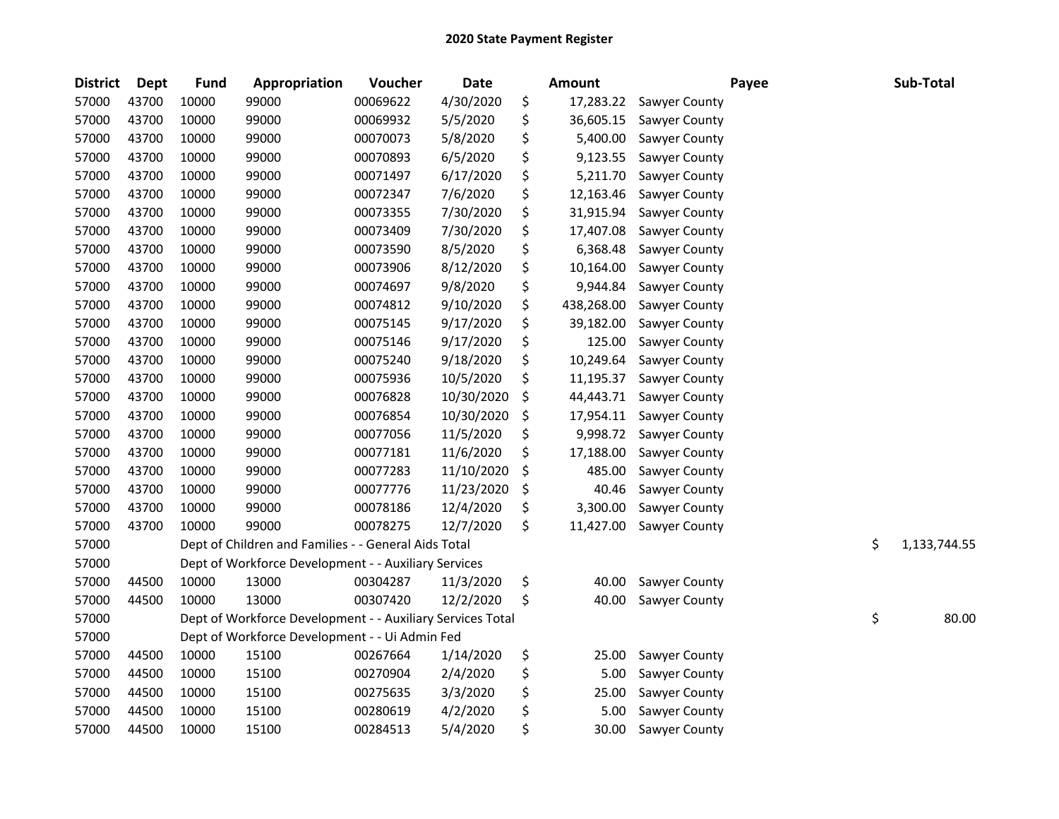| <b>District</b> | <b>Dept</b> | <b>Fund</b> | Appropriation                                              | Voucher  | <b>Date</b> |     | Amount     |               | Payee | Sub-Total          |
|-----------------|-------------|-------------|------------------------------------------------------------|----------|-------------|-----|------------|---------------|-------|--------------------|
| 57000           | 43700       | 10000       | 99000                                                      | 00069622 | 4/30/2020   | \$  | 17,283.22  | Sawyer County |       |                    |
| 57000           | 43700       | 10000       | 99000                                                      | 00069932 | 5/5/2020    | \$  | 36,605.15  | Sawyer County |       |                    |
| 57000           | 43700       | 10000       | 99000                                                      | 00070073 | 5/8/2020    | \$  | 5,400.00   | Sawyer County |       |                    |
| 57000           | 43700       | 10000       | 99000                                                      | 00070893 | 6/5/2020    | \$  | 9,123.55   | Sawyer County |       |                    |
| 57000           | 43700       | 10000       | 99000                                                      | 00071497 | 6/17/2020   | \$  | 5,211.70   | Sawyer County |       |                    |
| 57000           | 43700       | 10000       | 99000                                                      | 00072347 | 7/6/2020    | \$  | 12,163.46  | Sawyer County |       |                    |
| 57000           | 43700       | 10000       | 99000                                                      | 00073355 | 7/30/2020   | \$  | 31,915.94  | Sawyer County |       |                    |
| 57000           | 43700       | 10000       | 99000                                                      | 00073409 | 7/30/2020   | \$  | 17,407.08  | Sawyer County |       |                    |
| 57000           | 43700       | 10000       | 99000                                                      | 00073590 | 8/5/2020    | \$  | 6,368.48   | Sawyer County |       |                    |
| 57000           | 43700       | 10000       | 99000                                                      | 00073906 | 8/12/2020   | \$  | 10,164.00  | Sawyer County |       |                    |
| 57000           | 43700       | 10000       | 99000                                                      | 00074697 | 9/8/2020    | \$  | 9,944.84   | Sawyer County |       |                    |
| 57000           | 43700       | 10000       | 99000                                                      | 00074812 | 9/10/2020   | \$  | 438,268.00 | Sawyer County |       |                    |
| 57000           | 43700       | 10000       | 99000                                                      | 00075145 | 9/17/2020   | \$  | 39,182.00  | Sawyer County |       |                    |
| 57000           | 43700       | 10000       | 99000                                                      | 00075146 | 9/17/2020   | \$  | 125.00     | Sawyer County |       |                    |
| 57000           | 43700       | 10000       | 99000                                                      | 00075240 | 9/18/2020   | \$  | 10,249.64  | Sawyer County |       |                    |
| 57000           | 43700       | 10000       | 99000                                                      | 00075936 | 10/5/2020   | \$  | 11,195.37  | Sawyer County |       |                    |
| 57000           | 43700       | 10000       | 99000                                                      | 00076828 | 10/30/2020  | \$  | 44,443.71  | Sawyer County |       |                    |
| 57000           | 43700       | 10000       | 99000                                                      | 00076854 | 10/30/2020  | \$  | 17,954.11  | Sawyer County |       |                    |
| 57000           | 43700       | 10000       | 99000                                                      | 00077056 | 11/5/2020   | \$  | 9,998.72   | Sawyer County |       |                    |
| 57000           | 43700       | 10000       | 99000                                                      | 00077181 | 11/6/2020   | \$  | 17,188.00  | Sawyer County |       |                    |
| 57000           | 43700       | 10000       | 99000                                                      | 00077283 | 11/10/2020  | \$, | 485.00     | Sawyer County |       |                    |
| 57000           | 43700       | 10000       | 99000                                                      | 00077776 | 11/23/2020  | \$  | 40.46      | Sawyer County |       |                    |
| 57000           | 43700       | 10000       | 99000                                                      | 00078186 | 12/4/2020   | \$  | 3,300.00   | Sawyer County |       |                    |
| 57000           | 43700       | 10000       | 99000                                                      | 00078275 | 12/7/2020   | \$  | 11,427.00  | Sawyer County |       |                    |
| 57000           |             |             | Dept of Children and Families - - General Aids Total       |          |             |     |            |               |       | \$<br>1,133,744.55 |
| 57000           |             |             | Dept of Workforce Development - - Auxiliary Services       |          |             |     |            |               |       |                    |
| 57000           | 44500       | 10000       | 13000                                                      | 00304287 | 11/3/2020   | \$  | 40.00      | Sawyer County |       |                    |
| 57000           | 44500       | 10000       | 13000                                                      | 00307420 | 12/2/2020   | \$  | 40.00      | Sawyer County |       |                    |
| 57000           |             |             | Dept of Workforce Development - - Auxiliary Services Total |          |             |     |            |               |       | \$<br>80.00        |
| 57000           |             |             | Dept of Workforce Development - - Ui Admin Fed             |          |             |     |            |               |       |                    |
| 57000           | 44500       | 10000       | 15100                                                      | 00267664 | 1/14/2020   | \$  | 25.00      | Sawyer County |       |                    |
| 57000           | 44500       | 10000       | 15100                                                      | 00270904 | 2/4/2020    | \$  | 5.00       | Sawyer County |       |                    |
| 57000           | 44500       | 10000       | 15100                                                      | 00275635 | 3/3/2020    | \$  | 25.00      | Sawyer County |       |                    |
| 57000           | 44500       | 10000       | 15100                                                      | 00280619 | 4/2/2020    | \$  | 5.00       | Sawyer County |       |                    |
| 57000           | 44500       | 10000       | 15100                                                      | 00284513 | 5/4/2020    | \$  | 30.00      | Sawyer County |       |                    |
|                 |             |             |                                                            |          |             |     |            |               |       |                    |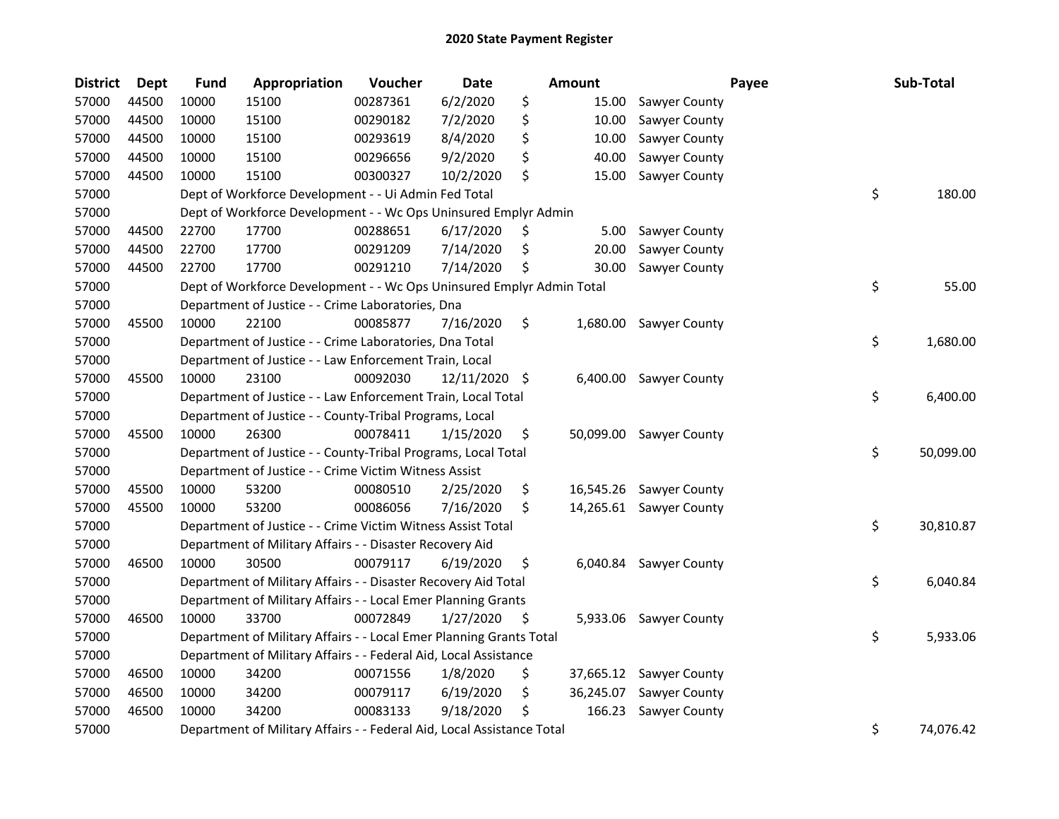| <b>District</b> | Dept  | <b>Fund</b> | Appropriation                                                          | Voucher  | <b>Date</b>   |     | Amount    |                         | Payee | Sub-Total       |
|-----------------|-------|-------------|------------------------------------------------------------------------|----------|---------------|-----|-----------|-------------------------|-------|-----------------|
| 57000           | 44500 | 10000       | 15100                                                                  | 00287361 | 6/2/2020      | \$  | 15.00     | Sawyer County           |       |                 |
| 57000           | 44500 | 10000       | 15100                                                                  | 00290182 | 7/2/2020      | \$  | 10.00     | Sawyer County           |       |                 |
| 57000           | 44500 | 10000       | 15100                                                                  | 00293619 | 8/4/2020      | \$  | 10.00     | Sawyer County           |       |                 |
| 57000           | 44500 | 10000       | 15100                                                                  | 00296656 | 9/2/2020      | \$  | 40.00     | Sawyer County           |       |                 |
| 57000           | 44500 | 10000       | 15100                                                                  | 00300327 | 10/2/2020     | \$  | 15.00     | Sawyer County           |       |                 |
| 57000           |       |             | Dept of Workforce Development - - Ui Admin Fed Total                   |          |               |     |           |                         |       | \$<br>180.00    |
| 57000           |       |             | Dept of Workforce Development - - Wc Ops Uninsured Emplyr Admin        |          |               |     |           |                         |       |                 |
| 57000           | 44500 | 22700       | 17700                                                                  | 00288651 | 6/17/2020     | \$  | 5.00      | Sawyer County           |       |                 |
| 57000           | 44500 | 22700       | 17700                                                                  | 00291209 | 7/14/2020     | Ş   | 20.00     | Sawyer County           |       |                 |
| 57000           | 44500 | 22700       | 17700                                                                  | 00291210 | 7/14/2020     | Ş   | 30.00     | Sawyer County           |       |                 |
| 57000           |       |             | Dept of Workforce Development - - Wc Ops Uninsured Emplyr Admin Total  |          |               |     |           |                         |       | \$<br>55.00     |
| 57000           |       |             | Department of Justice - - Crime Laboratories, Dna                      |          |               |     |           |                         |       |                 |
| 57000           | 45500 | 10000       | 22100                                                                  | 00085877 | 7/16/2020     | \$  | 1,680.00  | Sawyer County           |       |                 |
| 57000           |       |             | Department of Justice - - Crime Laboratories, Dna Total                |          |               |     |           |                         |       | \$<br>1,680.00  |
| 57000           |       |             | Department of Justice - - Law Enforcement Train, Local                 |          |               |     |           |                         |       |                 |
| 57000           | 45500 | 10000       | 23100                                                                  | 00092030 | 12/11/2020 \$ |     | 6,400.00  | Sawyer County           |       |                 |
| 57000           |       |             | Department of Justice - - Law Enforcement Train, Local Total           |          |               |     |           |                         |       | \$<br>6,400.00  |
| 57000           |       |             | Department of Justice - - County-Tribal Programs, Local                |          |               |     |           |                         |       |                 |
| 57000           | 45500 | 10000       | 26300                                                                  | 00078411 | 1/15/2020     | \$  | 50,099.00 | <b>Sawyer County</b>    |       |                 |
| 57000           |       |             | Department of Justice - - County-Tribal Programs, Local Total          |          |               |     |           |                         |       | \$<br>50,099.00 |
| 57000           |       |             | Department of Justice - - Crime Victim Witness Assist                  |          |               |     |           |                         |       |                 |
| 57000           | 45500 | 10000       | 53200                                                                  | 00080510 | 2/25/2020     | \$  |           | 16,545.26 Sawyer County |       |                 |
| 57000           | 45500 | 10000       | 53200                                                                  | 00086056 | 7/16/2020     | \$  |           | 14,265.61 Sawyer County |       |                 |
| 57000           |       |             | Department of Justice - - Crime Victim Witness Assist Total            |          |               |     |           |                         |       | \$<br>30,810.87 |
| 57000           |       |             | Department of Military Affairs - - Disaster Recovery Aid               |          |               |     |           |                         |       |                 |
| 57000           | 46500 | 10000       | 30500                                                                  | 00079117 | 6/19/2020     | \$  | 6,040.84  | Sawyer County           |       |                 |
| 57000           |       |             | Department of Military Affairs - - Disaster Recovery Aid Total         |          |               |     |           |                         |       | \$<br>6,040.84  |
| 57000           |       |             | Department of Military Affairs - - Local Emer Planning Grants          |          |               |     |           |                         |       |                 |
| 57000           | 46500 | 10000       | 33700                                                                  | 00072849 | 1/27/2020     | \$, |           | 5,933.06 Sawyer County  |       |                 |
| 57000           |       |             | Department of Military Affairs - - Local Emer Planning Grants Total    |          |               |     |           |                         |       | \$<br>5,933.06  |
| 57000           |       |             | Department of Military Affairs - - Federal Aid, Local Assistance       |          |               |     |           |                         |       |                 |
| 57000           | 46500 | 10000       | 34200                                                                  | 00071556 | 1/8/2020      | \$  | 37,665.12 | Sawyer County           |       |                 |
| 57000           | 46500 | 10000       | 34200                                                                  | 00079117 | 6/19/2020     | \$  | 36,245.07 | Sawyer County           |       |                 |
| 57000           | 46500 | 10000       | 34200                                                                  | 00083133 | 9/18/2020     | \$  | 166.23    | Sawyer County           |       |                 |
| 57000           |       |             | Department of Military Affairs - - Federal Aid, Local Assistance Total |          |               |     |           |                         |       | \$<br>74,076.42 |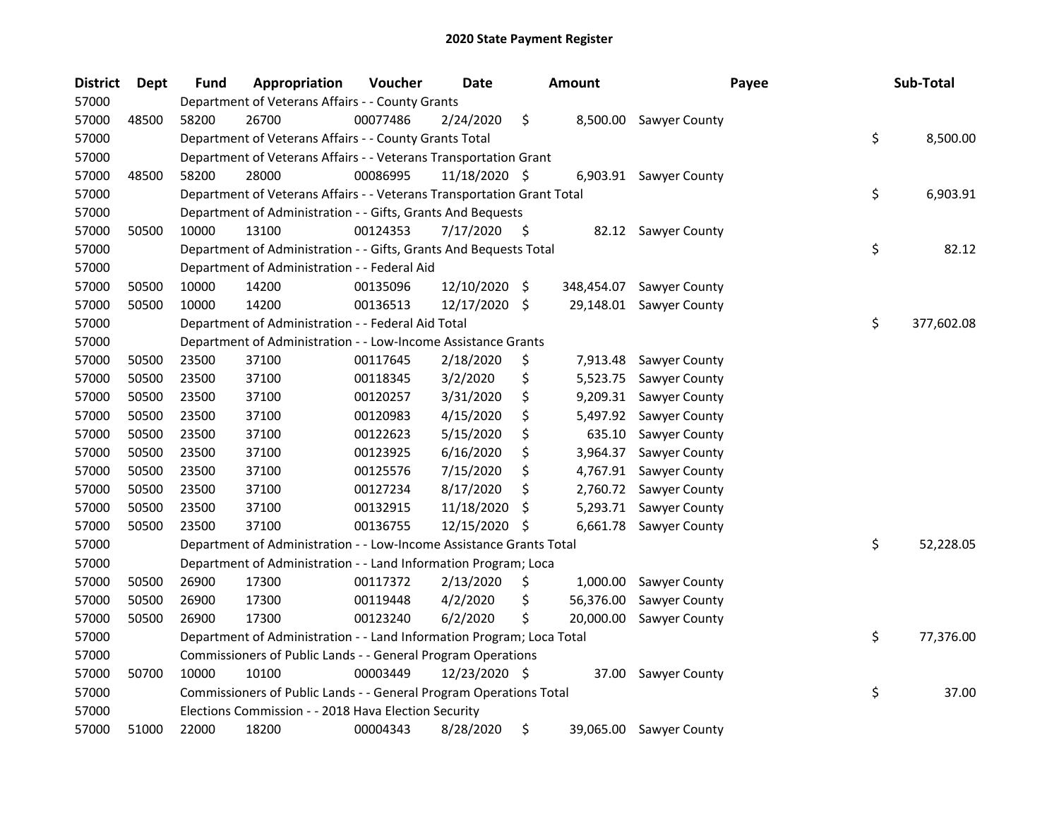| <b>District</b> | <b>Dept</b> | <b>Fund</b> | Appropriation                                                          | Voucher  | <b>Date</b>   |     | <b>Amount</b> | Payee                   | Sub-Total        |
|-----------------|-------------|-------------|------------------------------------------------------------------------|----------|---------------|-----|---------------|-------------------------|------------------|
| 57000           |             |             | Department of Veterans Affairs - - County Grants                       |          |               |     |               |                         |                  |
| 57000           | 48500       | 58200       | 26700                                                                  | 00077486 | 2/24/2020     | \$  |               | 8,500.00 Sawyer County  |                  |
| 57000           |             |             | Department of Veterans Affairs - - County Grants Total                 |          |               |     |               |                         | \$<br>8,500.00   |
| 57000           |             |             | Department of Veterans Affairs - - Veterans Transportation Grant       |          |               |     |               |                         |                  |
| 57000           | 48500       | 58200       | 28000                                                                  | 00086995 | 11/18/2020 \$ |     |               | 6,903.91 Sawyer County  |                  |
| 57000           |             |             | Department of Veterans Affairs - - Veterans Transportation Grant Total |          |               |     |               |                         | \$<br>6,903.91   |
| 57000           |             |             | Department of Administration - - Gifts, Grants And Bequests            |          |               |     |               |                         |                  |
| 57000           | 50500       | 10000       | 13100                                                                  | 00124353 | 7/17/2020     | \$  |               | 82.12 Sawyer County     |                  |
| 57000           |             |             | Department of Administration - - Gifts, Grants And Bequests Total      |          |               |     |               |                         | \$<br>82.12      |
| 57000           |             |             | Department of Administration - - Federal Aid                           |          |               |     |               |                         |                  |
| 57000           | 50500       | 10000       | 14200                                                                  | 00135096 | 12/10/2020 \$ |     | 348,454.07    | Sawyer County           |                  |
| 57000           | 50500       | 10000       | 14200                                                                  | 00136513 | 12/17/2020 \$ |     |               | 29,148.01 Sawyer County |                  |
| 57000           |             |             | Department of Administration - - Federal Aid Total                     |          |               |     |               |                         | \$<br>377,602.08 |
| 57000           |             |             | Department of Administration - - Low-Income Assistance Grants          |          |               |     |               |                         |                  |
| 57000           | 50500       | 23500       | 37100                                                                  | 00117645 | 2/18/2020     | \$  | 7,913.48      | Sawyer County           |                  |
| 57000           | 50500       | 23500       | 37100                                                                  | 00118345 | 3/2/2020      | \$  | 5,523.75      | Sawyer County           |                  |
| 57000           | 50500       | 23500       | 37100                                                                  | 00120257 | 3/31/2020     | \$  | 9,209.31      | Sawyer County           |                  |
| 57000           | 50500       | 23500       | 37100                                                                  | 00120983 | 4/15/2020     | \$  | 5,497.92      | Sawyer County           |                  |
| 57000           | 50500       | 23500       | 37100                                                                  | 00122623 | 5/15/2020     | \$  | 635.10        | Sawyer County           |                  |
| 57000           | 50500       | 23500       | 37100                                                                  | 00123925 | 6/16/2020     | \$  | 3,964.37      | Sawyer County           |                  |
| 57000           | 50500       | 23500       | 37100                                                                  | 00125576 | 7/15/2020     | \$  | 4,767.91      | Sawyer County           |                  |
| 57000           | 50500       | 23500       | 37100                                                                  | 00127234 | 8/17/2020     | \$  | 2,760.72      | Sawyer County           |                  |
| 57000           | 50500       | 23500       | 37100                                                                  | 00132915 | 11/18/2020    | \$, | 5,293.71      | Sawyer County           |                  |
| 57000           | 50500       | 23500       | 37100                                                                  | 00136755 | 12/15/2020    | \$  | 6,661.78      | Sawyer County           |                  |
| 57000           |             |             | Department of Administration - - Low-Income Assistance Grants Total    |          |               |     |               |                         | \$<br>52,228.05  |
| 57000           |             |             | Department of Administration - - Land Information Program; Loca        |          |               |     |               |                         |                  |
| 57000           | 50500       | 26900       | 17300                                                                  | 00117372 | 2/13/2020     | \$  | 1,000.00      | Sawyer County           |                  |
| 57000           | 50500       | 26900       | 17300                                                                  | 00119448 | 4/2/2020      | \$  | 56,376.00     | Sawyer County           |                  |
| 57000           | 50500       | 26900       | 17300                                                                  | 00123240 | 6/2/2020      | \$  | 20,000.00     | Sawyer County           |                  |
| 57000           |             |             | Department of Administration - - Land Information Program; Loca Total  |          |               |     |               |                         | \$<br>77,376.00  |
| 57000           |             |             | Commissioners of Public Lands - - General Program Operations           |          |               |     |               |                         |                  |
| 57000           | 50700       | 10000       | 10100                                                                  | 00003449 | 12/23/2020 \$ |     | 37.00         | <b>Sawyer County</b>    |                  |
| 57000           |             |             | Commissioners of Public Lands - - General Program Operations Total     |          |               |     |               |                         | \$<br>37.00      |
| 57000           |             |             | Elections Commission - - 2018 Hava Election Security                   |          |               |     |               |                         |                  |
| 57000           | 51000       | 22000       | 18200                                                                  | 00004343 | 8/28/2020     | \$  |               | 39,065.00 Sawyer County |                  |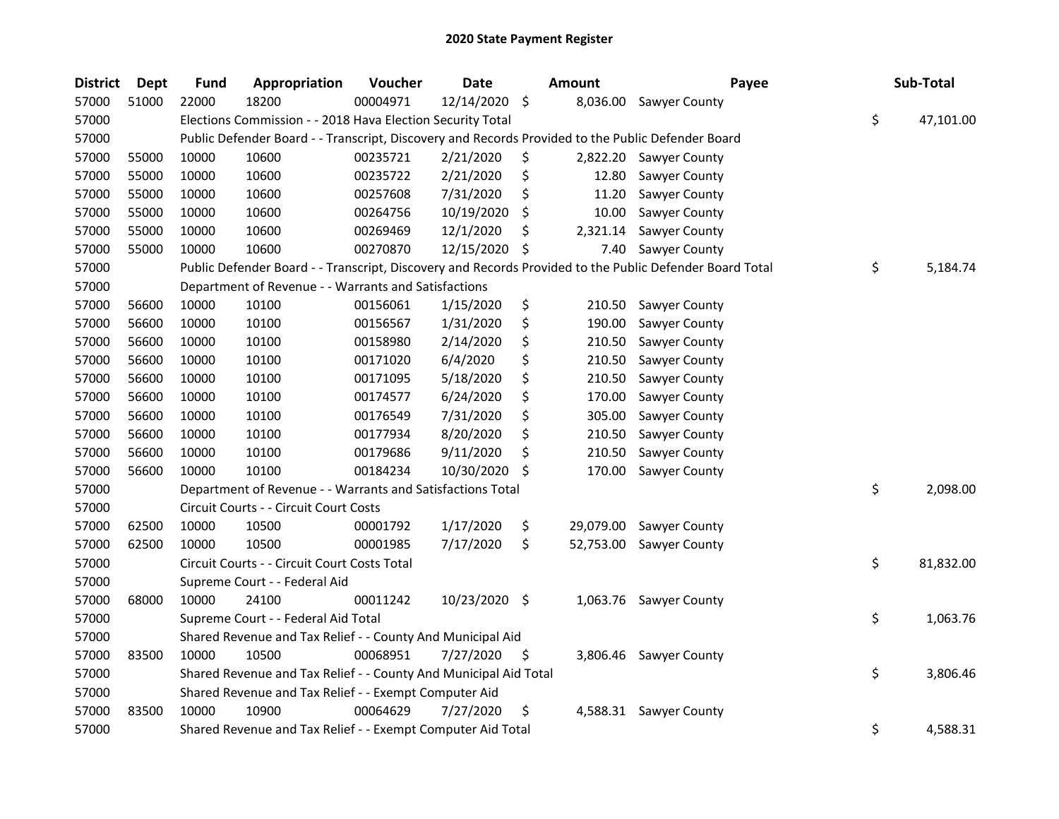| <b>District</b> | <b>Dept</b> | <b>Fund</b> | Appropriation                                                                                     | Voucher  | <b>Date</b>   |     | Amount    | Payee                                                                                                   | Sub-Total       |
|-----------------|-------------|-------------|---------------------------------------------------------------------------------------------------|----------|---------------|-----|-----------|---------------------------------------------------------------------------------------------------------|-----------------|
| 57000           | 51000       | 22000       | 18200                                                                                             | 00004971 | 12/14/2020    | \$  | 8,036.00  | Sawyer County                                                                                           |                 |
| 57000           |             |             | Elections Commission - - 2018 Hava Election Security Total                                        |          |               |     |           |                                                                                                         | \$<br>47,101.00 |
| 57000           |             |             | Public Defender Board - - Transcript, Discovery and Records Provided to the Public Defender Board |          |               |     |           |                                                                                                         |                 |
| 57000           | 55000       | 10000       | 10600                                                                                             | 00235721 | 2/21/2020     | \$  | 2,822.20  | <b>Sawyer County</b>                                                                                    |                 |
| 57000           | 55000       | 10000       | 10600                                                                                             | 00235722 | 2/21/2020     | \$  | 12.80     | Sawyer County                                                                                           |                 |
| 57000           | 55000       | 10000       | 10600                                                                                             | 00257608 | 7/31/2020     | \$  | 11.20     | Sawyer County                                                                                           |                 |
| 57000           | 55000       | 10000       | 10600                                                                                             | 00264756 | 10/19/2020    | \$  | 10.00     | Sawyer County                                                                                           |                 |
| 57000           | 55000       | 10000       | 10600                                                                                             | 00269469 | 12/1/2020     | \$  | 2,321.14  | Sawyer County                                                                                           |                 |
| 57000           | 55000       | 10000       | 10600                                                                                             | 00270870 | 12/15/2020    | \$  | 7.40      | Sawyer County                                                                                           |                 |
| 57000           |             |             |                                                                                                   |          |               |     |           | Public Defender Board - - Transcript, Discovery and Records Provided to the Public Defender Board Total | \$<br>5,184.74  |
| 57000           |             |             | Department of Revenue - - Warrants and Satisfactions                                              |          |               |     |           |                                                                                                         |                 |
| 57000           | 56600       | 10000       | 10100                                                                                             | 00156061 | 1/15/2020     | \$  | 210.50    | Sawyer County                                                                                           |                 |
| 57000           | 56600       | 10000       | 10100                                                                                             | 00156567 | 1/31/2020     | \$  | 190.00    | Sawyer County                                                                                           |                 |
| 57000           | 56600       | 10000       | 10100                                                                                             | 00158980 | 2/14/2020     | \$  | 210.50    | Sawyer County                                                                                           |                 |
| 57000           | 56600       | 10000       | 10100                                                                                             | 00171020 | 6/4/2020      | \$  | 210.50    | Sawyer County                                                                                           |                 |
| 57000           | 56600       | 10000       | 10100                                                                                             | 00171095 | 5/18/2020     | \$  | 210.50    | Sawyer County                                                                                           |                 |
| 57000           | 56600       | 10000       | 10100                                                                                             | 00174577 | 6/24/2020     | \$  | 170.00    | Sawyer County                                                                                           |                 |
| 57000           | 56600       | 10000       | 10100                                                                                             | 00176549 | 7/31/2020     | \$  | 305.00    | Sawyer County                                                                                           |                 |
| 57000           | 56600       | 10000       | 10100                                                                                             | 00177934 | 8/20/2020     | \$  | 210.50    | Sawyer County                                                                                           |                 |
| 57000           | 56600       | 10000       | 10100                                                                                             | 00179686 | 9/11/2020     | \$  | 210.50    | Sawyer County                                                                                           |                 |
| 57000           | 56600       | 10000       | 10100                                                                                             | 00184234 | 10/30/2020    | \$. | 170.00    | Sawyer County                                                                                           |                 |
| 57000           |             |             | Department of Revenue - - Warrants and Satisfactions Total                                        |          |               |     |           |                                                                                                         | \$<br>2,098.00  |
| 57000           |             |             | Circuit Courts - - Circuit Court Costs                                                            |          |               |     |           |                                                                                                         |                 |
| 57000           | 62500       | 10000       | 10500                                                                                             | 00001792 | 1/17/2020     | \$  | 29,079.00 | Sawyer County                                                                                           |                 |
| 57000           | 62500       | 10000       | 10500                                                                                             | 00001985 | 7/17/2020     | \$  | 52,753.00 | Sawyer County                                                                                           |                 |
| 57000           |             |             | Circuit Courts - - Circuit Court Costs Total                                                      |          |               |     |           |                                                                                                         | \$<br>81,832.00 |
| 57000           |             |             | Supreme Court - - Federal Aid                                                                     |          |               |     |           |                                                                                                         |                 |
| 57000           | 68000       | 10000       | 24100                                                                                             | 00011242 | 10/23/2020 \$ |     |           | 1,063.76 Sawyer County                                                                                  |                 |
| 57000           |             |             | Supreme Court - - Federal Aid Total                                                               |          |               |     |           |                                                                                                         | \$<br>1,063.76  |
| 57000           |             |             | Shared Revenue and Tax Relief - - County And Municipal Aid                                        |          |               |     |           |                                                                                                         |                 |
| 57000           | 83500       | 10000       | 10500                                                                                             | 00068951 | 7/27/2020     | \$. |           | 3,806.46 Sawyer County                                                                                  |                 |
| 57000           |             |             | Shared Revenue and Tax Relief - - County And Municipal Aid Total                                  |          |               |     |           |                                                                                                         | \$<br>3,806.46  |
| 57000           |             |             | Shared Revenue and Tax Relief - - Exempt Computer Aid                                             |          |               |     |           |                                                                                                         |                 |
| 57000           | 83500       | 10000       | 10900                                                                                             | 00064629 | 7/27/2020     | \$  |           | 4,588.31 Sawyer County                                                                                  |                 |
| 57000           |             |             | Shared Revenue and Tax Relief - - Exempt Computer Aid Total                                       |          |               |     |           |                                                                                                         | \$<br>4,588.31  |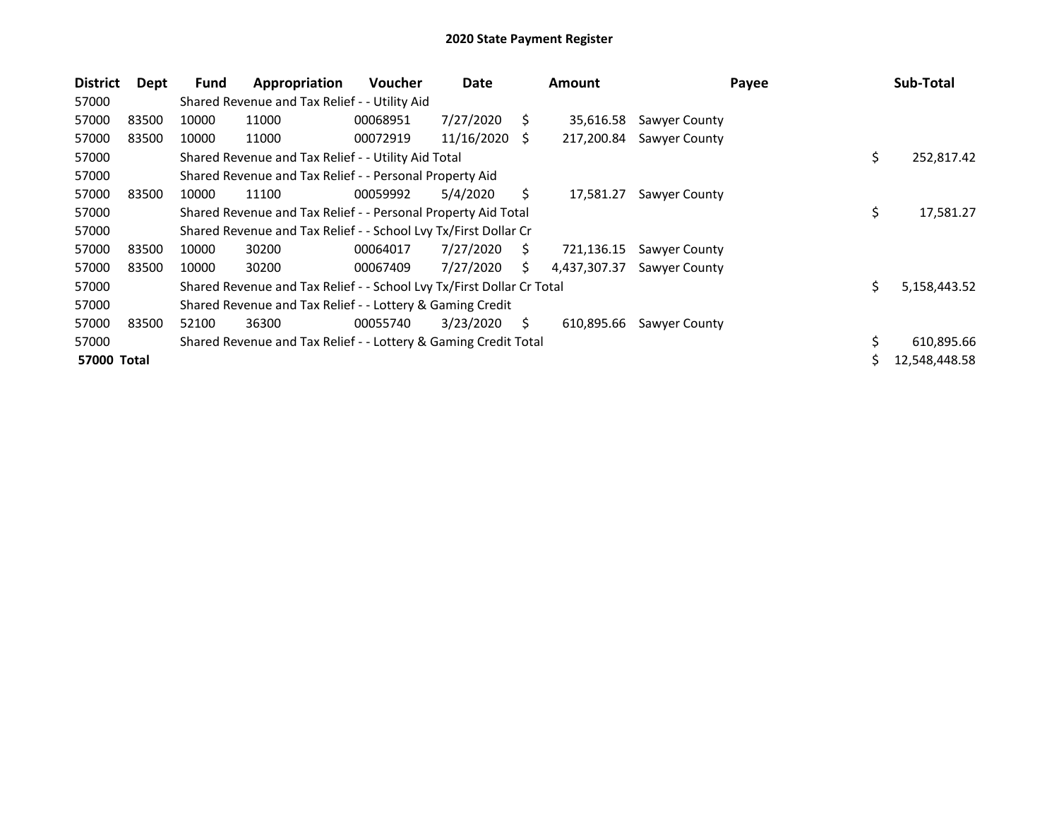| <b>District</b>    | Dept  | Fund  | Appropriation                                                         | <b>Voucher</b> | Date       |    | <b>Amount</b> | Payee                | Sub-Total          |
|--------------------|-------|-------|-----------------------------------------------------------------------|----------------|------------|----|---------------|----------------------|--------------------|
| 57000              |       |       | Shared Revenue and Tax Relief - - Utility Aid                         |                |            |    |               |                      |                    |
| 57000              | 83500 | 10000 | 11000                                                                 | 00068951       | 7/27/2020  | S. | 35,616.58     | Sawyer County        |                    |
| 57000              | 83500 | 10000 | 11000                                                                 | 00072919       | 11/16/2020 | S  | 217,200.84    | <b>Sawyer County</b> |                    |
| 57000              |       |       | Shared Revenue and Tax Relief - - Utility Aid Total                   |                |            |    |               |                      | \$<br>252,817.42   |
| 57000              |       |       | Shared Revenue and Tax Relief - - Personal Property Aid               |                |            |    |               |                      |                    |
| 57000              | 83500 | 10000 | 11100                                                                 | 00059992       | 5/4/2020   | S. | 17,581.27     | Sawyer County        |                    |
| 57000              |       |       | Shared Revenue and Tax Relief - - Personal Property Aid Total         |                |            |    |               |                      | \$<br>17,581.27    |
| 57000              |       |       | Shared Revenue and Tax Relief - - School Lvy Tx/First Dollar Cr       |                |            |    |               |                      |                    |
| 57000              | 83500 | 10000 | 30200                                                                 | 00064017       | 7/27/2020  | S. | 721,136.15    | Sawyer County        |                    |
| 57000              | 83500 | 10000 | 30200                                                                 | 00067409       | 7/27/2020  | S  | 4,437,307.37  | Sawyer County        |                    |
| 57000              |       |       | Shared Revenue and Tax Relief - - School Lvy Tx/First Dollar Cr Total |                |            |    |               |                      | \$<br>5,158,443.52 |
| 57000              |       |       | Shared Revenue and Tax Relief - - Lottery & Gaming Credit             |                |            |    |               |                      |                    |
| 57000              | 83500 | 52100 | 36300                                                                 | 00055740       | 3/23/2020  | Ŝ. | 610,895.66    | Sawyer County        |                    |
| 57000              |       |       | Shared Revenue and Tax Relief - - Lottery & Gaming Credit Total       |                |            |    |               |                      | \$<br>610,895.66   |
| <b>57000 Total</b> |       |       |                                                                       |                |            |    |               |                      | 12,548,448.58      |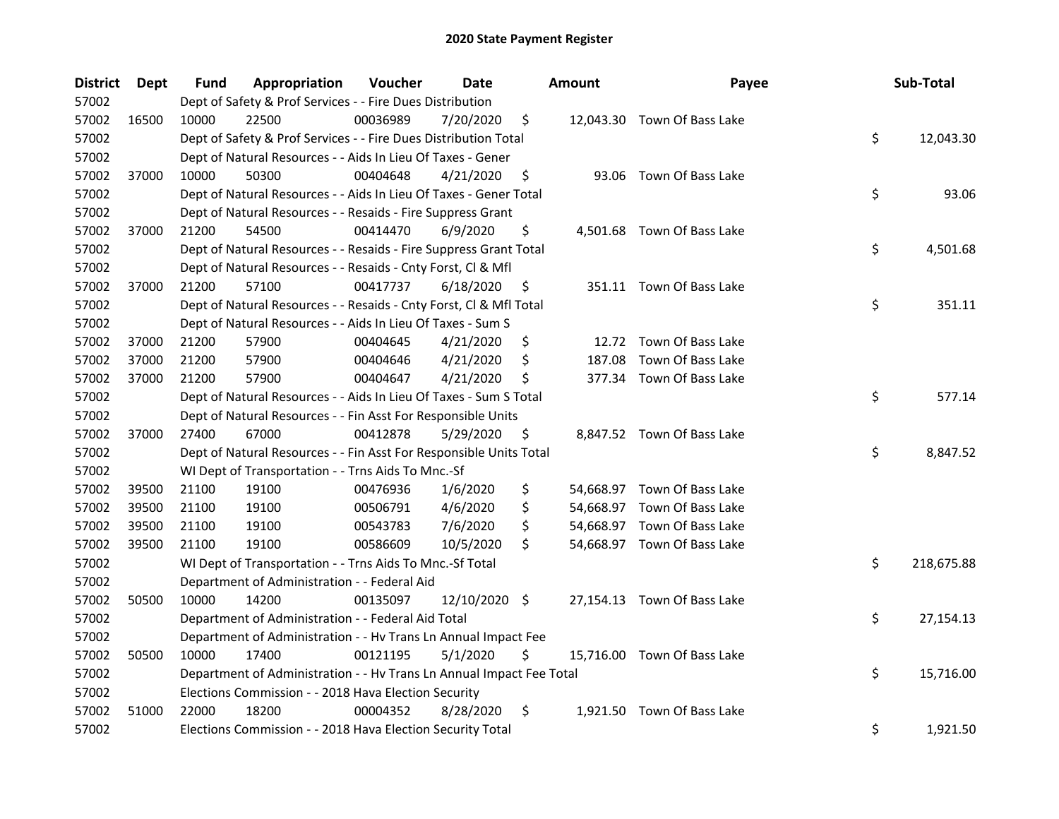| <b>District</b> | Dept  | Fund  | Appropriation                                                        | Voucher  | Date          |     | <b>Amount</b> | Payee                       | Sub-Total        |
|-----------------|-------|-------|----------------------------------------------------------------------|----------|---------------|-----|---------------|-----------------------------|------------------|
| 57002           |       |       | Dept of Safety & Prof Services - - Fire Dues Distribution            |          |               |     |               |                             |                  |
| 57002           | 16500 | 10000 | 22500                                                                | 00036989 | 7/20/2020     | \$  |               | 12,043.30 Town Of Bass Lake |                  |
| 57002           |       |       | Dept of Safety & Prof Services - - Fire Dues Distribution Total      |          |               |     |               |                             | \$<br>12,043.30  |
| 57002           |       |       | Dept of Natural Resources - - Aids In Lieu Of Taxes - Gener          |          |               |     |               |                             |                  |
| 57002           | 37000 | 10000 | 50300                                                                | 00404648 | 4/21/2020     | \$  |               | 93.06 Town Of Bass Lake     |                  |
| 57002           |       |       | Dept of Natural Resources - - Aids In Lieu Of Taxes - Gener Total    |          |               |     |               |                             | \$<br>93.06      |
| 57002           |       |       | Dept of Natural Resources - - Resaids - Fire Suppress Grant          |          |               |     |               |                             |                  |
| 57002           | 37000 | 21200 | 54500                                                                | 00414470 | 6/9/2020      | \$  |               | 4,501.68 Town Of Bass Lake  |                  |
| 57002           |       |       | Dept of Natural Resources - - Resaids - Fire Suppress Grant Total    |          |               |     |               |                             | \$<br>4,501.68   |
| 57002           |       |       | Dept of Natural Resources - - Resaids - Cnty Forst, Cl & Mfl         |          |               |     |               |                             |                  |
| 57002           | 37000 | 21200 | 57100                                                                | 00417737 | 6/18/2020     | Ş   |               | 351.11 Town Of Bass Lake    |                  |
| 57002           |       |       | Dept of Natural Resources - - Resaids - Cnty Forst, Cl & Mfl Total   |          |               |     |               |                             | \$<br>351.11     |
| 57002           |       |       | Dept of Natural Resources - - Aids In Lieu Of Taxes - Sum S          |          |               |     |               |                             |                  |
| 57002           | 37000 | 21200 | 57900                                                                | 00404645 | 4/21/2020     | \$  |               | 12.72 Town Of Bass Lake     |                  |
| 57002           | 37000 | 21200 | 57900                                                                | 00404646 | 4/21/2020     | \$, | 187.08        | Town Of Bass Lake           |                  |
| 57002           | 37000 | 21200 | 57900                                                                | 00404647 | 4/21/2020     | \$  |               | 377.34 Town Of Bass Lake    |                  |
| 57002           |       |       | Dept of Natural Resources - - Aids In Lieu Of Taxes - Sum S Total    |          |               |     |               |                             | \$<br>577.14     |
| 57002           |       |       | Dept of Natural Resources - - Fin Asst For Responsible Units         |          |               |     |               |                             |                  |
| 57002           | 37000 | 27400 | 67000                                                                | 00412878 | 5/29/2020     | \$  |               | 8,847.52 Town Of Bass Lake  |                  |
| 57002           |       |       | Dept of Natural Resources - - Fin Asst For Responsible Units Total   |          |               |     |               |                             | \$<br>8,847.52   |
| 57002           |       |       | WI Dept of Transportation - - Trns Aids To Mnc.-Sf                   |          |               |     |               |                             |                  |
| 57002           | 39500 | 21100 | 19100                                                                | 00476936 | 1/6/2020      | \$  |               | 54,668.97 Town Of Bass Lake |                  |
| 57002           | 39500 | 21100 | 19100                                                                | 00506791 | 4/6/2020      | \$  |               | 54,668.97 Town Of Bass Lake |                  |
| 57002           | 39500 | 21100 | 19100                                                                | 00543783 | 7/6/2020      | \$  |               | 54,668.97 Town Of Bass Lake |                  |
| 57002           | 39500 | 21100 | 19100                                                                | 00586609 | 10/5/2020     | \$  |               | 54,668.97 Town Of Bass Lake |                  |
| 57002           |       |       | WI Dept of Transportation - - Trns Aids To Mnc.-Sf Total             |          |               |     |               |                             | \$<br>218,675.88 |
| 57002           |       |       | Department of Administration - - Federal Aid                         |          |               |     |               |                             |                  |
| 57002           | 50500 | 10000 | 14200                                                                | 00135097 | 12/10/2020 \$ |     |               | 27,154.13 Town Of Bass Lake |                  |
| 57002           |       |       | Department of Administration - - Federal Aid Total                   |          |               |     |               |                             | \$<br>27,154.13  |
| 57002           |       |       | Department of Administration - - Hv Trans Ln Annual Impact Fee       |          |               |     |               |                             |                  |
| 57002           | 50500 | 10000 | 17400                                                                | 00121195 | 5/1/2020      | \$  |               | 15,716.00 Town Of Bass Lake |                  |
| 57002           |       |       | Department of Administration - - Hv Trans Ln Annual Impact Fee Total |          |               |     |               |                             | \$<br>15,716.00  |
| 57002           |       |       | Elections Commission - - 2018 Hava Election Security                 |          |               |     |               |                             |                  |
| 57002           | 51000 | 22000 | 18200                                                                | 00004352 | 8/28/2020     | \$  |               | 1,921.50 Town Of Bass Lake  |                  |
| 57002           |       |       | Elections Commission - - 2018 Hava Election Security Total           |          |               |     |               |                             | \$<br>1,921.50   |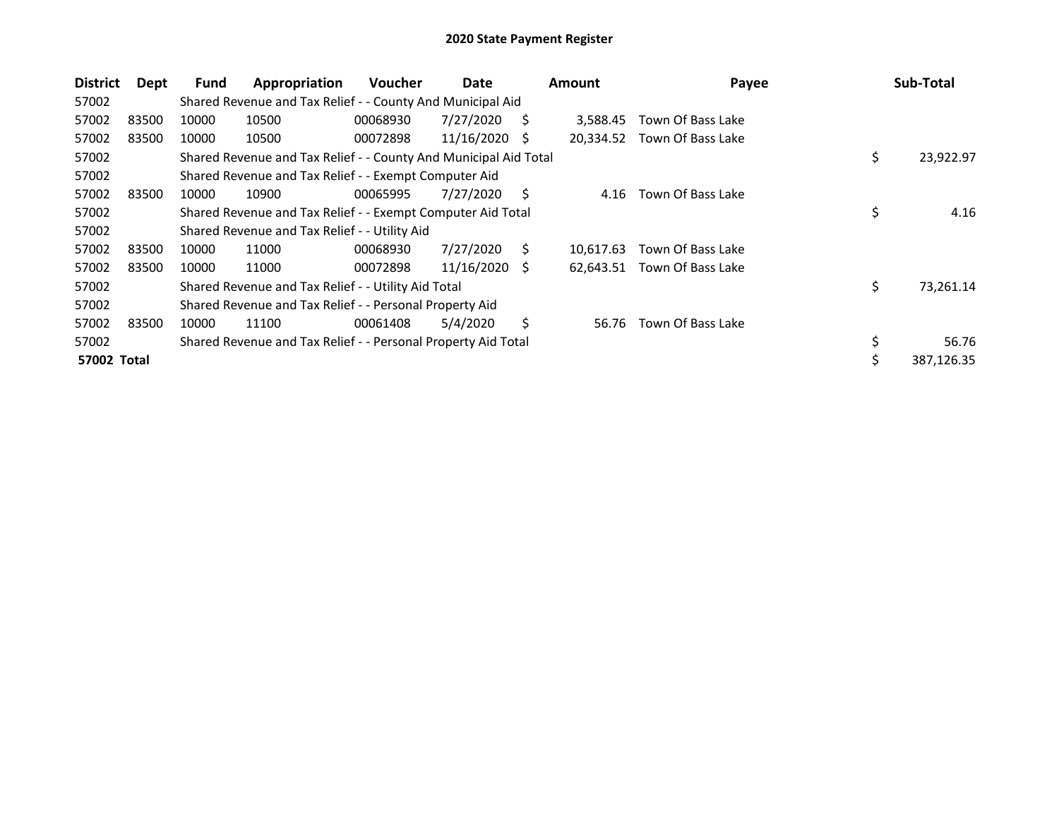| <b>District</b>    | Dept  | Fund  | Appropriation                                                    | <b>Voucher</b> | Date       |    | <b>Amount</b> | Payee             | Sub-Total       |
|--------------------|-------|-------|------------------------------------------------------------------|----------------|------------|----|---------------|-------------------|-----------------|
| 57002              |       |       | Shared Revenue and Tax Relief - - County And Municipal Aid       |                |            |    |               |                   |                 |
| 57002              | 83500 | 10000 | 10500                                                            | 00068930       | 7/27/2020  | S  | 3.588.45      | Town Of Bass Lake |                 |
| 57002              | 83500 | 10000 | 10500                                                            | 00072898       | 11/16/2020 | S  | 20,334.52     | Town Of Bass Lake |                 |
| 57002              |       |       | Shared Revenue and Tax Relief - - County And Municipal Aid Total |                |            |    |               |                   | \$<br>23,922.97 |
| 57002              |       |       | Shared Revenue and Tax Relief - - Exempt Computer Aid            |                |            |    |               |                   |                 |
| 57002              | 83500 | 10000 | 10900                                                            | 00065995       | 7/27/2020  | S. | 4.16          | Town Of Bass Lake |                 |
| 57002              |       |       | Shared Revenue and Tax Relief - - Exempt Computer Aid Total      |                |            |    |               |                   | \$<br>4.16      |
| 57002              |       |       | Shared Revenue and Tax Relief - - Utility Aid                    |                |            |    |               |                   |                 |
| 57002              | 83500 | 10000 | 11000                                                            | 00068930       | 7/27/2020  | Ś. | 10.617.63     | Town Of Bass Lake |                 |
| 57002              | 83500 | 10000 | 11000                                                            | 00072898       | 11/16/2020 | Ŝ. | 62,643.51     | Town Of Bass Lake |                 |
| 57002              |       |       | Shared Revenue and Tax Relief - - Utility Aid Total              |                |            |    |               |                   | \$<br>73,261.14 |
| 57002              |       |       | Shared Revenue and Tax Relief - - Personal Property Aid          |                |            |    |               |                   |                 |
| 57002              | 83500 | 10000 | 11100                                                            | 00061408       | 5/4/2020   | Ś  | 56.76         | Town Of Bass Lake |                 |
| 57002              |       |       | Shared Revenue and Tax Relief - - Personal Property Aid Total    |                |            |    |               |                   | \$<br>56.76     |
| <b>57002 Total</b> |       |       |                                                                  |                |            |    |               |                   | 387,126.35      |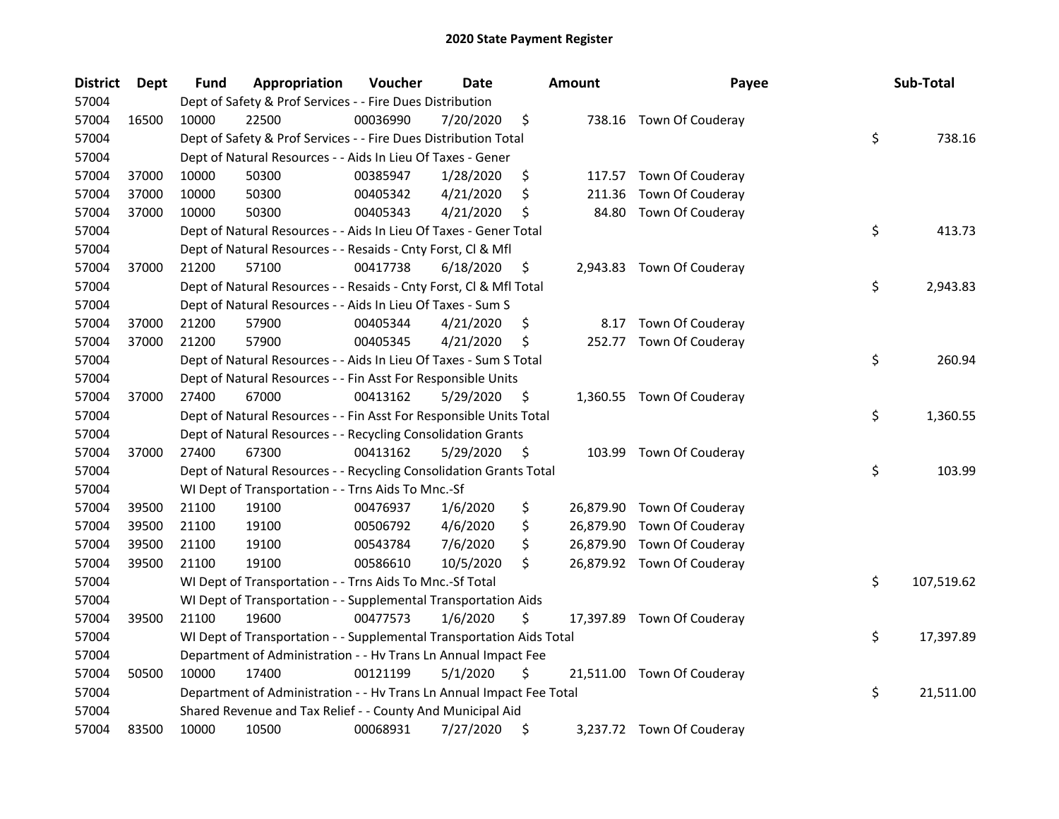| <b>District</b> | Dept  | <b>Fund</b> | Appropriation                                                        | Voucher  | <b>Date</b> |     | <b>Amount</b> | Payee                      | Sub-Total        |
|-----------------|-------|-------------|----------------------------------------------------------------------|----------|-------------|-----|---------------|----------------------------|------------------|
| 57004           |       |             | Dept of Safety & Prof Services - - Fire Dues Distribution            |          |             |     |               |                            |                  |
| 57004           | 16500 | 10000       | 22500                                                                | 00036990 | 7/20/2020   | \$  |               | 738.16 Town Of Couderay    |                  |
| 57004           |       |             | Dept of Safety & Prof Services - - Fire Dues Distribution Total      |          |             |     |               |                            | \$<br>738.16     |
| 57004           |       |             | Dept of Natural Resources - - Aids In Lieu Of Taxes - Gener          |          |             |     |               |                            |                  |
| 57004           | 37000 | 10000       | 50300                                                                | 00385947 | 1/28/2020   | \$  |               | 117.57 Town Of Couderay    |                  |
| 57004           | 37000 | 10000       | 50300                                                                | 00405342 | 4/21/2020   | \$  | 211.36        | Town Of Couderay           |                  |
| 57004           | 37000 | 10000       | 50300                                                                | 00405343 | 4/21/2020   | \$, | 84.80         | Town Of Couderay           |                  |
| 57004           |       |             | Dept of Natural Resources - - Aids In Lieu Of Taxes - Gener Total    |          |             |     |               |                            | \$<br>413.73     |
| 57004           |       |             | Dept of Natural Resources - - Resaids - Cnty Forst, Cl & Mfl         |          |             |     |               |                            |                  |
| 57004           | 37000 | 21200       | 57100                                                                | 00417738 | 6/18/2020   | \$  |               | 2,943.83 Town Of Couderay  |                  |
| 57004           |       |             | Dept of Natural Resources - - Resaids - Cnty Forst, Cl & Mfl Total   |          |             |     |               |                            | \$<br>2,943.83   |
| 57004           |       |             | Dept of Natural Resources - - Aids In Lieu Of Taxes - Sum S          |          |             |     |               |                            |                  |
| 57004           | 37000 | 21200       | 57900                                                                | 00405344 | 4/21/2020   | \$. | 8.17          | Town Of Couderay           |                  |
| 57004           | 37000 | 21200       | 57900                                                                | 00405345 | 4/21/2020   | \$  |               | 252.77 Town Of Couderay    |                  |
| 57004           |       |             | Dept of Natural Resources - - Aids In Lieu Of Taxes - Sum S Total    |          |             |     |               |                            | \$<br>260.94     |
| 57004           |       |             | Dept of Natural Resources - - Fin Asst For Responsible Units         |          |             |     |               |                            |                  |
| 57004           | 37000 | 27400       | 67000                                                                | 00413162 | 5/29/2020   | \$  |               | 1,360.55 Town Of Couderay  |                  |
| 57004           |       |             | Dept of Natural Resources - - Fin Asst For Responsible Units Total   |          |             |     |               |                            | \$<br>1,360.55   |
| 57004           |       |             | Dept of Natural Resources - - Recycling Consolidation Grants         |          |             |     |               |                            |                  |
| 57004           | 37000 | 27400       | 67300                                                                | 00413162 | 5/29/2020   | \$  |               | 103.99 Town Of Couderay    |                  |
| 57004           |       |             | Dept of Natural Resources - - Recycling Consolidation Grants Total   |          |             |     |               |                            | \$<br>103.99     |
| 57004           |       |             | WI Dept of Transportation - - Trns Aids To Mnc.-Sf                   |          |             |     |               |                            |                  |
| 57004           | 39500 | 21100       | 19100                                                                | 00476937 | 1/6/2020    | \$  |               | 26,879.90 Town Of Couderay |                  |
| 57004           | 39500 | 21100       | 19100                                                                | 00506792 | 4/6/2020    | \$  |               | 26,879.90 Town Of Couderay |                  |
| 57004           | 39500 | 21100       | 19100                                                                | 00543784 | 7/6/2020    | \$  |               | 26,879.90 Town Of Couderay |                  |
| 57004           | 39500 | 21100       | 19100                                                                | 00586610 | 10/5/2020   | \$  |               | 26,879.92 Town Of Couderay |                  |
| 57004           |       |             | WI Dept of Transportation - - Trns Aids To Mnc.-Sf Total             |          |             |     |               |                            | \$<br>107,519.62 |
| 57004           |       |             | WI Dept of Transportation - - Supplemental Transportation Aids       |          |             |     |               |                            |                  |
| 57004           | 39500 | 21100       | 19600                                                                | 00477573 | 1/6/2020    | \$  |               | 17,397.89 Town Of Couderay |                  |
| 57004           |       |             | WI Dept of Transportation - - Supplemental Transportation Aids Total |          |             |     |               |                            | \$<br>17,397.89  |
| 57004           |       |             | Department of Administration - - Hv Trans Ln Annual Impact Fee       |          |             |     |               |                            |                  |
| 57004           | 50500 | 10000       | 17400                                                                | 00121199 | 5/1/2020    | \$  |               | 21,511.00 Town Of Couderay |                  |
| 57004           |       |             | Department of Administration - - Hv Trans Ln Annual Impact Fee Total |          |             |     |               |                            | \$<br>21,511.00  |
| 57004           |       |             | Shared Revenue and Tax Relief - - County And Municipal Aid           |          |             |     |               |                            |                  |
| 57004           | 83500 | 10000       | 10500                                                                | 00068931 | 7/27/2020   | \$  |               | 3,237.72 Town Of Couderay  |                  |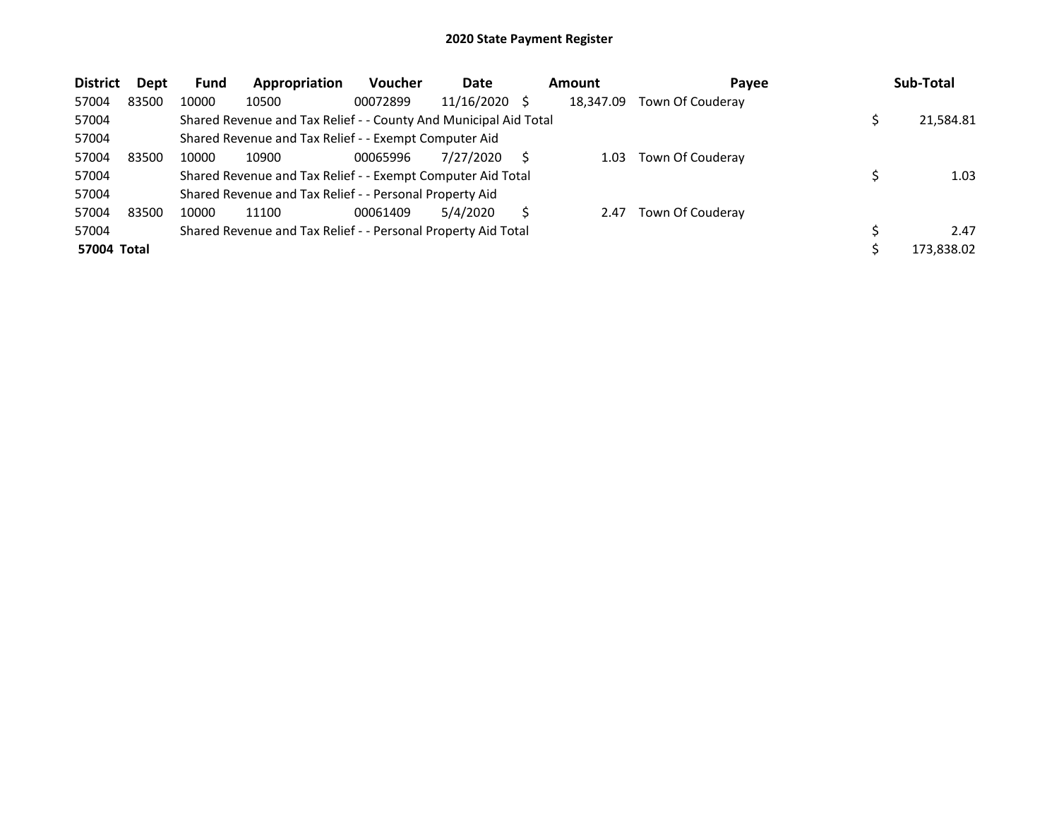| <b>District</b> | Dept  | <b>Fund</b> | Appropriation                                                    | <b>Voucher</b> | Date            | Amount    | Payee            | Sub-Total  |
|-----------------|-------|-------------|------------------------------------------------------------------|----------------|-----------------|-----------|------------------|------------|
| 57004           | 83500 | 10000       | 10500                                                            | 00072899       | $11/16/2020$ \$ | 18.347.09 | Town Of Couderay |            |
| 57004           |       |             | Shared Revenue and Tax Relief - - County And Municipal Aid Total |                |                 |           |                  | 21,584.81  |
| 57004           |       |             | Shared Revenue and Tax Relief - - Exempt Computer Aid            |                |                 |           |                  |            |
| 57004           | 83500 | 10000       | 10900                                                            | 00065996       | 7/27/2020       | 1.03      | Town Of Couderay |            |
| 57004           |       |             | Shared Revenue and Tax Relief - - Exempt Computer Aid Total      |                |                 |           |                  | 1.03       |
| 57004           |       |             | Shared Revenue and Tax Relief - - Personal Property Aid          |                |                 |           |                  |            |
| 57004           | 83500 | 10000       | 11100                                                            | 00061409       | 5/4/2020        | 2.47      | Town Of Couderay |            |
| 57004           |       |             | Shared Revenue and Tax Relief - - Personal Property Aid Total    |                |                 |           |                  | 2.47       |
| 57004 Total     |       |             |                                                                  |                |                 |           |                  | 173,838.02 |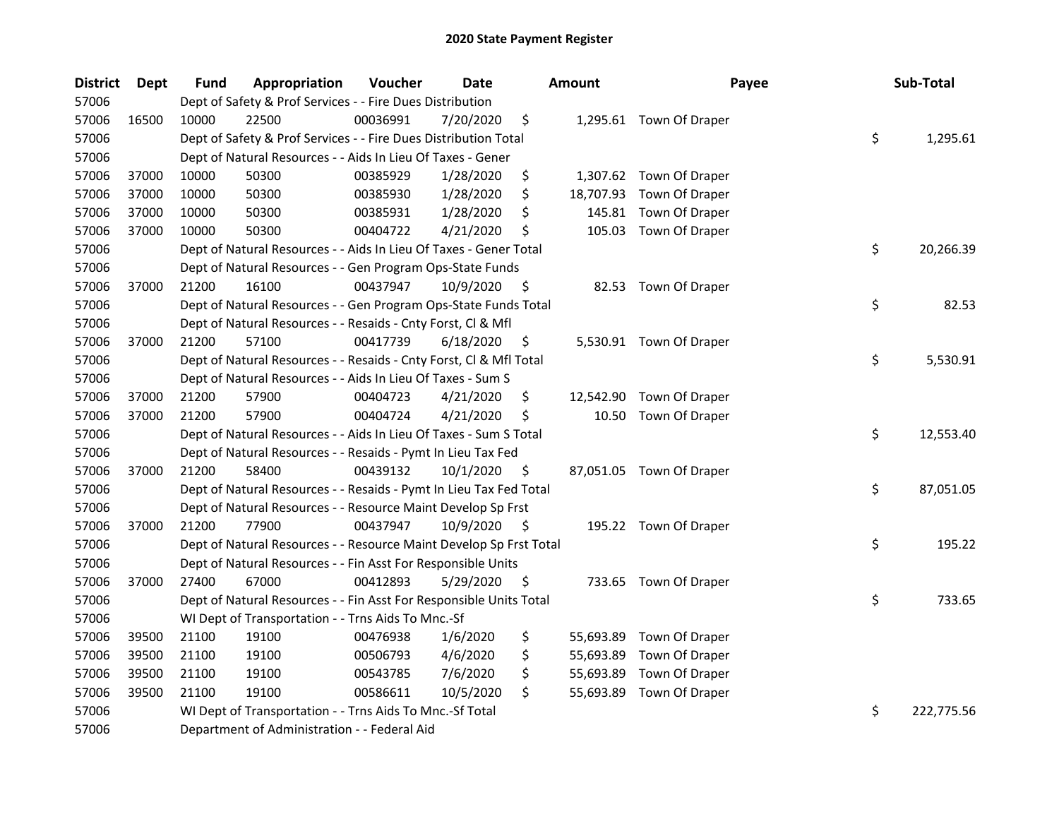| <b>District</b> | Dept  | Fund  | Appropriation                                                      | Voucher  | <b>Date</b> |    | <b>Amount</b> | Payee                    | Sub-Total        |
|-----------------|-------|-------|--------------------------------------------------------------------|----------|-------------|----|---------------|--------------------------|------------------|
| 57006           |       |       | Dept of Safety & Prof Services - - Fire Dues Distribution          |          |             |    |               |                          |                  |
| 57006           | 16500 | 10000 | 22500                                                              | 00036991 | 7/20/2020   | \$ |               | 1,295.61 Town Of Draper  |                  |
| 57006           |       |       | Dept of Safety & Prof Services - - Fire Dues Distribution Total    |          |             |    |               |                          | \$<br>1,295.61   |
| 57006           |       |       | Dept of Natural Resources - - Aids In Lieu Of Taxes - Gener        |          |             |    |               |                          |                  |
| 57006           | 37000 | 10000 | 50300                                                              | 00385929 | 1/28/2020   | \$ |               | 1,307.62 Town Of Draper  |                  |
| 57006           | 37000 | 10000 | 50300                                                              | 00385930 | 1/28/2020   | \$ | 18,707.93     | Town Of Draper           |                  |
| 57006           | 37000 | 10000 | 50300                                                              | 00385931 | 1/28/2020   | \$ | 145.81        | Town Of Draper           |                  |
| 57006           | 37000 | 10000 | 50300                                                              | 00404722 | 4/21/2020   | \$ | 105.03        | Town Of Draper           |                  |
| 57006           |       |       | Dept of Natural Resources - - Aids In Lieu Of Taxes - Gener Total  |          |             |    |               |                          | \$<br>20,266.39  |
| 57006           |       |       | Dept of Natural Resources - - Gen Program Ops-State Funds          |          |             |    |               |                          |                  |
| 57006           | 37000 | 21200 | 16100                                                              | 00437947 | 10/9/2020   | \$ |               | 82.53 Town Of Draper     |                  |
| 57006           |       |       | Dept of Natural Resources - - Gen Program Ops-State Funds Total    |          |             |    |               |                          | \$<br>82.53      |
| 57006           |       |       | Dept of Natural Resources - - Resaids - Cnty Forst, Cl & Mfl       |          |             |    |               |                          |                  |
| 57006           | 37000 | 21200 | 57100                                                              | 00417739 | 6/18/2020   | \$ |               | 5,530.91 Town Of Draper  |                  |
| 57006           |       |       | Dept of Natural Resources - - Resaids - Cnty Forst, CI & Mfl Total |          |             |    |               |                          | \$<br>5,530.91   |
| 57006           |       |       | Dept of Natural Resources - - Aids In Lieu Of Taxes - Sum S        |          |             |    |               |                          |                  |
| 57006           | 37000 | 21200 | 57900                                                              | 00404723 | 4/21/2020   | \$ |               | 12,542.90 Town Of Draper |                  |
| 57006           | 37000 | 21200 | 57900                                                              | 00404724 | 4/21/2020   | \$ | 10.50         | Town Of Draper           |                  |
| 57006           |       |       | Dept of Natural Resources - - Aids In Lieu Of Taxes - Sum S Total  |          |             |    |               |                          | \$<br>12,553.40  |
| 57006           |       |       | Dept of Natural Resources - - Resaids - Pymt In Lieu Tax Fed       |          |             |    |               |                          |                  |
| 57006           | 37000 | 21200 | 58400                                                              | 00439132 | 10/1/2020   | \$ |               | 87,051.05 Town Of Draper |                  |
| 57006           |       |       | Dept of Natural Resources - - Resaids - Pymt In Lieu Tax Fed Total |          |             |    |               |                          | \$<br>87,051.05  |
| 57006           |       |       | Dept of Natural Resources - - Resource Maint Develop Sp Frst       |          |             |    |               |                          |                  |
| 57006           | 37000 | 21200 | 77900                                                              | 00437947 | 10/9/2020   | -S |               | 195.22 Town Of Draper    |                  |
| 57006           |       |       | Dept of Natural Resources - - Resource Maint Develop Sp Frst Total |          |             |    |               |                          | \$<br>195.22     |
| 57006           |       |       | Dept of Natural Resources - - Fin Asst For Responsible Units       |          |             |    |               |                          |                  |
| 57006           | 37000 | 27400 | 67000                                                              | 00412893 | 5/29/2020   | S  |               | 733.65 Town Of Draper    |                  |
| 57006           |       |       | Dept of Natural Resources - - Fin Asst For Responsible Units Total |          |             |    |               |                          | \$<br>733.65     |
| 57006           |       |       | WI Dept of Transportation - - Trns Aids To Mnc.-Sf                 |          |             |    |               |                          |                  |
| 57006           | 39500 | 21100 | 19100                                                              | 00476938 | 1/6/2020    | \$ | 55,693.89     | Town Of Draper           |                  |
| 57006           | 39500 | 21100 | 19100                                                              | 00506793 | 4/6/2020    | \$ | 55,693.89     | Town Of Draper           |                  |
| 57006           | 39500 | 21100 | 19100                                                              | 00543785 | 7/6/2020    | \$ | 55,693.89     | Town Of Draper           |                  |
| 57006           | 39500 | 21100 | 19100                                                              | 00586611 | 10/5/2020   | \$ | 55,693.89     | Town Of Draper           |                  |
| 57006           |       |       | WI Dept of Transportation - - Trns Aids To Mnc.-Sf Total           |          |             |    |               |                          | \$<br>222,775.56 |
| 57006           |       |       | Department of Administration - - Federal Aid                       |          |             |    |               |                          |                  |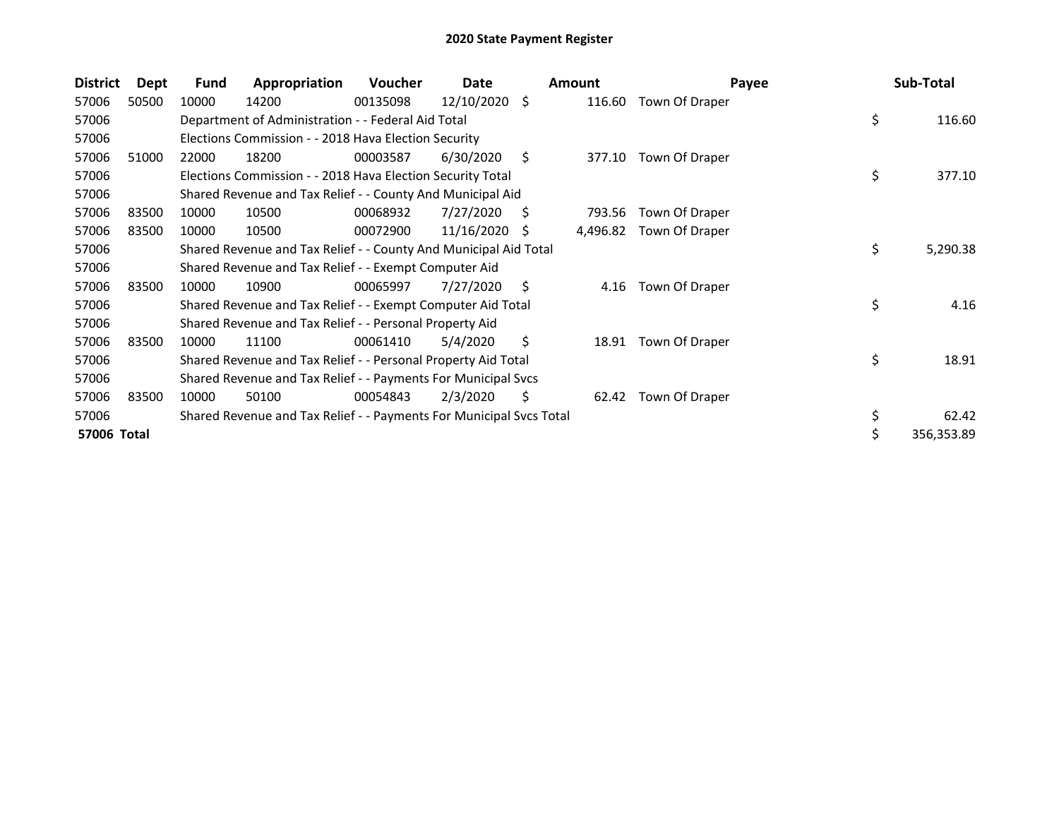| <b>District</b> | Dept  | <b>Fund</b> | Appropriation                                                       | <b>Voucher</b> | Date       |     | <b>Amount</b> | Payee          | Sub-Total        |
|-----------------|-------|-------------|---------------------------------------------------------------------|----------------|------------|-----|---------------|----------------|------------------|
| 57006           | 50500 | 10000       | 14200                                                               | 00135098       | 12/10/2020 | S.  | 116.60        | Town Of Draper |                  |
| 57006           |       |             | Department of Administration - - Federal Aid Total                  |                |            |     |               |                | \$<br>116.60     |
| 57006           |       |             | Elections Commission - - 2018 Hava Election Security                |                |            |     |               |                |                  |
| 57006           | 51000 | 22000       | 18200                                                               | 00003587       | 6/30/2020  | \$. | 377.10        | Town Of Draper |                  |
| 57006           |       |             | Elections Commission - - 2018 Hava Election Security Total          |                |            |     |               |                | \$<br>377.10     |
| 57006           |       |             | Shared Revenue and Tax Relief - - County And Municipal Aid          |                |            |     |               |                |                  |
| 57006           | 83500 | 10000       | 10500                                                               | 00068932       | 7/27/2020  | S   | 793.56        | Town Of Draper |                  |
| 57006           | 83500 | 10000       | 10500                                                               | 00072900       | 11/16/2020 | -S  | 4,496.82      | Town Of Draper |                  |
| 57006           |       |             | Shared Revenue and Tax Relief - - County And Municipal Aid Total    |                |            |     |               |                | \$<br>5,290.38   |
| 57006           |       |             | Shared Revenue and Tax Relief - - Exempt Computer Aid               |                |            |     |               |                |                  |
| 57006           | 83500 | 10000       | 10900                                                               | 00065997       | 7/27/2020  | \$  | 4.16          | Town Of Draper |                  |
| 57006           |       |             | Shared Revenue and Tax Relief - - Exempt Computer Aid Total         |                |            |     |               |                | \$<br>4.16       |
| 57006           |       |             | Shared Revenue and Tax Relief - - Personal Property Aid             |                |            |     |               |                |                  |
| 57006           | 83500 | 10000       | 11100                                                               | 00061410       | 5/4/2020   | \$  | 18.91         | Town Of Draper |                  |
| 57006           |       |             | Shared Revenue and Tax Relief - - Personal Property Aid Total       |                |            |     |               |                | \$<br>18.91      |
| 57006           |       |             | Shared Revenue and Tax Relief - - Payments For Municipal Svcs       |                |            |     |               |                |                  |
| 57006           | 83500 | 10000       | 50100                                                               | 00054843       | 2/3/2020   | S   | 62.42         | Town Of Draper |                  |
| 57006           |       |             | Shared Revenue and Tax Relief - - Payments For Municipal Svcs Total |                |            |     |               |                | \$<br>62.42      |
| 57006 Total     |       |             |                                                                     |                |            |     |               |                | \$<br>356,353.89 |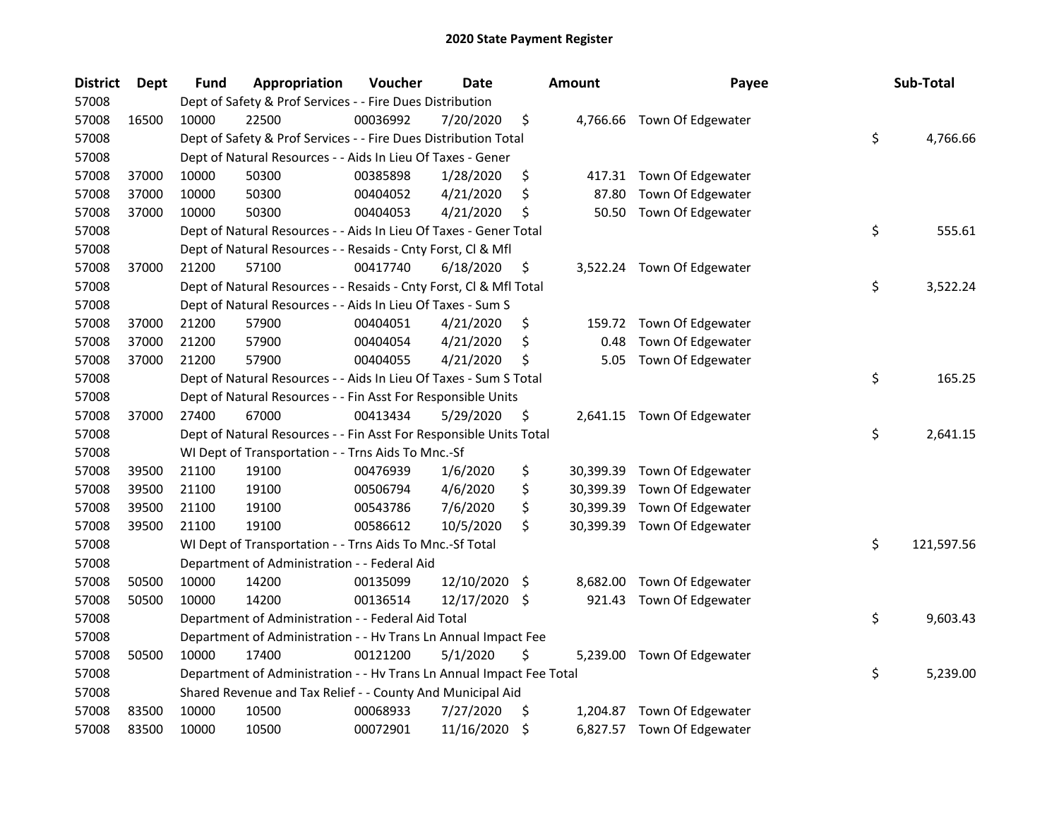| <b>District</b> | Dept  | Fund  | Appropriation                                                        | Voucher  | <b>Date</b>   |      | <b>Amount</b> | Payee                       | Sub-Total        |
|-----------------|-------|-------|----------------------------------------------------------------------|----------|---------------|------|---------------|-----------------------------|------------------|
| 57008           |       |       | Dept of Safety & Prof Services - - Fire Dues Distribution            |          |               |      |               |                             |                  |
| 57008           | 16500 | 10000 | 22500                                                                | 00036992 | 7/20/2020     | \$   |               | 4,766.66 Town Of Edgewater  |                  |
| 57008           |       |       | Dept of Safety & Prof Services - - Fire Dues Distribution Total      |          |               |      |               |                             | \$<br>4,766.66   |
| 57008           |       |       | Dept of Natural Resources - - Aids In Lieu Of Taxes - Gener          |          |               |      |               |                             |                  |
| 57008           | 37000 | 10000 | 50300                                                                | 00385898 | 1/28/2020     | \$   |               | 417.31 Town Of Edgewater    |                  |
| 57008           | 37000 | 10000 | 50300                                                                | 00404052 | 4/21/2020     | \$   | 87.80         | Town Of Edgewater           |                  |
| 57008           | 37000 | 10000 | 50300                                                                | 00404053 | 4/21/2020     | \$   | 50.50         | Town Of Edgewater           |                  |
| 57008           |       |       | Dept of Natural Resources - - Aids In Lieu Of Taxes - Gener Total    |          |               |      |               |                             | \$<br>555.61     |
| 57008           |       |       | Dept of Natural Resources - - Resaids - Cnty Forst, Cl & Mfl         |          |               |      |               |                             |                  |
| 57008           | 37000 | 21200 | 57100                                                                | 00417740 | 6/18/2020     | \$   |               | 3,522.24 Town Of Edgewater  |                  |
| 57008           |       |       | Dept of Natural Resources - - Resaids - Cnty Forst, Cl & Mfl Total   |          |               |      |               |                             | \$<br>3,522.24   |
| 57008           |       |       | Dept of Natural Resources - - Aids In Lieu Of Taxes - Sum S          |          |               |      |               |                             |                  |
| 57008           | 37000 | 21200 | 57900                                                                | 00404051 | 4/21/2020     | \$   | 159.72        | Town Of Edgewater           |                  |
| 57008           | 37000 | 21200 | 57900                                                                | 00404054 | 4/21/2020     | \$   | 0.48          | Town Of Edgewater           |                  |
| 57008           | 37000 | 21200 | 57900                                                                | 00404055 | 4/21/2020     | \$   | 5.05          | Town Of Edgewater           |                  |
| 57008           |       |       | Dept of Natural Resources - - Aids In Lieu Of Taxes - Sum S Total    |          |               |      |               |                             | \$<br>165.25     |
| 57008           |       |       | Dept of Natural Resources - - Fin Asst For Responsible Units         |          |               |      |               |                             |                  |
| 57008           | 37000 | 27400 | 67000                                                                | 00413434 | 5/29/2020     | \$   |               | 2,641.15 Town Of Edgewater  |                  |
| 57008           |       |       | Dept of Natural Resources - - Fin Asst For Responsible Units Total   |          |               |      |               |                             | \$<br>2,641.15   |
| 57008           |       |       | WI Dept of Transportation - - Trns Aids To Mnc.-Sf                   |          |               |      |               |                             |                  |
| 57008           | 39500 | 21100 | 19100                                                                | 00476939 | 1/6/2020      | \$   | 30,399.39     | Town Of Edgewater           |                  |
| 57008           | 39500 | 21100 | 19100                                                                | 00506794 | 4/6/2020      | \$   | 30,399.39     | Town Of Edgewater           |                  |
| 57008           | 39500 | 21100 | 19100                                                                | 00543786 | 7/6/2020      | \$   | 30,399.39     | Town Of Edgewater           |                  |
| 57008           | 39500 | 21100 | 19100                                                                | 00586612 | 10/5/2020     | \$   |               | 30,399.39 Town Of Edgewater |                  |
| 57008           |       |       | WI Dept of Transportation - - Trns Aids To Mnc.-Sf Total             |          |               |      |               |                             | \$<br>121,597.56 |
| 57008           |       |       | Department of Administration - - Federal Aid                         |          |               |      |               |                             |                  |
| 57008           | 50500 | 10000 | 14200                                                                | 00135099 | 12/10/2020    | - \$ | 8,682.00      | Town Of Edgewater           |                  |
| 57008           | 50500 | 10000 | 14200                                                                | 00136514 | 12/17/2020 \$ |      | 921.43        | Town Of Edgewater           |                  |
| 57008           |       |       | Department of Administration - - Federal Aid Total                   |          |               |      |               |                             | \$<br>9,603.43   |
| 57008           |       |       | Department of Administration - - Hv Trans Ln Annual Impact Fee       |          |               |      |               |                             |                  |
| 57008           | 50500 | 10000 | 17400                                                                | 00121200 | 5/1/2020      | \$   |               | 5,239.00 Town Of Edgewater  |                  |
| 57008           |       |       | Department of Administration - - Hv Trans Ln Annual Impact Fee Total |          |               |      |               |                             | \$<br>5,239.00   |
| 57008           |       |       | Shared Revenue and Tax Relief - - County And Municipal Aid           |          |               |      |               |                             |                  |
| 57008           | 83500 | 10000 | 10500                                                                | 00068933 | 7/27/2020     | \$   | 1,204.87      | Town Of Edgewater           |                  |
| 57008           | 83500 | 10000 | 10500                                                                | 00072901 | 11/16/2020    | \$   |               | 6,827.57 Town Of Edgewater  |                  |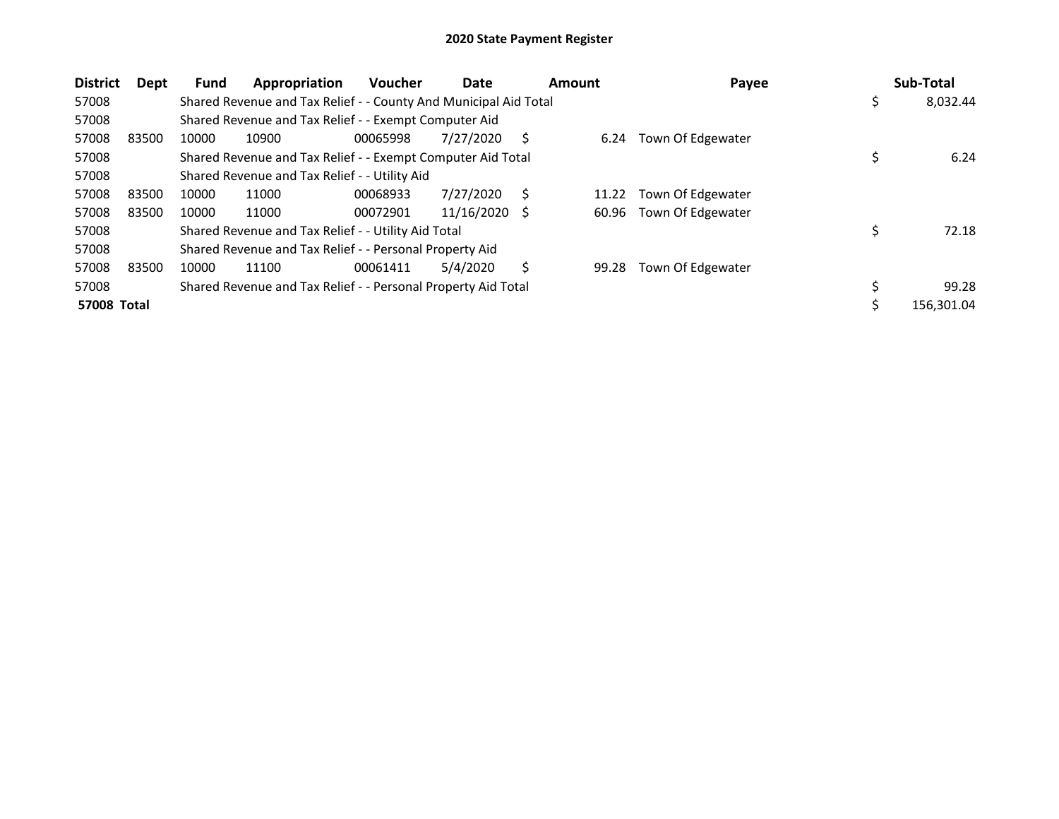| <b>District</b>    | Dept  | Fund  | Appropriation                                                    | <b>Voucher</b> | Date       | Amount |       | Payee             | Sub-Total      |
|--------------------|-------|-------|------------------------------------------------------------------|----------------|------------|--------|-------|-------------------|----------------|
| 57008              |       |       | Shared Revenue and Tax Relief - - County And Municipal Aid Total |                |            |        |       |                   | \$<br>8,032.44 |
| 57008              |       |       | Shared Revenue and Tax Relief - - Exempt Computer Aid            |                |            |        |       |                   |                |
| 57008              | 83500 | 10000 | 10900                                                            | 00065998       | 7/27/2020  | S      | 6.24  | Town Of Edgewater |                |
| 57008              |       |       | Shared Revenue and Tax Relief - - Exempt Computer Aid Total      |                |            |        |       |                   | 6.24           |
| 57008              |       |       | Shared Revenue and Tax Relief - - Utility Aid                    |                |            |        |       |                   |                |
| 57008              | 83500 | 10000 | 11000                                                            | 00068933       | 7/27/2020  | S      | 11.22 | Town Of Edgewater |                |
| 57008              | 83500 | 10000 | 11000                                                            | 00072901       | 11/16/2020 | S      | 60.96 | Town Of Edgewater |                |
| 57008              |       |       | Shared Revenue and Tax Relief - - Utility Aid Total              |                |            |        |       |                   | \$<br>72.18    |
| 57008              |       |       | Shared Revenue and Tax Relief - - Personal Property Aid          |                |            |        |       |                   |                |
| 57008              | 83500 | 10000 | 11100                                                            | 00061411       | 5/4/2020   | S      | 99.28 | Town Of Edgewater |                |
| 57008              |       |       | Shared Revenue and Tax Relief - - Personal Property Aid Total    |                |            |        |       |                   | 99.28          |
| <b>57008 Total</b> |       |       |                                                                  |                |            |        |       |                   | 156,301.04     |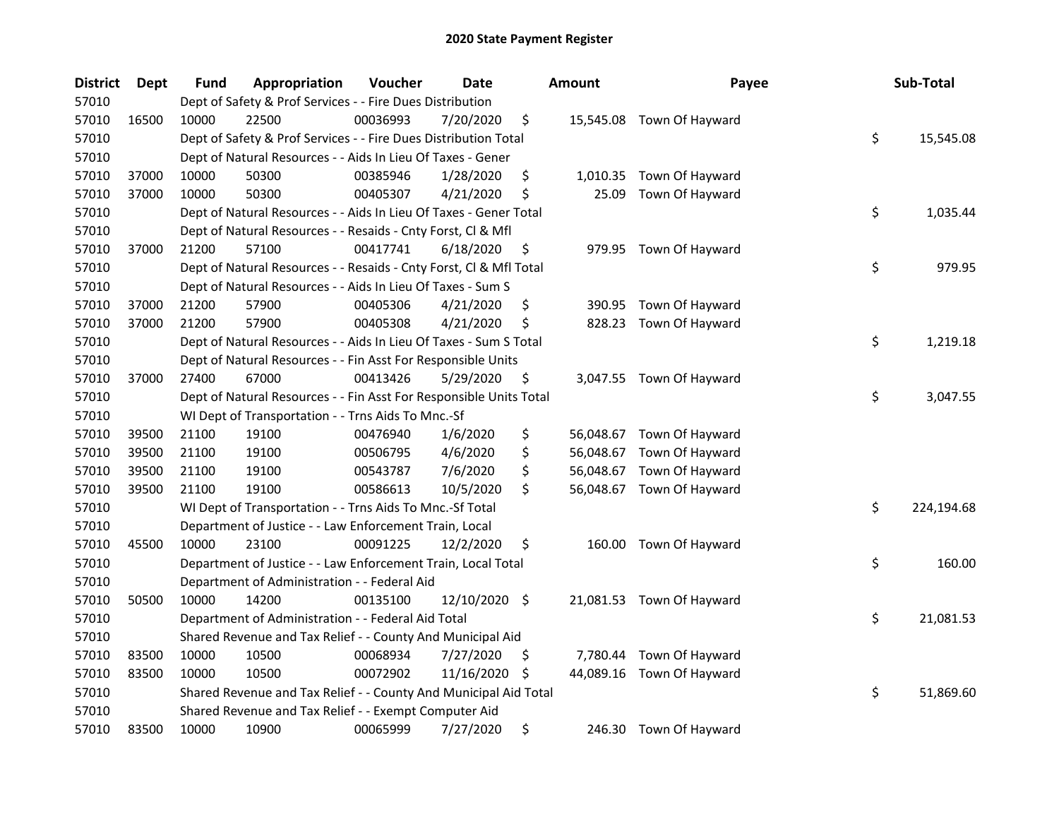| <b>District</b> | Dept  | Fund  | Appropriation                                                      | Voucher  | <b>Date</b>   | <b>Amount</b>   | Payee                     | Sub-Total        |
|-----------------|-------|-------|--------------------------------------------------------------------|----------|---------------|-----------------|---------------------------|------------------|
| 57010           |       |       | Dept of Safety & Prof Services - - Fire Dues Distribution          |          |               |                 |                           |                  |
| 57010           | 16500 | 10000 | 22500                                                              | 00036993 | 7/20/2020     | \$              | 15,545.08 Town Of Hayward |                  |
| 57010           |       |       | Dept of Safety & Prof Services - - Fire Dues Distribution Total    |          |               |                 |                           | \$<br>15,545.08  |
| 57010           |       |       | Dept of Natural Resources - - Aids In Lieu Of Taxes - Gener        |          |               |                 |                           |                  |
| 57010           | 37000 | 10000 | 50300                                                              | 00385946 | 1/28/2020     | \$<br>1,010.35  | Town Of Hayward           |                  |
| 57010           | 37000 | 10000 | 50300                                                              | 00405307 | 4/21/2020     | \$<br>25.09     | Town Of Hayward           |                  |
| 57010           |       |       | Dept of Natural Resources - - Aids In Lieu Of Taxes - Gener Total  |          |               |                 |                           | \$<br>1,035.44   |
| 57010           |       |       | Dept of Natural Resources - - Resaids - Cnty Forst, Cl & Mfl       |          |               |                 |                           |                  |
| 57010           | 37000 | 21200 | 57100                                                              | 00417741 | 6/18/2020     | \$              | 979.95 Town Of Hayward    |                  |
| 57010           |       |       | Dept of Natural Resources - - Resaids - Cnty Forst, Cl & Mfl Total |          |               |                 |                           | \$<br>979.95     |
| 57010           |       |       | Dept of Natural Resources - - Aids In Lieu Of Taxes - Sum S        |          |               |                 |                           |                  |
| 57010           | 37000 | 21200 | 57900                                                              | 00405306 | 4/21/2020     | \$<br>390.95    | Town Of Hayward           |                  |
| 57010           | 37000 | 21200 | 57900                                                              | 00405308 | 4/21/2020     | \$<br>828.23    | Town Of Hayward           |                  |
| 57010           |       |       | Dept of Natural Resources - - Aids In Lieu Of Taxes - Sum S Total  |          |               |                 |                           | \$<br>1,219.18   |
| 57010           |       |       | Dept of Natural Resources - - Fin Asst For Responsible Units       |          |               |                 |                           |                  |
| 57010           | 37000 | 27400 | 67000                                                              | 00413426 | 5/29/2020     | \$              | 3,047.55 Town Of Hayward  |                  |
| 57010           |       |       | Dept of Natural Resources - - Fin Asst For Responsible Units Total |          |               |                 |                           | \$<br>3,047.55   |
| 57010           |       |       | WI Dept of Transportation - - Trns Aids To Mnc.-Sf                 |          |               |                 |                           |                  |
| 57010           | 39500 | 21100 | 19100                                                              | 00476940 | 1/6/2020      | \$<br>56,048.67 | Town Of Hayward           |                  |
| 57010           | 39500 | 21100 | 19100                                                              | 00506795 | 4/6/2020      | \$<br>56,048.67 | Town Of Hayward           |                  |
| 57010           | 39500 | 21100 | 19100                                                              | 00543787 | 7/6/2020      | \$<br>56,048.67 | Town Of Hayward           |                  |
| 57010           | 39500 | 21100 | 19100                                                              | 00586613 | 10/5/2020     | \$              | 56,048.67 Town Of Hayward |                  |
| 57010           |       |       | WI Dept of Transportation - - Trns Aids To Mnc.-Sf Total           |          |               |                 |                           | \$<br>224,194.68 |
| 57010           |       |       | Department of Justice - - Law Enforcement Train, Local             |          |               |                 |                           |                  |
| 57010           | 45500 | 10000 | 23100                                                              | 00091225 | 12/2/2020     | \$              | 160.00 Town Of Hayward    |                  |
| 57010           |       |       | Department of Justice - - Law Enforcement Train, Local Total       |          |               |                 |                           | \$<br>160.00     |
| 57010           |       |       | Department of Administration - - Federal Aid                       |          |               |                 |                           |                  |
| 57010           | 50500 | 10000 | 14200                                                              | 00135100 | 12/10/2020 \$ |                 | 21,081.53 Town Of Hayward |                  |
| 57010           |       |       | Department of Administration - - Federal Aid Total                 |          |               |                 |                           | \$<br>21,081.53  |
| 57010           |       |       | Shared Revenue and Tax Relief - - County And Municipal Aid         |          |               |                 |                           |                  |
| 57010           | 83500 | 10000 | 10500                                                              | 00068934 | 7/27/2020     | \$<br>7,780.44  | Town Of Hayward           |                  |
| 57010           | 83500 | 10000 | 10500                                                              | 00072902 | 11/16/2020    | \$<br>44,089.16 | Town Of Hayward           |                  |
| 57010           |       |       | Shared Revenue and Tax Relief - - County And Municipal Aid Total   |          |               |                 |                           | \$<br>51,869.60  |
| 57010           |       |       | Shared Revenue and Tax Relief - - Exempt Computer Aid              |          |               |                 |                           |                  |
| 57010           | 83500 | 10000 | 10900                                                              | 00065999 | 7/27/2020     | \$              | 246.30 Town Of Hayward    |                  |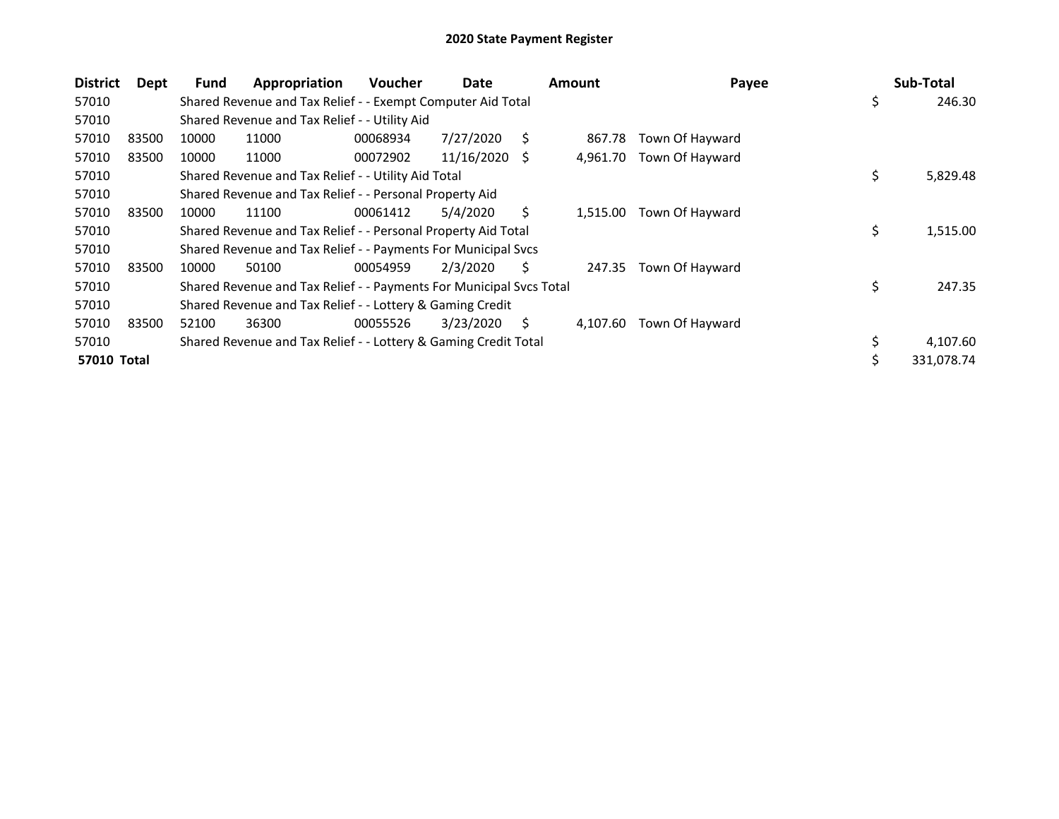| <b>District</b> | Dept  | <b>Fund</b> | Appropriation                                                       | <b>Voucher</b> | Date       |   | <b>Amount</b> | Payee           | Sub-Total        |
|-----------------|-------|-------------|---------------------------------------------------------------------|----------------|------------|---|---------------|-----------------|------------------|
| 57010           |       |             | Shared Revenue and Tax Relief - - Exempt Computer Aid Total         |                |            |   |               |                 | \$<br>246.30     |
| 57010           |       |             | Shared Revenue and Tax Relief - - Utility Aid                       |                |            |   |               |                 |                  |
| 57010           | 83500 | 10000       | 11000                                                               | 00068934       | 7/27/2020  | Ś | 867.78        | Town Of Hayward |                  |
| 57010           | 83500 | 10000       | 11000                                                               | 00072902       | 11/16/2020 | S | 4,961.70      | Town Of Hayward |                  |
| 57010           |       |             | Shared Revenue and Tax Relief - - Utility Aid Total                 |                |            |   |               |                 | \$<br>5,829.48   |
| 57010           |       |             | Shared Revenue and Tax Relief - - Personal Property Aid             |                |            |   |               |                 |                  |
| 57010           | 83500 | 10000       | 11100                                                               | 00061412       | 5/4/2020   | Ś | 1,515.00      | Town Of Hayward |                  |
| 57010           |       |             | Shared Revenue and Tax Relief - - Personal Property Aid Total       |                |            |   |               |                 | \$<br>1,515.00   |
| 57010           |       |             | Shared Revenue and Tax Relief - - Payments For Municipal Svcs       |                |            |   |               |                 |                  |
| 57010           | 83500 | 10000       | 50100                                                               | 00054959       | 2/3/2020   | Ś | 247.35        | Town Of Hayward |                  |
| 57010           |       |             | Shared Revenue and Tax Relief - - Payments For Municipal Svcs Total |                |            |   |               |                 | \$<br>247.35     |
| 57010           |       |             | Shared Revenue and Tax Relief - - Lottery & Gaming Credit           |                |            |   |               |                 |                  |
| 57010           | 83500 | 52100       | 36300                                                               | 00055526       | 3/23/2020  | Ś | 4,107.60      | Town Of Hayward |                  |
| 57010           |       |             | Shared Revenue and Tax Relief - - Lottery & Gaming Credit Total     |                |            |   |               |                 | 4,107.60         |
| 57010 Total     |       |             |                                                                     |                |            |   |               |                 | \$<br>331,078.74 |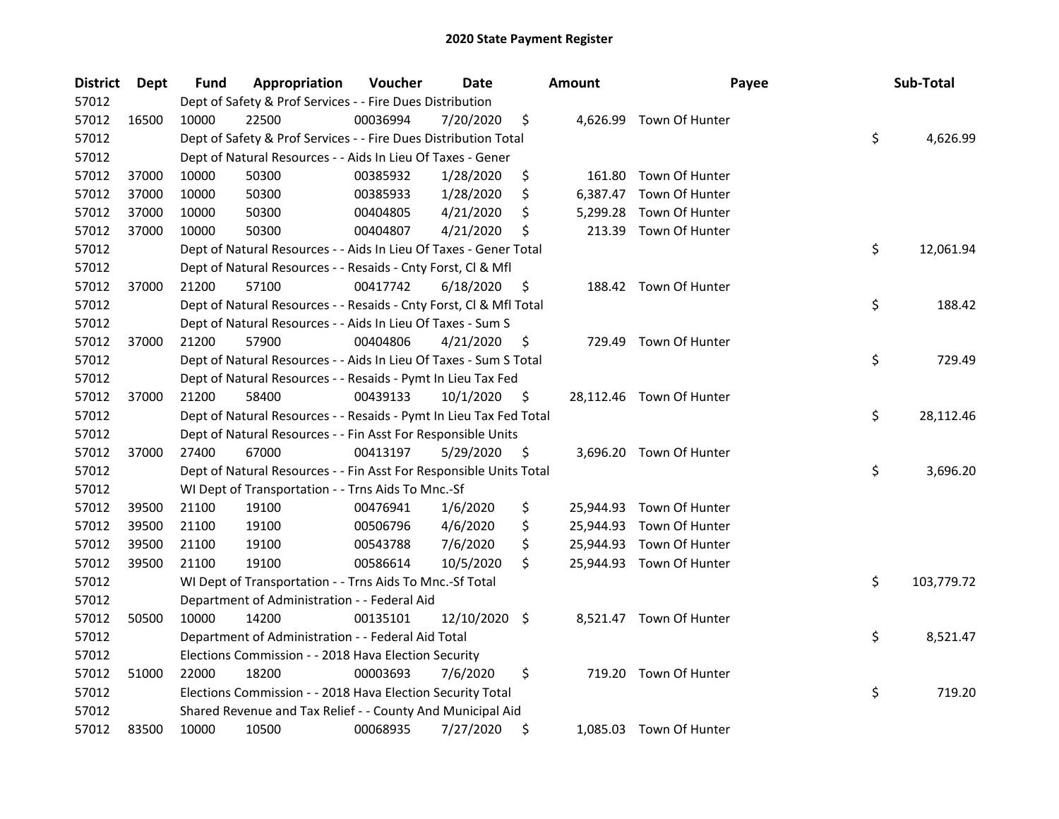| <b>District</b> | <b>Dept</b> | Fund  | Appropriation                                                      | Voucher  | Date       |     | <b>Amount</b> | Payee                    | Sub-Total        |
|-----------------|-------------|-------|--------------------------------------------------------------------|----------|------------|-----|---------------|--------------------------|------------------|
| 57012           |             |       | Dept of Safety & Prof Services - - Fire Dues Distribution          |          |            |     |               |                          |                  |
| 57012           | 16500       | 10000 | 22500                                                              | 00036994 | 7/20/2020  | \$  |               | 4,626.99 Town Of Hunter  |                  |
| 57012           |             |       | Dept of Safety & Prof Services - - Fire Dues Distribution Total    |          |            |     |               |                          | \$<br>4,626.99   |
| 57012           |             |       | Dept of Natural Resources - - Aids In Lieu Of Taxes - Gener        |          |            |     |               |                          |                  |
| 57012           | 37000       | 10000 | 50300                                                              | 00385932 | 1/28/2020  | \$  | 161.80        | Town Of Hunter           |                  |
| 57012           | 37000       | 10000 | 50300                                                              | 00385933 | 1/28/2020  | \$  | 6,387.47      | Town Of Hunter           |                  |
| 57012           | 37000       | 10000 | 50300                                                              | 00404805 | 4/21/2020  | \$  | 5,299.28      | Town Of Hunter           |                  |
| 57012           | 37000       | 10000 | 50300                                                              | 00404807 | 4/21/2020  | \$  | 213.39        | Town Of Hunter           |                  |
| 57012           |             |       | Dept of Natural Resources - - Aids In Lieu Of Taxes - Gener Total  |          |            |     |               |                          | \$<br>12,061.94  |
| 57012           |             |       | Dept of Natural Resources - - Resaids - Cnty Forst, Cl & Mfl       |          |            |     |               |                          |                  |
| 57012           | 37000       | 21200 | 57100                                                              | 00417742 | 6/18/2020  | \$  |               | 188.42 Town Of Hunter    |                  |
| 57012           |             |       | Dept of Natural Resources - - Resaids - Cnty Forst, Cl & Mfl Total |          |            |     |               |                          | \$<br>188.42     |
| 57012           |             |       | Dept of Natural Resources - - Aids In Lieu Of Taxes - Sum S        |          |            |     |               |                          |                  |
| 57012           | 37000       | 21200 | 57900                                                              | 00404806 | 4/21/2020  | Ş   |               | 729.49 Town Of Hunter    |                  |
| 57012           |             |       | Dept of Natural Resources - - Aids In Lieu Of Taxes - Sum S Total  |          |            |     |               |                          | \$<br>729.49     |
| 57012           |             |       | Dept of Natural Resources - - Resaids - Pymt In Lieu Tax Fed       |          |            |     |               |                          |                  |
| 57012           | 37000       | 21200 | 58400                                                              | 00439133 | 10/1/2020  | \$, |               | 28,112.46 Town Of Hunter |                  |
| 57012           |             |       | Dept of Natural Resources - - Resaids - Pymt In Lieu Tax Fed Total |          |            |     |               |                          | \$<br>28,112.46  |
| 57012           |             |       | Dept of Natural Resources - - Fin Asst For Responsible Units       |          |            |     |               |                          |                  |
| 57012           | 37000       | 27400 | 67000                                                              | 00413197 | 5/29/2020  | \$  |               | 3,696.20 Town Of Hunter  |                  |
| 57012           |             |       | Dept of Natural Resources - - Fin Asst For Responsible Units Total |          |            |     |               |                          | \$<br>3,696.20   |
| 57012           |             |       | WI Dept of Transportation - - Trns Aids To Mnc.-Sf                 |          |            |     |               |                          |                  |
| 57012           | 39500       | 21100 | 19100                                                              | 00476941 | 1/6/2020   | \$  |               | 25,944.93 Town Of Hunter |                  |
| 57012           | 39500       | 21100 | 19100                                                              | 00506796 | 4/6/2020   | \$  |               | 25,944.93 Town Of Hunter |                  |
| 57012           | 39500       | 21100 | 19100                                                              | 00543788 | 7/6/2020   | \$  |               | 25,944.93 Town Of Hunter |                  |
| 57012           | 39500       | 21100 | 19100                                                              | 00586614 | 10/5/2020  | \$  |               | 25,944.93 Town Of Hunter |                  |
| 57012           |             |       | WI Dept of Transportation - - Trns Aids To Mnc.-Sf Total           |          |            |     |               |                          | \$<br>103,779.72 |
| 57012           |             |       | Department of Administration - - Federal Aid                       |          |            |     |               |                          |                  |
| 57012           | 50500       | 10000 | 14200                                                              | 00135101 | 12/10/2020 | \$  |               | 8,521.47 Town Of Hunter  |                  |
| 57012           |             |       | Department of Administration - - Federal Aid Total                 |          |            |     |               |                          | \$<br>8,521.47   |
| 57012           |             |       | Elections Commission - - 2018 Hava Election Security               |          |            |     |               |                          |                  |
| 57012           | 51000       | 22000 | 18200                                                              | 00003693 | 7/6/2020   | \$  |               | 719.20 Town Of Hunter    |                  |
| 57012           |             |       | Elections Commission - - 2018 Hava Election Security Total         |          |            |     |               |                          | \$<br>719.20     |
| 57012           |             |       | Shared Revenue and Tax Relief - - County And Municipal Aid         |          |            |     |               |                          |                  |
| 57012           | 83500       | 10000 | 10500                                                              | 00068935 | 7/27/2020  | \$  |               | 1,085.03 Town Of Hunter  |                  |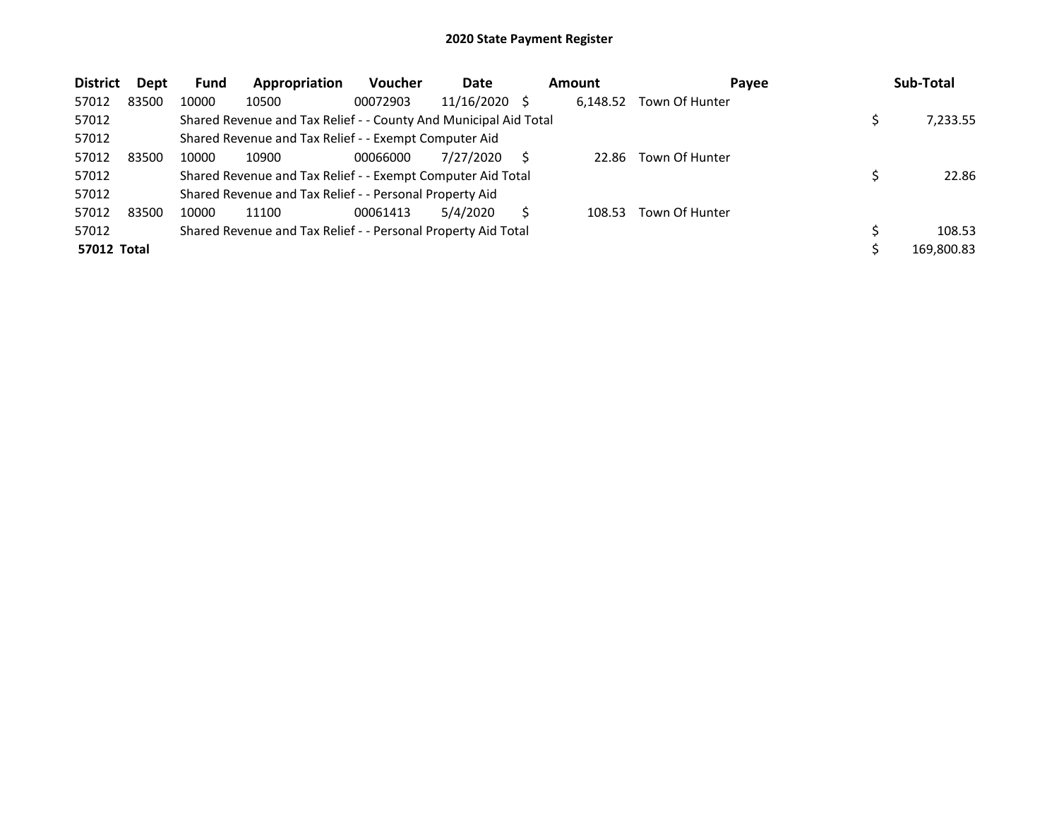| <b>District</b>    | <b>Dept</b> | <b>Fund</b> | Appropriation                                                    | <b>Voucher</b> | Date            | <b>Amount</b> | Payee          | Sub-Total  |
|--------------------|-------------|-------------|------------------------------------------------------------------|----------------|-----------------|---------------|----------------|------------|
| 57012              | 83500       | 10000       | 10500                                                            | 00072903       | $11/16/2020$ \$ | 6,148.52      | Town Of Hunter |            |
| 57012              |             |             | Shared Revenue and Tax Relief - - County And Municipal Aid Total |                |                 |               |                | 7,233.55   |
| 57012              |             |             | Shared Revenue and Tax Relief - - Exempt Computer Aid            |                |                 |               |                |            |
| 57012              | 83500       | 10000       | 10900                                                            | 00066000       | 7/27/2020       | 22.86         | Town Of Hunter |            |
| 57012              |             |             | Shared Revenue and Tax Relief - - Exempt Computer Aid Total      |                |                 |               |                | 22.86      |
| 57012              |             |             | Shared Revenue and Tax Relief - - Personal Property Aid          |                |                 |               |                |            |
| 57012              | 83500       | 10000       | 11100                                                            | 00061413       | 5/4/2020        | 108.53        | Town Of Hunter |            |
| 57012              |             |             | Shared Revenue and Tax Relief - - Personal Property Aid Total    |                |                 |               |                | 108.53     |
| <b>57012 Total</b> |             |             |                                                                  |                |                 |               |                | 169,800.83 |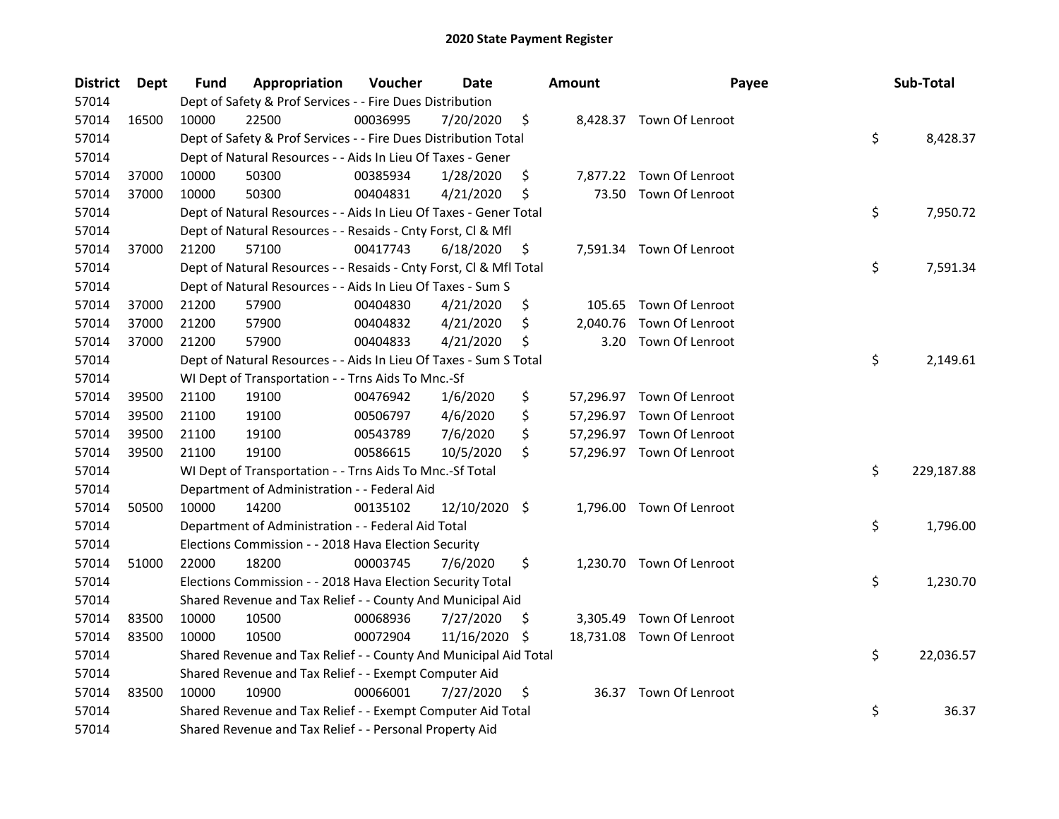| <b>District</b> | Dept  | Fund  | Appropriation                                                      | Voucher  | <b>Date</b>   |     | Amount   | Payee                     | Sub-Total        |
|-----------------|-------|-------|--------------------------------------------------------------------|----------|---------------|-----|----------|---------------------------|------------------|
| 57014           |       |       | Dept of Safety & Prof Services - - Fire Dues Distribution          |          |               |     |          |                           |                  |
| 57014           | 16500 | 10000 | 22500                                                              | 00036995 | 7/20/2020     | \$  |          | 8,428.37 Town Of Lenroot  |                  |
| 57014           |       |       | Dept of Safety & Prof Services - - Fire Dues Distribution Total    |          |               |     |          |                           | \$<br>8,428.37   |
| 57014           |       |       | Dept of Natural Resources - - Aids In Lieu Of Taxes - Gener        |          |               |     |          |                           |                  |
| 57014           | 37000 | 10000 | 50300                                                              | 00385934 | 1/28/2020     | \$  |          | 7,877.22 Town Of Lenroot  |                  |
| 57014           | 37000 | 10000 | 50300                                                              | 00404831 | 4/21/2020     | \$  | 73.50    | Town Of Lenroot           |                  |
| 57014           |       |       | Dept of Natural Resources - - Aids In Lieu Of Taxes - Gener Total  |          |               |     |          |                           | \$<br>7,950.72   |
| 57014           |       |       | Dept of Natural Resources - - Resaids - Cnty Forst, Cl & Mfl       |          |               |     |          |                           |                  |
| 57014           | 37000 | 21200 | 57100                                                              | 00417743 | 6/18/2020     | \$  |          | 7,591.34 Town Of Lenroot  |                  |
| 57014           |       |       | Dept of Natural Resources - - Resaids - Cnty Forst, Cl & Mfl Total |          |               |     |          |                           | \$<br>7,591.34   |
| 57014           |       |       | Dept of Natural Resources - - Aids In Lieu Of Taxes - Sum S        |          |               |     |          |                           |                  |
| 57014           | 37000 | 21200 | 57900                                                              | 00404830 | 4/21/2020     | \$  |          | 105.65 Town Of Lenroot    |                  |
| 57014           | 37000 | 21200 | 57900                                                              | 00404832 | 4/21/2020     | \$  | 2,040.76 | Town Of Lenroot           |                  |
| 57014           | 37000 | 21200 | 57900                                                              | 00404833 | 4/21/2020     | \$  | 3.20     | Town Of Lenroot           |                  |
| 57014           |       |       | Dept of Natural Resources - - Aids In Lieu Of Taxes - Sum S Total  |          |               |     |          |                           | \$<br>2,149.61   |
| 57014           |       |       | WI Dept of Transportation - - Trns Aids To Mnc.-Sf                 |          |               |     |          |                           |                  |
| 57014           | 39500 | 21100 | 19100                                                              | 00476942 | 1/6/2020      | \$  |          | 57,296.97 Town Of Lenroot |                  |
| 57014           | 39500 | 21100 | 19100                                                              | 00506797 | 4/6/2020      | \$  |          | 57,296.97 Town Of Lenroot |                  |
| 57014           | 39500 | 21100 | 19100                                                              | 00543789 | 7/6/2020      | \$  |          | 57,296.97 Town Of Lenroot |                  |
| 57014           | 39500 | 21100 | 19100                                                              | 00586615 | 10/5/2020     | \$  |          | 57,296.97 Town Of Lenroot |                  |
| 57014           |       |       | WI Dept of Transportation - - Trns Aids To Mnc.-Sf Total           |          |               |     |          |                           | \$<br>229,187.88 |
| 57014           |       |       | Department of Administration - - Federal Aid                       |          |               |     |          |                           |                  |
| 57014           | 50500 | 10000 | 14200                                                              | 00135102 | 12/10/2020 \$ |     |          | 1,796.00 Town Of Lenroot  |                  |
| 57014           |       |       | Department of Administration - - Federal Aid Total                 |          |               |     |          |                           | \$<br>1,796.00   |
| 57014           |       |       | Elections Commission - - 2018 Hava Election Security               |          |               |     |          |                           |                  |
| 57014           | 51000 | 22000 | 18200                                                              | 00003745 | 7/6/2020      | \$  |          | 1,230.70 Town Of Lenroot  |                  |
| 57014           |       |       | Elections Commission - - 2018 Hava Election Security Total         |          |               |     |          |                           | \$<br>1,230.70   |
| 57014           |       |       | Shared Revenue and Tax Relief - - County And Municipal Aid         |          |               |     |          |                           |                  |
| 57014           | 83500 | 10000 | 10500                                                              | 00068936 | 7/27/2020     | Ş   |          | 3,305.49 Town Of Lenroot  |                  |
| 57014           | 83500 | 10000 | 10500                                                              | 00072904 | 11/16/2020    | \$. |          | 18,731.08 Town Of Lenroot |                  |
| 57014           |       |       | Shared Revenue and Tax Relief - - County And Municipal Aid Total   |          |               |     |          |                           | \$<br>22,036.57  |
| 57014           |       |       | Shared Revenue and Tax Relief - - Exempt Computer Aid              |          |               |     |          |                           |                  |
| 57014           | 83500 | 10000 | 10900                                                              | 00066001 | 7/27/2020     | \$  |          | 36.37 Town Of Lenroot     |                  |
| 57014           |       |       | Shared Revenue and Tax Relief - - Exempt Computer Aid Total        |          |               |     |          |                           | \$<br>36.37      |
| 57014           |       |       | Shared Revenue and Tax Relief - - Personal Property Aid            |          |               |     |          |                           |                  |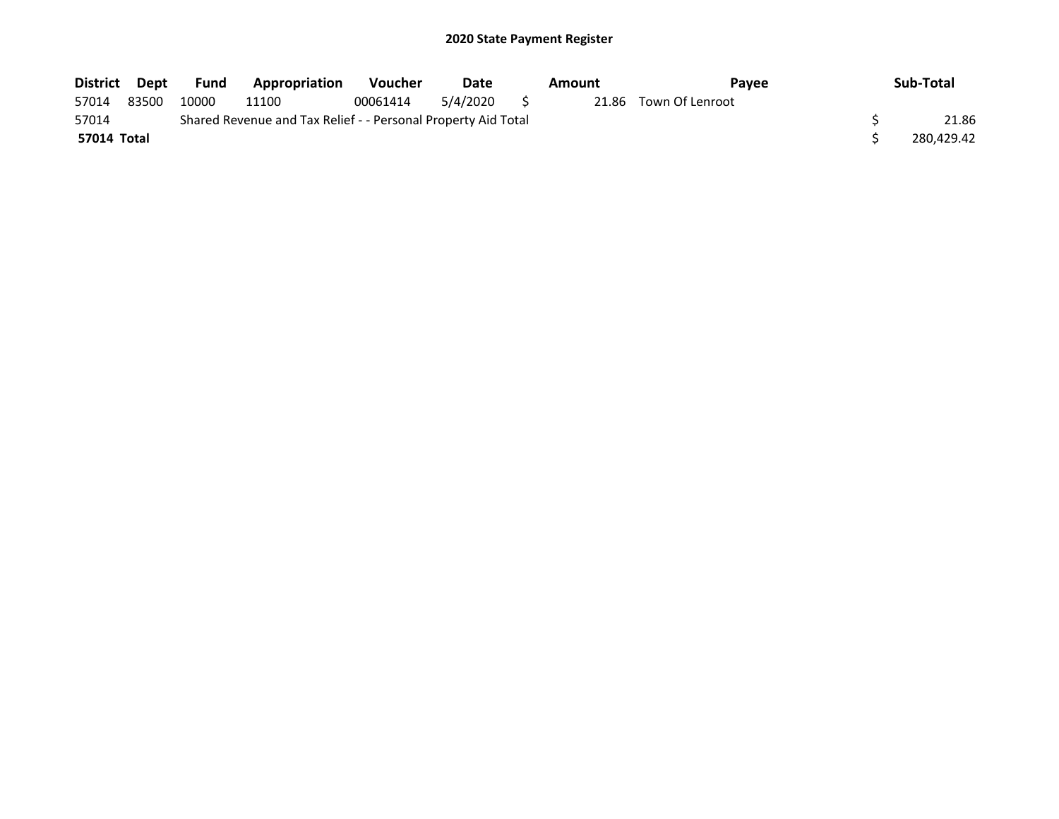| District Dept |       | Fund  | Appropriation                                                 | <b>Voucher</b> | Date        | Amount | <b>Pavee</b>          | Sub-Total  |
|---------------|-------|-------|---------------------------------------------------------------|----------------|-------------|--------|-----------------------|------------|
| 57014         | 83500 | 10000 | 11100                                                         | 00061414       | 5/4/2020 \$ |        | 21.86 Town Of Lenroot |            |
| 57014         |       |       | Shared Revenue and Tax Relief - - Personal Property Aid Total |                |             |        |                       | 21.86      |
| 57014 Total   |       |       |                                                               |                |             |        |                       | 280,429.42 |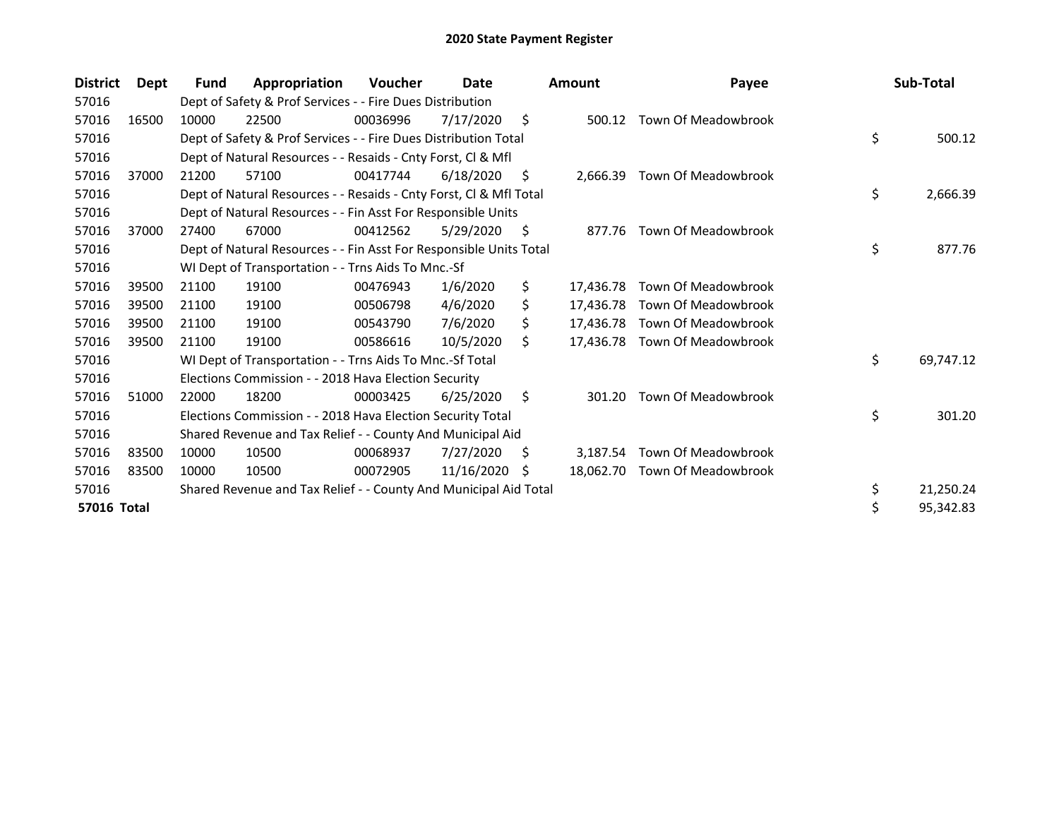| <b>District</b> | Dept  | <b>Fund</b> | Appropriation                                                      | <b>Voucher</b> | Date       |     | <b>Amount</b> | Payee                         | Sub-Total       |
|-----------------|-------|-------------|--------------------------------------------------------------------|----------------|------------|-----|---------------|-------------------------------|-----------------|
| 57016           |       |             | Dept of Safety & Prof Services - - Fire Dues Distribution          |                |            |     |               |                               |                 |
| 57016           | 16500 | 10000       | 22500                                                              | 00036996       | 7/17/2020  | \$  | 500.12        | Town Of Meadowbrook           |                 |
| 57016           |       |             | Dept of Safety & Prof Services - - Fire Dues Distribution Total    |                |            |     |               |                               | \$<br>500.12    |
| 57016           |       |             | Dept of Natural Resources - - Resaids - Cnty Forst, CI & Mfl       |                |            |     |               |                               |                 |
| 57016           | 37000 | 21200       | 57100                                                              | 00417744       | 6/18/2020  | S   | 2,666.39      | Town Of Meadowbrook           |                 |
| 57016           |       |             | Dept of Natural Resources - - Resaids - Cnty Forst, CI & Mfl Total |                |            |     |               |                               | \$<br>2,666.39  |
| 57016           |       |             | Dept of Natural Resources - - Fin Asst For Responsible Units       |                |            |     |               |                               |                 |
| 57016           | 37000 | 27400       | 67000                                                              | 00412562       | 5/29/2020  | \$  | 877.76        | Town Of Meadowbrook           |                 |
| 57016           |       |             | Dept of Natural Resources - - Fin Asst For Responsible Units Total |                |            |     |               |                               | \$<br>877.76    |
| 57016           |       |             | WI Dept of Transportation - - Trns Aids To Mnc.-Sf                 |                |            |     |               |                               |                 |
| 57016           | 39500 | 21100       | 19100                                                              | 00476943       | 1/6/2020   | \$  | 17.436.78     | Town Of Meadowbrook           |                 |
| 57016           | 39500 | 21100       | 19100                                                              | 00506798       | 4/6/2020   | \$  | 17.436.78     | Town Of Meadowbrook           |                 |
| 57016           | 39500 | 21100       | 19100                                                              | 00543790       | 7/6/2020   | Ś.  | 17.436.78     | Town Of Meadowbrook           |                 |
| 57016           | 39500 | 21100       | 19100                                                              | 00586616       | 10/5/2020  | Ś.  |               | 17,436.78 Town Of Meadowbrook |                 |
| 57016           |       |             | WI Dept of Transportation - - Trns Aids To Mnc.-Sf Total           |                |            |     |               |                               | \$<br>69,747.12 |
| 57016           |       |             | Elections Commission - - 2018 Hava Election Security               |                |            |     |               |                               |                 |
| 57016           | 51000 | 22000       | 18200                                                              | 00003425       | 6/25/2020  | \$  | 301.20        | Town Of Meadowbrook           |                 |
| 57016           |       |             | Elections Commission - - 2018 Hava Election Security Total         |                |            |     |               |                               | \$<br>301.20    |
| 57016           |       |             | Shared Revenue and Tax Relief - - County And Municipal Aid         |                |            |     |               |                               |                 |
| 57016           | 83500 | 10000       | 10500                                                              | 00068937       | 7/27/2020  | \$, | 3,187.54      | Town Of Meadowbrook           |                 |
| 57016           | 83500 | 10000       | 10500                                                              | 00072905       | 11/16/2020 | S   | 18,062.70     | Town Of Meadowbrook           |                 |
| 57016           |       |             | Shared Revenue and Tax Relief - - County And Municipal Aid Total   |                |            |     |               |                               | \$<br>21,250.24 |
| 57016 Total     |       |             |                                                                    |                |            |     |               |                               | \$<br>95,342.83 |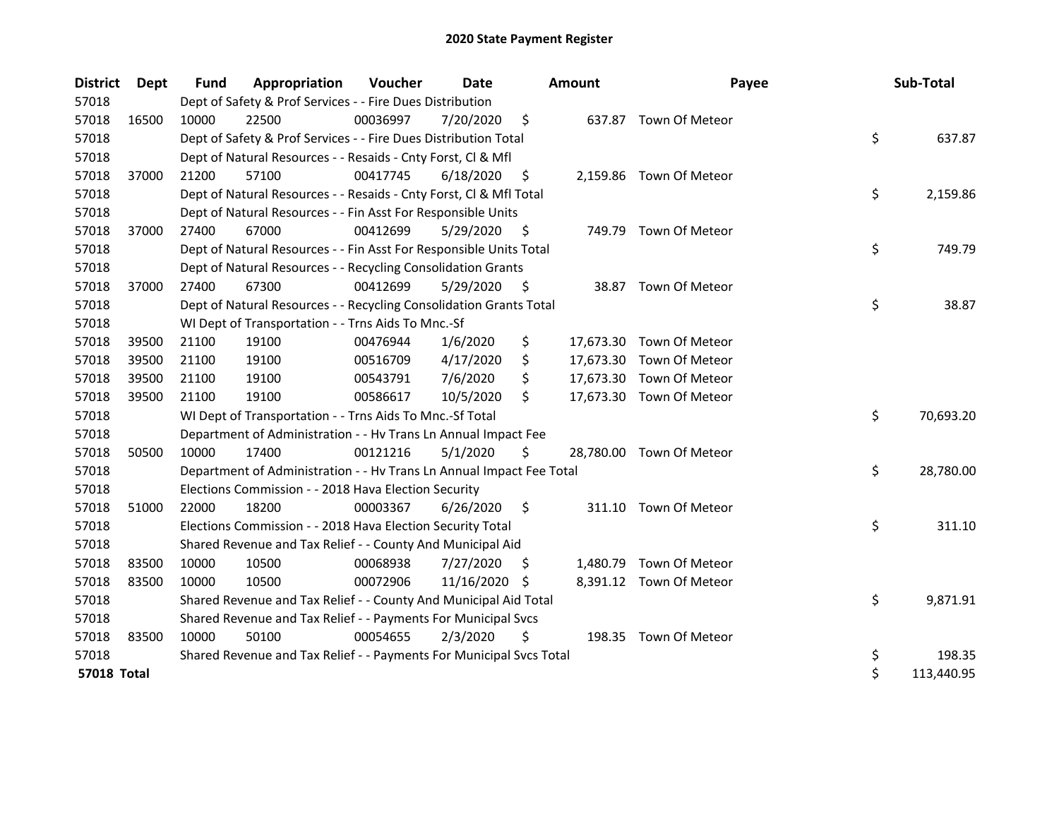| <b>District</b>    | <b>Dept</b> | Fund  | Appropriation                                                        | Voucher  | Date          |     | <b>Amount</b> | Payee                    | Sub-Total        |
|--------------------|-------------|-------|----------------------------------------------------------------------|----------|---------------|-----|---------------|--------------------------|------------------|
| 57018              |             |       | Dept of Safety & Prof Services - - Fire Dues Distribution            |          |               |     |               |                          |                  |
| 57018              | 16500       | 10000 | 22500                                                                | 00036997 | 7/20/2020     | \$  |               | 637.87 Town Of Meteor    |                  |
| 57018              |             |       | Dept of Safety & Prof Services - - Fire Dues Distribution Total      |          |               |     |               |                          | \$<br>637.87     |
| 57018              |             |       | Dept of Natural Resources - - Resaids - Cnty Forst, CI & Mfl         |          |               |     |               |                          |                  |
| 57018              | 37000       | 21200 | 57100                                                                | 00417745 | 6/18/2020     | \$. |               | 2,159.86 Town Of Meteor  |                  |
| 57018              |             |       | Dept of Natural Resources - - Resaids - Cnty Forst, Cl & Mfl Total   |          |               |     |               |                          | \$<br>2,159.86   |
| 57018              |             |       | Dept of Natural Resources - - Fin Asst For Responsible Units         |          |               |     |               |                          |                  |
| 57018              | 37000       | 27400 | 67000                                                                | 00412699 | 5/29/2020     | S   |               | 749.79 Town Of Meteor    |                  |
| 57018              |             |       | Dept of Natural Resources - - Fin Asst For Responsible Units Total   |          |               |     |               |                          | \$<br>749.79     |
| 57018              |             |       | Dept of Natural Resources - - Recycling Consolidation Grants         |          |               |     |               |                          |                  |
| 57018              | 37000       | 27400 | 67300                                                                | 00412699 | 5/29/2020     | \$  | 38.87         | Town Of Meteor           |                  |
| 57018              |             |       | Dept of Natural Resources - - Recycling Consolidation Grants Total   |          |               |     |               |                          | \$<br>38.87      |
| 57018              |             |       | WI Dept of Transportation - - Trns Aids To Mnc.-Sf                   |          |               |     |               |                          |                  |
| 57018              | 39500       | 21100 | 19100                                                                | 00476944 | 1/6/2020      | \$  |               | 17,673.30 Town Of Meteor |                  |
| 57018              | 39500       | 21100 | 19100                                                                | 00516709 | 4/17/2020     | S.  |               | 17,673.30 Town Of Meteor |                  |
| 57018              | 39500       | 21100 | 19100                                                                | 00543791 | 7/6/2020      | \$  |               | 17,673.30 Town Of Meteor |                  |
| 57018              | 39500       | 21100 | 19100                                                                | 00586617 | 10/5/2020     | Ś.  |               | 17,673.30 Town Of Meteor |                  |
| 57018              |             |       | WI Dept of Transportation - - Trns Aids To Mnc.-Sf Total             |          |               |     |               |                          | \$<br>70,693.20  |
| 57018              |             |       | Department of Administration - - Hv Trans Ln Annual Impact Fee       |          |               |     |               |                          |                  |
| 57018              | 50500       | 10000 | 17400                                                                | 00121216 | 5/1/2020      | \$  |               | 28,780.00 Town Of Meteor |                  |
| 57018              |             |       | Department of Administration - - Hv Trans Ln Annual Impact Fee Total |          |               |     |               |                          | \$<br>28,780.00  |
| 57018              |             |       | Elections Commission - - 2018 Hava Election Security                 |          |               |     |               |                          |                  |
| 57018              | 51000       | 22000 | 18200                                                                | 00003367 | 6/26/2020     | \$. |               | 311.10 Town Of Meteor    |                  |
| 57018              |             |       | Elections Commission - - 2018 Hava Election Security Total           |          |               |     |               |                          | \$<br>311.10     |
| 57018              |             |       | Shared Revenue and Tax Relief - - County And Municipal Aid           |          |               |     |               |                          |                  |
| 57018              | 83500       | 10000 | 10500                                                                | 00068938 | 7/27/2020     | \$. | 1,480.79      | Town Of Meteor           |                  |
| 57018              | 83500       | 10000 | 10500                                                                | 00072906 | 11/16/2020 \$ |     |               | 8,391.12 Town Of Meteor  |                  |
| 57018              |             |       | Shared Revenue and Tax Relief - - County And Municipal Aid Total     |          |               |     |               |                          | \$<br>9,871.91   |
| 57018              |             |       | Shared Revenue and Tax Relief - - Payments For Municipal Svcs        |          |               |     |               |                          |                  |
| 57018              | 83500       | 10000 | 50100                                                                | 00054655 | 2/3/2020      | \$  |               | 198.35 Town Of Meteor    |                  |
| 57018              |             |       | Shared Revenue and Tax Relief - - Payments For Municipal Svcs Total  |          |               |     |               |                          | \$<br>198.35     |
| <b>57018 Total</b> |             |       |                                                                      |          |               |     |               |                          | \$<br>113,440.95 |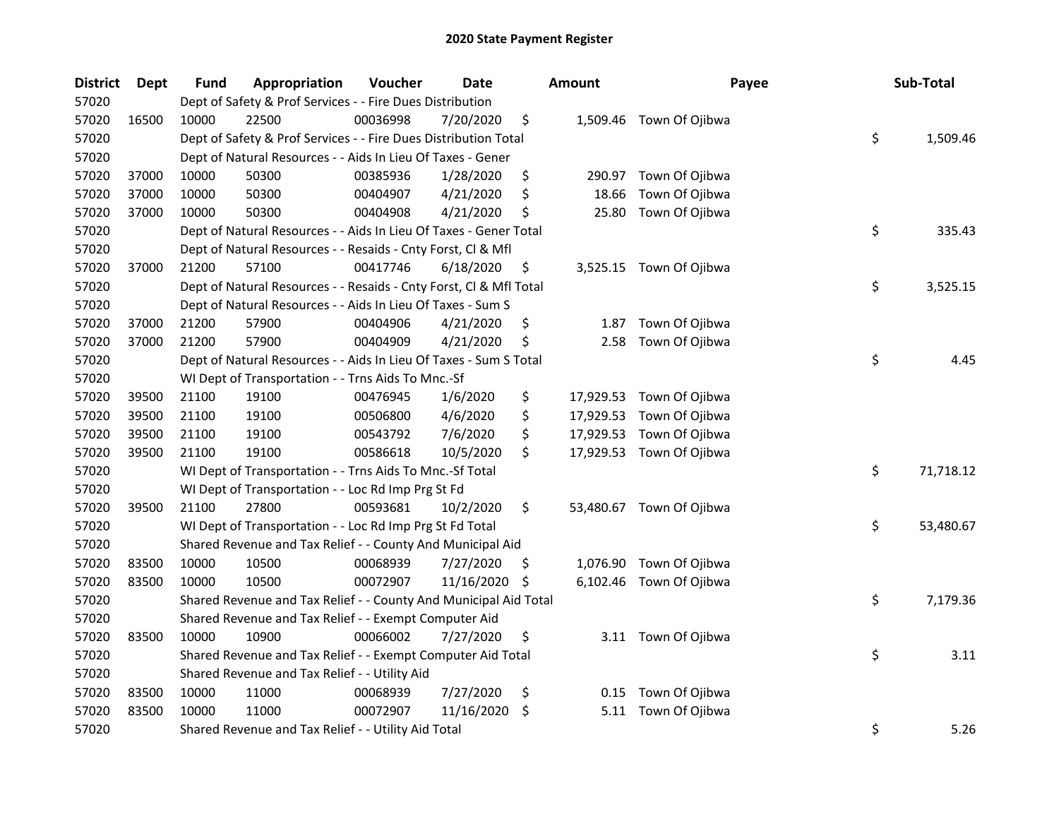| <b>District</b> | <b>Dept</b> | Fund  | Appropriation                                                      | Voucher  | <b>Date</b> |     | Amount    | Payee                    | Sub-Total       |
|-----------------|-------------|-------|--------------------------------------------------------------------|----------|-------------|-----|-----------|--------------------------|-----------------|
| 57020           |             |       | Dept of Safety & Prof Services - - Fire Dues Distribution          |          |             |     |           |                          |                 |
| 57020           | 16500       | 10000 | 22500                                                              | 00036998 | 7/20/2020   | \$  |           | 1,509.46 Town Of Ojibwa  |                 |
| 57020           |             |       | Dept of Safety & Prof Services - - Fire Dues Distribution Total    |          |             |     |           |                          | \$<br>1,509.46  |
| 57020           |             |       | Dept of Natural Resources - - Aids In Lieu Of Taxes - Gener        |          |             |     |           |                          |                 |
| 57020           | 37000       | 10000 | 50300                                                              | 00385936 | 1/28/2020   | \$  | 290.97    | Town Of Ojibwa           |                 |
| 57020           | 37000       | 10000 | 50300                                                              | 00404907 | 4/21/2020   | \$  | 18.66     | Town Of Ojibwa           |                 |
| 57020           | 37000       | 10000 | 50300                                                              | 00404908 | 4/21/2020   | \$  | 25.80     | Town Of Ojibwa           |                 |
| 57020           |             |       | Dept of Natural Resources - - Aids In Lieu Of Taxes - Gener Total  |          |             |     |           |                          | \$<br>335.43    |
| 57020           |             |       | Dept of Natural Resources - - Resaids - Cnty Forst, Cl & Mfl       |          |             |     |           |                          |                 |
| 57020           | 37000       | 21200 | 57100                                                              | 00417746 | 6/18/2020   | \$  |           | 3,525.15 Town Of Ojibwa  |                 |
| 57020           |             |       | Dept of Natural Resources - - Resaids - Cnty Forst, Cl & Mfl Total |          |             |     |           |                          | \$<br>3,525.15  |
| 57020           |             |       | Dept of Natural Resources - - Aids In Lieu Of Taxes - Sum S        |          |             |     |           |                          |                 |
| 57020           | 37000       | 21200 | 57900                                                              | 00404906 | 4/21/2020   | \$  | 1.87      | Town Of Ojibwa           |                 |
| 57020           | 37000       | 21200 | 57900                                                              | 00404909 | 4/21/2020   | \$  | 2.58      | Town Of Ojibwa           |                 |
| 57020           |             |       | Dept of Natural Resources - - Aids In Lieu Of Taxes - Sum S Total  |          |             |     |           |                          | \$<br>4.45      |
| 57020           |             |       | WI Dept of Transportation - - Trns Aids To Mnc.-Sf                 |          |             |     |           |                          |                 |
| 57020           | 39500       | 21100 | 19100                                                              | 00476945 | 1/6/2020    | \$  | 17,929.53 | Town Of Ojibwa           |                 |
| 57020           | 39500       | 21100 | 19100                                                              | 00506800 | 4/6/2020    | \$  | 17,929.53 | Town Of Ojibwa           |                 |
| 57020           | 39500       | 21100 | 19100                                                              | 00543792 | 7/6/2020    | \$  | 17,929.53 | Town Of Ojibwa           |                 |
| 57020           | 39500       | 21100 | 19100                                                              | 00586618 | 10/5/2020   | \$  |           | 17,929.53 Town Of Ojibwa |                 |
| 57020           |             |       | WI Dept of Transportation - - Trns Aids To Mnc.-Sf Total           |          |             |     |           |                          | \$<br>71,718.12 |
| 57020           |             |       | WI Dept of Transportation - - Loc Rd Imp Prg St Fd                 |          |             |     |           |                          |                 |
| 57020           | 39500       | 21100 | 27800                                                              | 00593681 | 10/2/2020   | \$  |           | 53,480.67 Town Of Ojibwa |                 |
| 57020           |             |       | WI Dept of Transportation - - Loc Rd Imp Prg St Fd Total           |          |             |     |           |                          | \$<br>53,480.67 |
| 57020           |             |       | Shared Revenue and Tax Relief - - County And Municipal Aid         |          |             |     |           |                          |                 |
| 57020           | 83500       | 10000 | 10500                                                              | 00068939 | 7/27/2020   | \$. | 1,076.90  | Town Of Ojibwa           |                 |
| 57020           | 83500       | 10000 | 10500                                                              | 00072907 | 11/16/2020  | \$  | 6,102.46  | Town Of Ojibwa           |                 |
| 57020           |             |       | Shared Revenue and Tax Relief - - County And Municipal Aid Total   |          |             |     |           |                          | \$<br>7,179.36  |
| 57020           |             |       | Shared Revenue and Tax Relief - - Exempt Computer Aid              |          |             |     |           |                          |                 |
| 57020           | 83500       | 10000 | 10900                                                              | 00066002 | 7/27/2020   | \$  |           | 3.11 Town Of Ojibwa      |                 |
| 57020           |             |       | Shared Revenue and Tax Relief - - Exempt Computer Aid Total        |          |             |     |           |                          | \$<br>3.11      |
| 57020           |             |       | Shared Revenue and Tax Relief - - Utility Aid                      |          |             |     |           |                          |                 |
| 57020           | 83500       | 10000 | 11000                                                              | 00068939 | 7/27/2020   | \$  | 0.15      | Town Of Ojibwa           |                 |
| 57020           | 83500       | 10000 | 11000                                                              | 00072907 | 11/16/2020  | \$  | 5.11      | Town Of Ojibwa           |                 |
| 57020           |             |       | Shared Revenue and Tax Relief - - Utility Aid Total                |          |             |     |           |                          | \$<br>5.26      |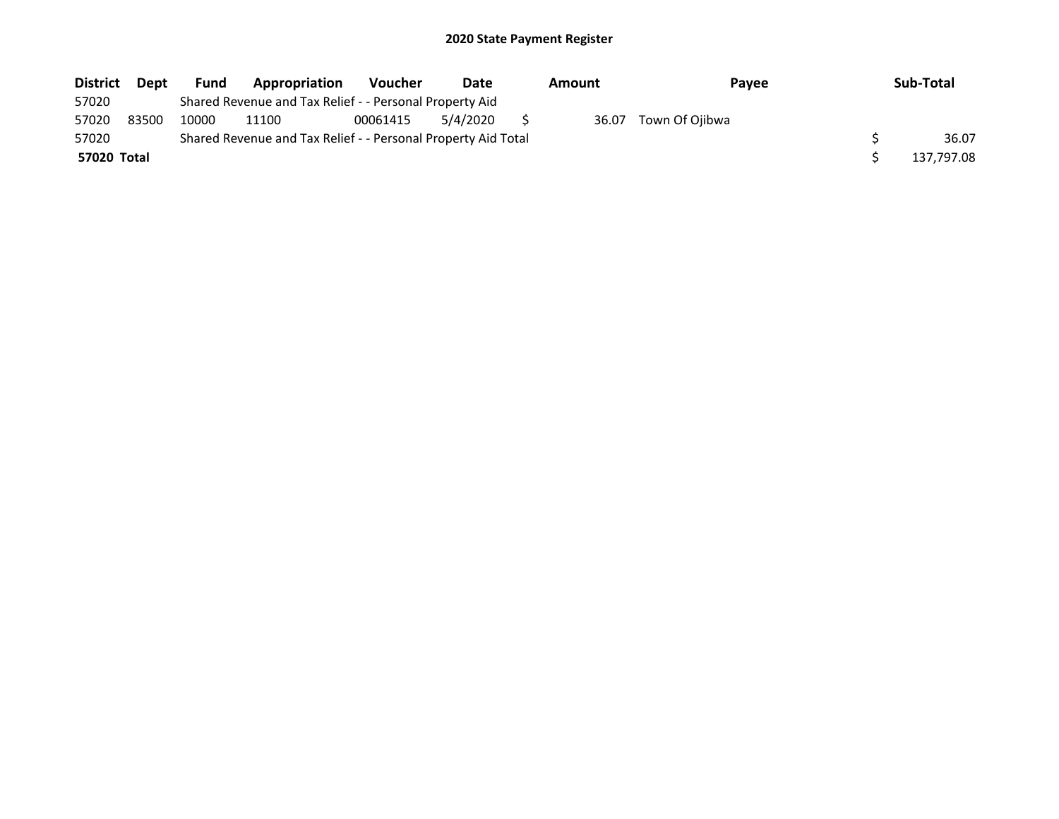| <b>District</b> | <b>Dept</b> | Fund  | Appropriation                                                 | <b>Voucher</b> | Date     | Amount | Pavee          | Sub-Total  |
|-----------------|-------------|-------|---------------------------------------------------------------|----------------|----------|--------|----------------|------------|
| 57020           |             |       | Shared Revenue and Tax Relief - - Personal Property Aid       |                |          |        |                |            |
| 57020           | 83500       | 10000 | 11100                                                         | 00061415       | 5/4/2020 | 36.07  | Town Of Ojibwa |            |
| 57020           |             |       | Shared Revenue and Tax Relief - - Personal Property Aid Total |                |          |        |                | 36.07      |
| 57020 Total     |             |       |                                                               |                |          |        |                | 137,797.08 |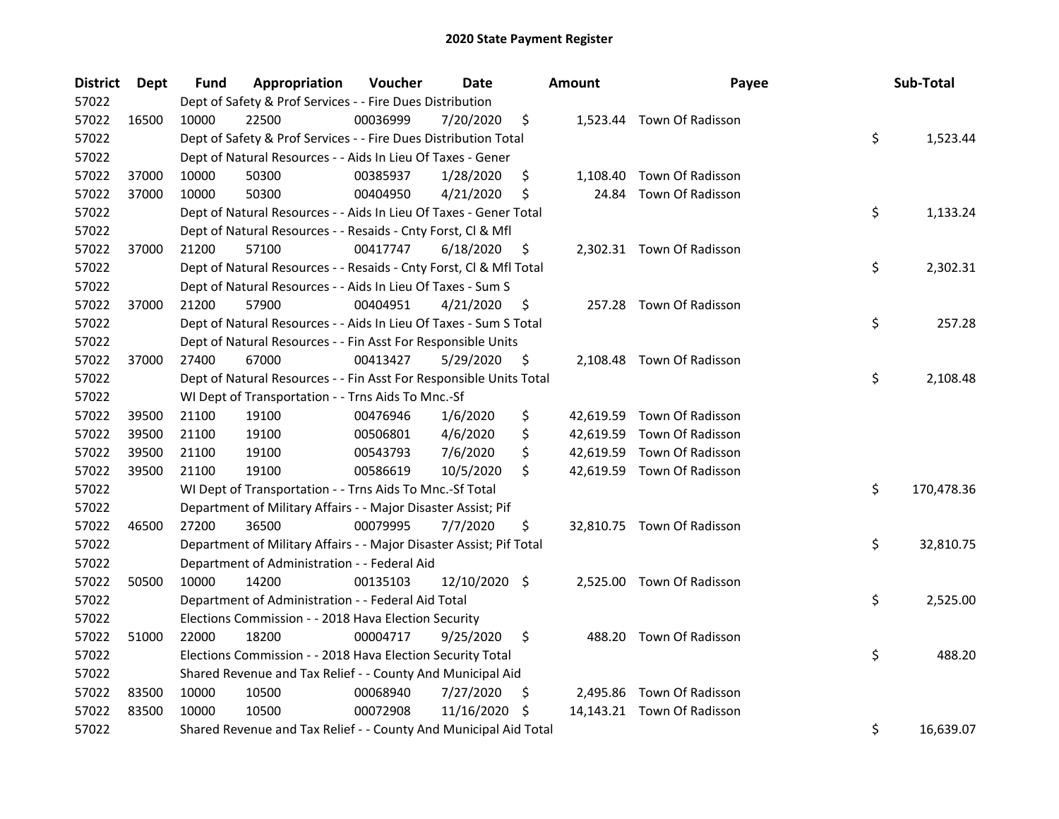| <b>District</b> | Dept  | Fund  | Appropriation                                                       | Voucher  | Date          |     | Amount | Payee                      | Sub-Total        |
|-----------------|-------|-------|---------------------------------------------------------------------|----------|---------------|-----|--------|----------------------------|------------------|
| 57022           |       |       | Dept of Safety & Prof Services - - Fire Dues Distribution           |          |               |     |        |                            |                  |
| 57022           | 16500 | 10000 | 22500                                                               | 00036999 | 7/20/2020     | \$  |        | 1,523.44 Town Of Radisson  |                  |
| 57022           |       |       | Dept of Safety & Prof Services - - Fire Dues Distribution Total     |          |               |     |        |                            | \$<br>1,523.44   |
| 57022           |       |       | Dept of Natural Resources - - Aids In Lieu Of Taxes - Gener         |          |               |     |        |                            |                  |
| 57022           | 37000 | 10000 | 50300                                                               | 00385937 | 1/28/2020     | \$  |        | 1,108.40 Town Of Radisson  |                  |
| 57022           | 37000 | 10000 | 50300                                                               | 00404950 | 4/21/2020     | \$  | 24.84  | Town Of Radisson           |                  |
| 57022           |       |       | Dept of Natural Resources - - Aids In Lieu Of Taxes - Gener Total   |          |               |     |        |                            | \$<br>1,133.24   |
| 57022           |       |       | Dept of Natural Resources - - Resaids - Cnty Forst, Cl & Mfl        |          |               |     |        |                            |                  |
| 57022           | 37000 | 21200 | 57100                                                               | 00417747 | 6/18/2020     | \$  |        | 2,302.31 Town Of Radisson  |                  |
| 57022           |       |       | Dept of Natural Resources - - Resaids - Cnty Forst, Cl & Mfl Total  |          |               |     |        |                            | \$<br>2,302.31   |
| 57022           |       |       | Dept of Natural Resources - - Aids In Lieu Of Taxes - Sum S         |          |               |     |        |                            |                  |
| 57022           | 37000 | 21200 | 57900                                                               | 00404951 | 4/21/2020     | \$  |        | 257.28 Town Of Radisson    |                  |
| 57022           |       |       | Dept of Natural Resources - - Aids In Lieu Of Taxes - Sum S Total   |          |               |     |        |                            | \$<br>257.28     |
| 57022           |       |       | Dept of Natural Resources - - Fin Asst For Responsible Units        |          |               |     |        |                            |                  |
| 57022           | 37000 | 27400 | 67000                                                               | 00413427 | 5/29/2020     | Ş   |        | 2,108.48 Town Of Radisson  |                  |
| 57022           |       |       | Dept of Natural Resources - - Fin Asst For Responsible Units Total  |          |               |     |        |                            | \$<br>2,108.48   |
| 57022           |       |       | WI Dept of Transportation - - Trns Aids To Mnc.-Sf                  |          |               |     |        |                            |                  |
| 57022           | 39500 | 21100 | 19100                                                               | 00476946 | 1/6/2020      | \$  |        | 42,619.59 Town Of Radisson |                  |
| 57022           | 39500 | 21100 | 19100                                                               | 00506801 | 4/6/2020      | \$  |        | 42,619.59 Town Of Radisson |                  |
| 57022           | 39500 | 21100 | 19100                                                               | 00543793 | 7/6/2020      | \$  |        | 42,619.59 Town Of Radisson |                  |
| 57022           | 39500 | 21100 | 19100                                                               | 00586619 | 10/5/2020     | \$  |        | 42,619.59 Town Of Radisson |                  |
| 57022           |       |       | WI Dept of Transportation - - Trns Aids To Mnc.-Sf Total            |          |               |     |        |                            | \$<br>170,478.36 |
| 57022           |       |       | Department of Military Affairs - - Major Disaster Assist; Pif       |          |               |     |        |                            |                  |
| 57022           | 46500 | 27200 | 36500                                                               | 00079995 | 7/7/2020      | \$  |        | 32,810.75 Town Of Radisson |                  |
| 57022           |       |       | Department of Military Affairs - - Major Disaster Assist; Pif Total |          |               |     |        |                            | \$<br>32,810.75  |
| 57022           |       |       | Department of Administration - - Federal Aid                        |          |               |     |        |                            |                  |
| 57022           | 50500 | 10000 | 14200                                                               | 00135103 | 12/10/2020 \$ |     |        | 2,525.00 Town Of Radisson  |                  |
| 57022           |       |       | Department of Administration - - Federal Aid Total                  |          |               |     |        |                            | \$<br>2,525.00   |
| 57022           |       |       | Elections Commission - - 2018 Hava Election Security                |          |               |     |        |                            |                  |
| 57022           | 51000 | 22000 | 18200                                                               | 00004717 | 9/25/2020     | \$  | 488.20 | Town Of Radisson           |                  |
| 57022           |       |       | Elections Commission - - 2018 Hava Election Security Total          |          |               |     |        |                            | \$<br>488.20     |
| 57022           |       |       | Shared Revenue and Tax Relief - - County And Municipal Aid          |          |               |     |        |                            |                  |
| 57022           | 83500 | 10000 | 10500                                                               | 00068940 | 7/27/2020     | \$  |        | 2,495.86 Town Of Radisson  |                  |
| 57022           | 83500 | 10000 | 10500                                                               | 00072908 | 11/16/2020    | \$. |        | 14,143.21 Town Of Radisson |                  |
| 57022           |       |       | Shared Revenue and Tax Relief - - County And Municipal Aid Total    |          |               |     |        |                            | \$<br>16,639.07  |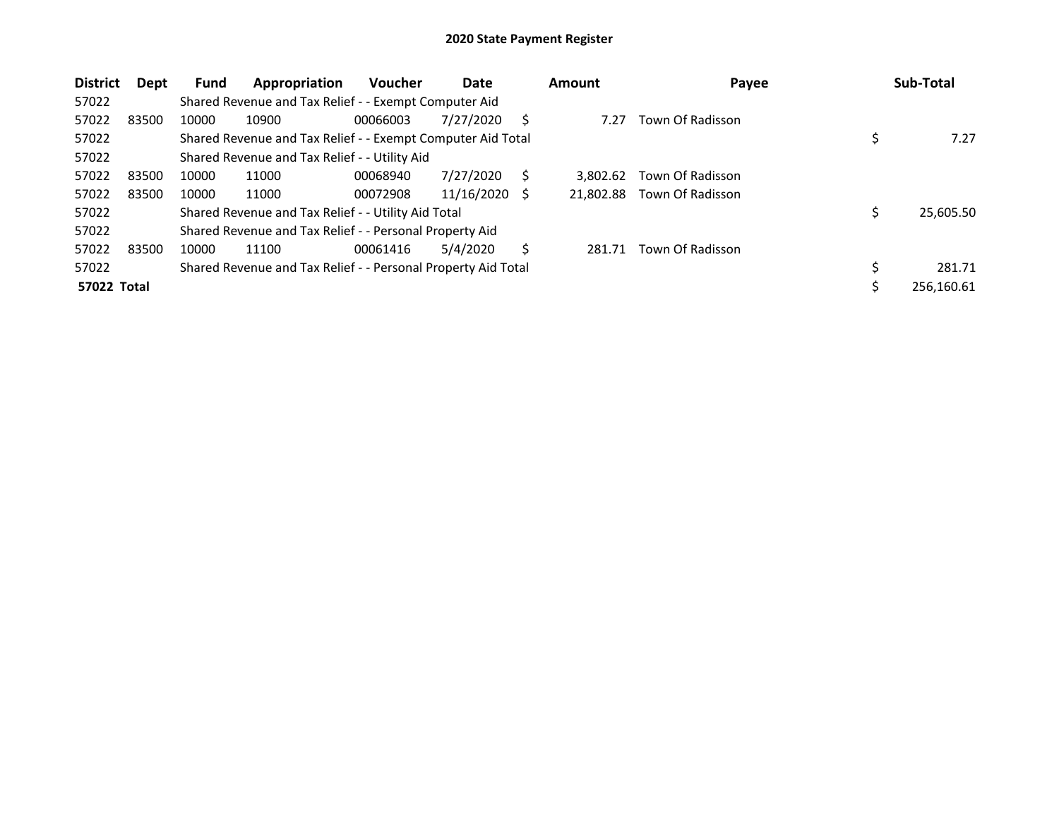| <b>District</b> | Dept  | <b>Fund</b> | Appropriation                                                 | <b>Voucher</b> | Date       |     | <b>Amount</b> | Payee            | Sub-Total    |
|-----------------|-------|-------------|---------------------------------------------------------------|----------------|------------|-----|---------------|------------------|--------------|
| 57022           |       |             | Shared Revenue and Tax Relief - - Exempt Computer Aid         |                |            |     |               |                  |              |
| 57022           | 83500 | 10000       | 10900                                                         | 00066003       | 7/27/2020  | S   | 7.27          | Town Of Radisson |              |
| 57022           |       |             | Shared Revenue and Tax Relief - - Exempt Computer Aid Total   |                |            |     |               |                  | 7.27         |
| 57022           |       |             | Shared Revenue and Tax Relief - - Utility Aid                 |                |            |     |               |                  |              |
| 57022           | 83500 | 10000       | 11000                                                         | 00068940       | 7/27/2020  | S   | 3.802.62      | Town Of Radisson |              |
| 57022           | 83500 | 10000       | 11000                                                         | 00072908       | 11/16/2020 | - S | 21.802.88     | Town Of Radisson |              |
| 57022           |       |             | Shared Revenue and Tax Relief - - Utility Aid Total           |                |            |     |               |                  | 25,605.50    |
| 57022           |       |             | Shared Revenue and Tax Relief - - Personal Property Aid       |                |            |     |               |                  |              |
| 57022           | 83500 | 10000       | 11100                                                         | 00061416       | 5/4/2020   | Ś   | 281.71        | Town Of Radisson |              |
| 57022           |       |             | Shared Revenue and Tax Relief - - Personal Property Aid Total |                |            |     |               |                  | \$<br>281.71 |
| 57022 Total     |       |             |                                                               |                |            |     |               |                  | 256.160.61   |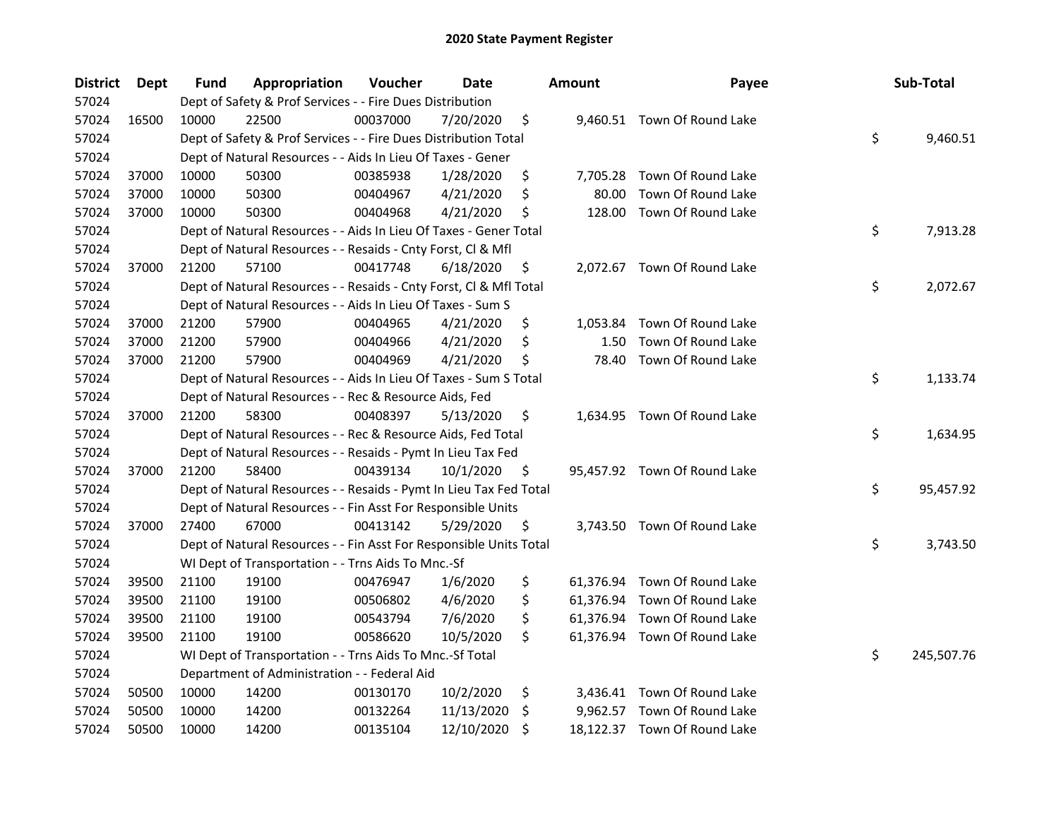| <b>District</b> | Dept  | Fund  | Appropriation                                                      | Voucher  | <b>Date</b> | <b>Amount</b>  | Payee                        | Sub-Total        |
|-----------------|-------|-------|--------------------------------------------------------------------|----------|-------------|----------------|------------------------------|------------------|
| 57024           |       |       | Dept of Safety & Prof Services - - Fire Dues Distribution          |          |             |                |                              |                  |
| 57024           | 16500 | 10000 | 22500                                                              | 00037000 | 7/20/2020   | \$             | 9,460.51 Town Of Round Lake  |                  |
| 57024           |       |       | Dept of Safety & Prof Services - - Fire Dues Distribution Total    |          |             |                |                              | \$<br>9,460.51   |
| 57024           |       |       | Dept of Natural Resources - - Aids In Lieu Of Taxes - Gener        |          |             |                |                              |                  |
| 57024           | 37000 | 10000 | 50300                                                              | 00385938 | 1/28/2020   | \$             | 7,705.28 Town Of Round Lake  |                  |
| 57024           | 37000 | 10000 | 50300                                                              | 00404967 | 4/21/2020   | \$<br>80.00    | Town Of Round Lake           |                  |
| 57024           | 37000 | 10000 | 50300                                                              | 00404968 | 4/21/2020   | \$<br>128.00   | Town Of Round Lake           |                  |
| 57024           |       |       | Dept of Natural Resources - - Aids In Lieu Of Taxes - Gener Total  |          |             |                |                              | \$<br>7,913.28   |
| 57024           |       |       | Dept of Natural Resources - - Resaids - Cnty Forst, Cl & Mfl       |          |             |                |                              |                  |
| 57024           | 37000 | 21200 | 57100                                                              | 00417748 | 6/18/2020   | \$             | 2,072.67 Town Of Round Lake  |                  |
| 57024           |       |       | Dept of Natural Resources - - Resaids - Cnty Forst, Cl & Mfl Total |          |             |                |                              | \$<br>2,072.67   |
| 57024           |       |       | Dept of Natural Resources - - Aids In Lieu Of Taxes - Sum S        |          |             |                |                              |                  |
| 57024           | 37000 | 21200 | 57900                                                              | 00404965 | 4/21/2020   | \$<br>1,053.84 | Town Of Round Lake           |                  |
| 57024           | 37000 | 21200 | 57900                                                              | 00404966 | 4/21/2020   | \$<br>1.50     | Town Of Round Lake           |                  |
| 57024           | 37000 | 21200 | 57900                                                              | 00404969 | 4/21/2020   | \$<br>78.40    | Town Of Round Lake           |                  |
| 57024           |       |       | Dept of Natural Resources - - Aids In Lieu Of Taxes - Sum S Total  |          |             |                |                              | \$<br>1,133.74   |
| 57024           |       |       | Dept of Natural Resources - - Rec & Resource Aids, Fed             |          |             |                |                              |                  |
| 57024           | 37000 | 21200 | 58300                                                              | 00408397 | 5/13/2020   | \$             | 1,634.95 Town Of Round Lake  |                  |
| 57024           |       |       | Dept of Natural Resources - - Rec & Resource Aids, Fed Total       |          |             |                |                              | \$<br>1,634.95   |
| 57024           |       |       | Dept of Natural Resources - - Resaids - Pymt In Lieu Tax Fed       |          |             |                |                              |                  |
| 57024           | 37000 | 21200 | 58400                                                              | 00439134 | 10/1/2020   | \$             | 95,457.92 Town Of Round Lake |                  |
| 57024           |       |       | Dept of Natural Resources - - Resaids - Pymt In Lieu Tax Fed Total |          |             |                |                              | \$<br>95,457.92  |
| 57024           |       |       | Dept of Natural Resources - - Fin Asst For Responsible Units       |          |             |                |                              |                  |
| 57024           | 37000 | 27400 | 67000                                                              | 00413142 | 5/29/2020   | \$             | 3,743.50 Town Of Round Lake  |                  |
| 57024           |       |       | Dept of Natural Resources - - Fin Asst For Responsible Units Total |          |             |                |                              | \$<br>3,743.50   |
| 57024           |       |       | WI Dept of Transportation - - Trns Aids To Mnc.-Sf                 |          |             |                |                              |                  |
| 57024           | 39500 | 21100 | 19100                                                              | 00476947 | 1/6/2020    | \$             | 61,376.94 Town Of Round Lake |                  |
| 57024           | 39500 | 21100 | 19100                                                              | 00506802 | 4/6/2020    | \$             | 61,376.94 Town Of Round Lake |                  |
| 57024           | 39500 | 21100 | 19100                                                              | 00543794 | 7/6/2020    | \$             | 61,376.94 Town Of Round Lake |                  |
| 57024           | 39500 | 21100 | 19100                                                              | 00586620 | 10/5/2020   | \$             | 61,376.94 Town Of Round Lake |                  |
| 57024           |       |       | WI Dept of Transportation - - Trns Aids To Mnc.-Sf Total           |          |             |                |                              | \$<br>245,507.76 |
| 57024           |       |       | Department of Administration - - Federal Aid                       |          |             |                |                              |                  |
| 57024           | 50500 | 10000 | 14200                                                              | 00130170 | 10/2/2020   | \$             | 3,436.41 Town Of Round Lake  |                  |
| 57024           | 50500 | 10000 | 14200                                                              | 00132264 | 11/13/2020  | \$             | 9,962.57 Town Of Round Lake  |                  |
| 57024           | 50500 | 10000 | 14200                                                              | 00135104 | 12/10/2020  | \$             | 18,122.37 Town Of Round Lake |                  |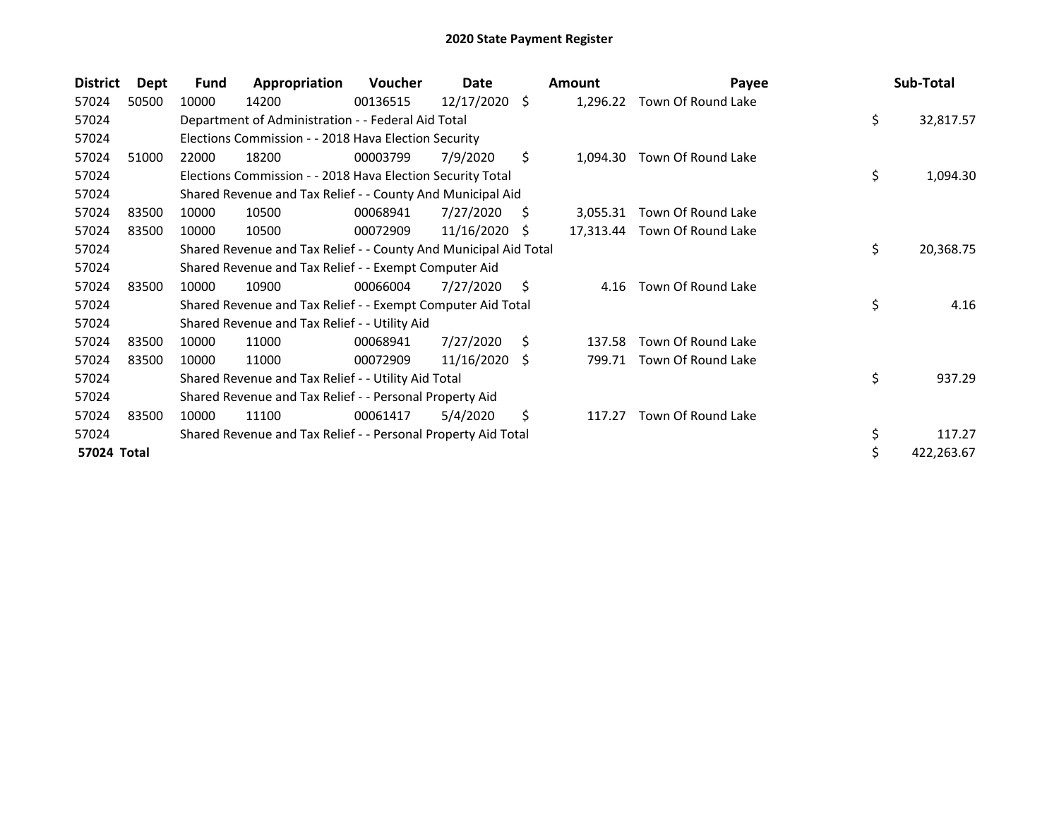| <b>District</b> | Dept  | <b>Fund</b> | Appropriation                                                    | Voucher  | Date       |      | <b>Amount</b> | Payee              | Sub-Total        |
|-----------------|-------|-------------|------------------------------------------------------------------|----------|------------|------|---------------|--------------------|------------------|
| 57024           | 50500 | 10000       | 14200                                                            | 00136515 | 12/17/2020 | - \$ | 1,296.22      | Town Of Round Lake |                  |
| 57024           |       |             | Department of Administration - - Federal Aid Total               |          |            |      |               |                    | \$<br>32,817.57  |
| 57024           |       |             | Elections Commission - - 2018 Hava Election Security             |          |            |      |               |                    |                  |
| 57024           | 51000 | 22000       | 18200                                                            | 00003799 | 7/9/2020   | \$   | 1,094.30      | Town Of Round Lake |                  |
| 57024           |       |             | Elections Commission - - 2018 Hava Election Security Total       |          |            |      |               |                    | \$<br>1,094.30   |
| 57024           |       |             | Shared Revenue and Tax Relief - - County And Municipal Aid       |          |            |      |               |                    |                  |
| 57024           | 83500 | 10000       | 10500                                                            | 00068941 | 7/27/2020  | S    | 3,055.31      | Town Of Round Lake |                  |
| 57024           | 83500 | 10000       | 10500                                                            | 00072909 | 11/16/2020 | S    | 17,313.44     | Town Of Round Lake |                  |
| 57024           |       |             | Shared Revenue and Tax Relief - - County And Municipal Aid Total |          |            |      |               |                    | \$<br>20,368.75  |
| 57024           |       |             | Shared Revenue and Tax Relief - - Exempt Computer Aid            |          |            |      |               |                    |                  |
| 57024           | 83500 | 10000       | 10900                                                            | 00066004 | 7/27/2020  | Ŝ.   | 4.16          | Town Of Round Lake |                  |
| 57024           |       |             | Shared Revenue and Tax Relief - - Exempt Computer Aid Total      |          |            |      |               |                    | \$<br>4.16       |
| 57024           |       |             | Shared Revenue and Tax Relief - - Utility Aid                    |          |            |      |               |                    |                  |
| 57024           | 83500 | 10000       | 11000                                                            | 00068941 | 7/27/2020  | Ŝ.   | 137.58        | Town Of Round Lake |                  |
| 57024           | 83500 | 10000       | 11000                                                            | 00072909 | 11/16/2020 | -S   | 799.71        | Town Of Round Lake |                  |
| 57024           |       |             | Shared Revenue and Tax Relief - - Utility Aid Total              |          |            |      |               |                    | \$<br>937.29     |
| 57024           |       |             | Shared Revenue and Tax Relief - - Personal Property Aid          |          |            |      |               |                    |                  |
| 57024           | 83500 | 10000       | 11100                                                            | 00061417 | 5/4/2020   | \$   | 117.27        | Town Of Round Lake |                  |
| 57024           |       |             | Shared Revenue and Tax Relief - - Personal Property Aid Total    |          |            |      |               |                    | \$<br>117.27     |
| 57024 Total     |       |             |                                                                  |          |            |      |               |                    | \$<br>422,263.67 |
|                 |       |             |                                                                  |          |            |      |               |                    |                  |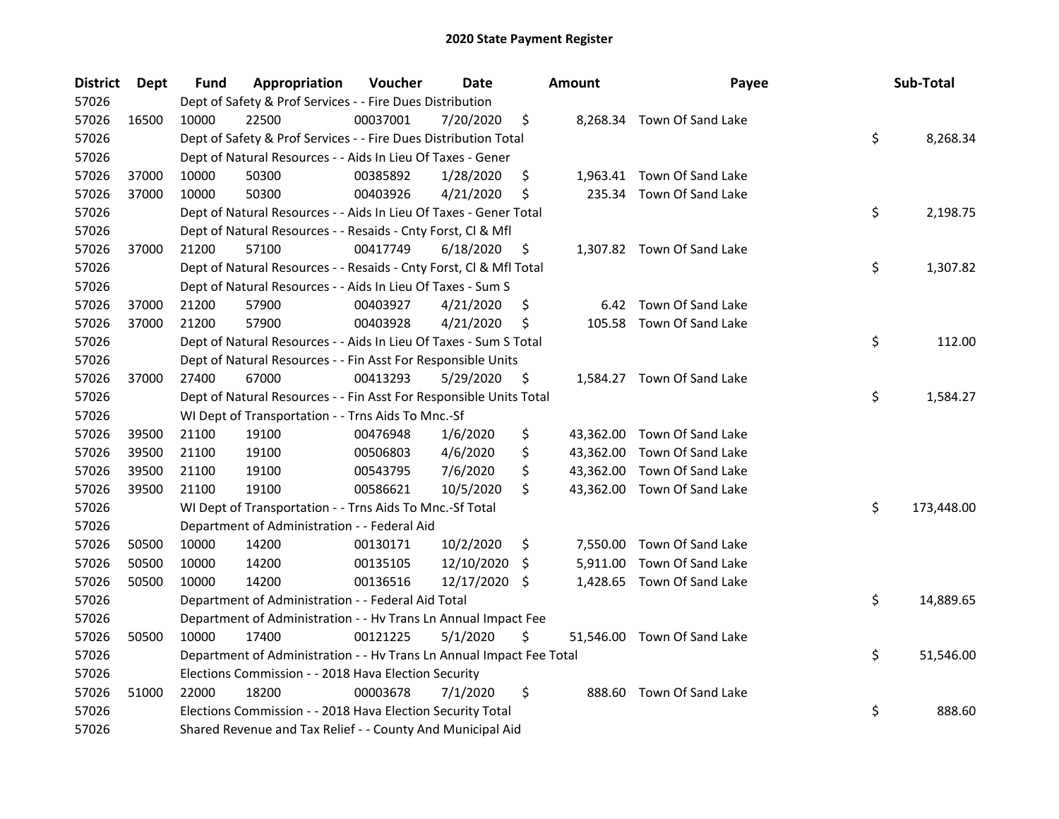| <b>District</b> | <b>Dept</b> | Fund  | Appropriation                                                        | Voucher  | <b>Date</b> |     | Amount   | Payee                       | Sub-Total        |
|-----------------|-------------|-------|----------------------------------------------------------------------|----------|-------------|-----|----------|-----------------------------|------------------|
| 57026           |             |       | Dept of Safety & Prof Services - - Fire Dues Distribution            |          |             |     |          |                             |                  |
| 57026           | 16500       | 10000 | 22500                                                                | 00037001 | 7/20/2020   | \$  |          | 8,268.34 Town Of Sand Lake  |                  |
| 57026           |             |       | Dept of Safety & Prof Services - - Fire Dues Distribution Total      |          |             |     |          |                             | \$<br>8,268.34   |
| 57026           |             |       | Dept of Natural Resources - - Aids In Lieu Of Taxes - Gener          |          |             |     |          |                             |                  |
| 57026           | 37000       | 10000 | 50300                                                                | 00385892 | 1/28/2020   | \$  |          | 1,963.41 Town Of Sand Lake  |                  |
| 57026           | 37000       | 10000 | 50300                                                                | 00403926 | 4/21/2020   | \$  |          | 235.34 Town Of Sand Lake    |                  |
| 57026           |             |       | Dept of Natural Resources - - Aids In Lieu Of Taxes - Gener Total    |          |             |     |          |                             | \$<br>2,198.75   |
| 57026           |             |       | Dept of Natural Resources - - Resaids - Cnty Forst, Cl & Mfl         |          |             |     |          |                             |                  |
| 57026           | 37000       | 21200 | 57100                                                                | 00417749 | 6/18/2020   | \$, |          | 1,307.82 Town Of Sand Lake  |                  |
| 57026           |             |       | Dept of Natural Resources - - Resaids - Cnty Forst, Cl & Mfl Total   |          |             |     |          |                             | \$<br>1,307.82   |
| 57026           |             |       | Dept of Natural Resources - - Aids In Lieu Of Taxes - Sum S          |          |             |     |          |                             |                  |
| 57026           | 37000       | 21200 | 57900                                                                | 00403927 | 4/21/2020   | \$  | 6.42     | Town Of Sand Lake           |                  |
| 57026           | 37000       | 21200 | 57900                                                                | 00403928 | 4/21/2020   | \$  | 105.58   | Town Of Sand Lake           |                  |
| 57026           |             |       | Dept of Natural Resources - - Aids In Lieu Of Taxes - Sum S Total    |          |             |     |          |                             | \$<br>112.00     |
| 57026           |             |       | Dept of Natural Resources - - Fin Asst For Responsible Units         |          |             |     |          |                             |                  |
| 57026           | 37000       | 27400 | 67000                                                                | 00413293 | 5/29/2020   | \$  |          | 1,584.27 Town Of Sand Lake  |                  |
| 57026           |             |       | Dept of Natural Resources - - Fin Asst For Responsible Units Total   |          |             |     |          |                             | \$<br>1,584.27   |
| 57026           |             |       | WI Dept of Transportation - - Trns Aids To Mnc.-Sf                   |          |             |     |          |                             |                  |
| 57026           | 39500       | 21100 | 19100                                                                | 00476948 | 1/6/2020    | \$  |          | 43,362.00 Town Of Sand Lake |                  |
| 57026           | 39500       | 21100 | 19100                                                                | 00506803 | 4/6/2020    | \$  |          | 43,362.00 Town Of Sand Lake |                  |
| 57026           | 39500       | 21100 | 19100                                                                | 00543795 | 7/6/2020    | \$  |          | 43,362.00 Town Of Sand Lake |                  |
| 57026           | 39500       | 21100 | 19100                                                                | 00586621 | 10/5/2020   | \$  |          | 43,362.00 Town Of Sand Lake |                  |
| 57026           |             |       | WI Dept of Transportation - - Trns Aids To Mnc.-Sf Total             |          |             |     |          |                             | \$<br>173,448.00 |
| 57026           |             |       | Department of Administration - - Federal Aid                         |          |             |     |          |                             |                  |
| 57026           | 50500       | 10000 | 14200                                                                | 00130171 | 10/2/2020   | \$  | 7,550.00 | Town Of Sand Lake           |                  |
| 57026           | 50500       | 10000 | 14200                                                                | 00135105 | 12/10/2020  | S   | 5,911.00 | Town Of Sand Lake           |                  |
| 57026           | 50500       | 10000 | 14200                                                                | 00136516 | 12/17/2020  | \$  | 1,428.65 | Town Of Sand Lake           |                  |
| 57026           |             |       | Department of Administration - - Federal Aid Total                   |          |             |     |          |                             | \$<br>14,889.65  |
| 57026           |             |       | Department of Administration - - Hv Trans Ln Annual Impact Fee       |          |             |     |          |                             |                  |
| 57026           | 50500       | 10000 | 17400                                                                | 00121225 | 5/1/2020    | \$  |          | 51,546.00 Town Of Sand Lake |                  |
| 57026           |             |       | Department of Administration - - Hv Trans Ln Annual Impact Fee Total |          |             |     |          |                             | \$<br>51,546.00  |
| 57026           |             |       | Elections Commission - - 2018 Hava Election Security                 |          |             |     |          |                             |                  |
| 57026           | 51000       | 22000 | 18200                                                                | 00003678 | 7/1/2020    | \$  | 888.60   | Town Of Sand Lake           |                  |
| 57026           |             |       | Elections Commission - - 2018 Hava Election Security Total           |          |             |     |          |                             | \$<br>888.60     |
| 57026           |             |       | Shared Revenue and Tax Relief - - County And Municipal Aid           |          |             |     |          |                             |                  |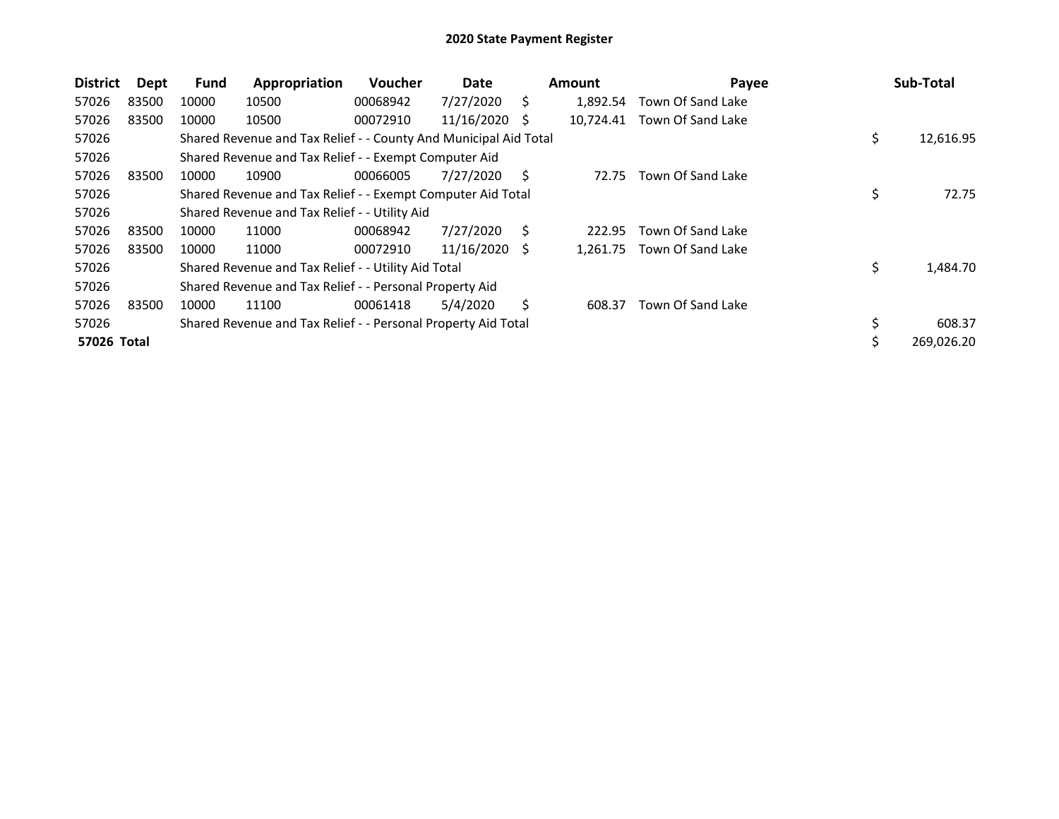| <b>District</b> | Dept  | Fund  | Appropriation                                                    | <b>Voucher</b> | Date       |    | <b>Amount</b> | Payee             | Sub-Total        |
|-----------------|-------|-------|------------------------------------------------------------------|----------------|------------|----|---------------|-------------------|------------------|
| 57026           | 83500 | 10000 | 10500                                                            | 00068942       | 7/27/2020  | Ś. | 1.892.54      | Town Of Sand Lake |                  |
| 57026           | 83500 | 10000 | 10500                                                            | 00072910       | 11/16/2020 | -S | 10,724.41     | Town Of Sand Lake |                  |
| 57026           |       |       | Shared Revenue and Tax Relief - - County And Municipal Aid Total |                |            |    |               |                   | \$<br>12,616.95  |
| 57026           |       |       | Shared Revenue and Tax Relief - - Exempt Computer Aid            |                |            |    |               |                   |                  |
| 57026           | 83500 | 10000 | 10900                                                            | 00066005       | 7/27/2020  | S  | 72.75         | Town Of Sand Lake |                  |
| 57026           |       |       | Shared Revenue and Tax Relief - - Exempt Computer Aid Total      |                |            |    |               |                   | \$<br>72.75      |
| 57026           |       |       | Shared Revenue and Tax Relief - - Utility Aid                    |                |            |    |               |                   |                  |
| 57026           | 83500 | 10000 | 11000                                                            | 00068942       | 7/27/2020  | Ś. | 222.95        | Town Of Sand Lake |                  |
| 57026           | 83500 | 10000 | 11000                                                            | 00072910       | 11/16/2020 | -S | 1,261.75      | Town Of Sand Lake |                  |
| 57026           |       |       | Shared Revenue and Tax Relief - - Utility Aid Total              |                |            |    |               |                   | \$<br>1,484.70   |
| 57026           |       |       | Shared Revenue and Tax Relief - - Personal Property Aid          |                |            |    |               |                   |                  |
| 57026           | 83500 | 10000 | 11100                                                            | 00061418       | 5/4/2020   | S. | 608.37        | Town Of Sand Lake |                  |
| 57026           |       |       | Shared Revenue and Tax Relief - - Personal Property Aid Total    |                |            |    |               |                   | \$<br>608.37     |
| 57026 Total     |       |       |                                                                  |                |            |    |               |                   | \$<br>269,026.20 |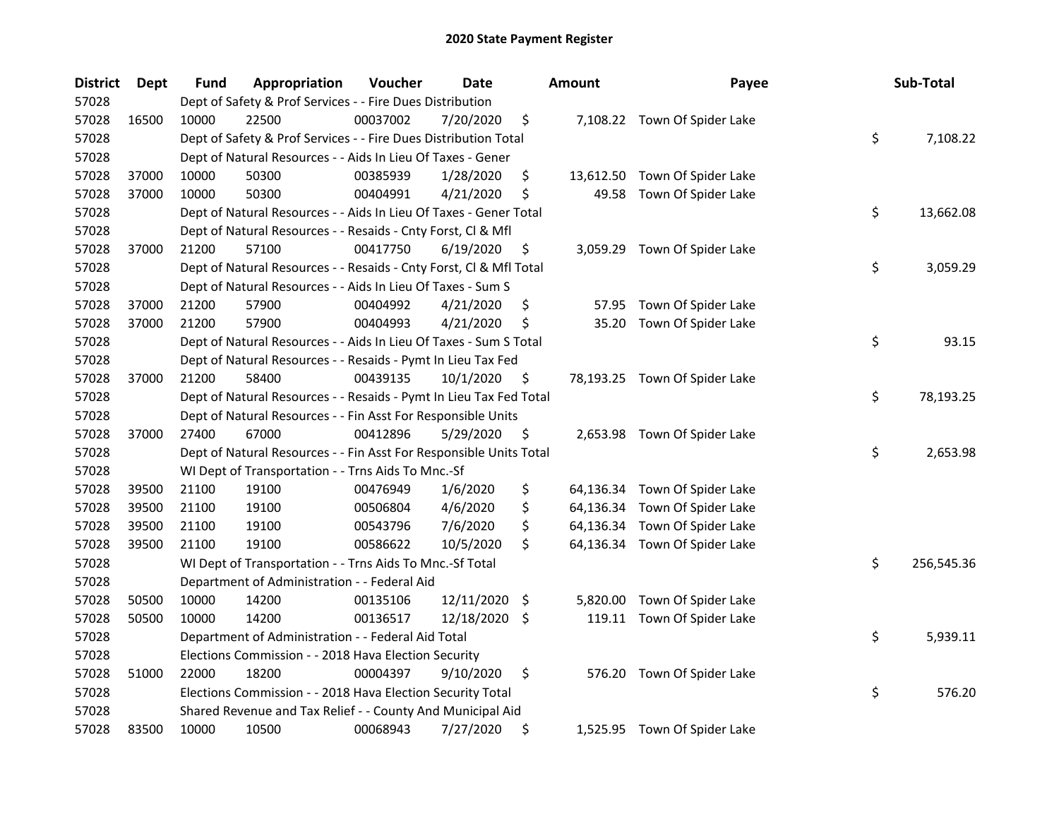| <b>District</b> | <b>Dept</b> | Fund  | Appropriation                                                      | Voucher  | <b>Date</b> |      | Amount   | Payee                         | Sub-Total        |
|-----------------|-------------|-------|--------------------------------------------------------------------|----------|-------------|------|----------|-------------------------------|------------------|
| 57028           |             |       | Dept of Safety & Prof Services - - Fire Dues Distribution          |          |             |      |          |                               |                  |
| 57028           | 16500       | 10000 | 22500                                                              | 00037002 | 7/20/2020   | \$   |          | 7,108.22 Town Of Spider Lake  |                  |
| 57028           |             |       | Dept of Safety & Prof Services - - Fire Dues Distribution Total    |          |             |      |          |                               | \$<br>7,108.22   |
| 57028           |             |       | Dept of Natural Resources - - Aids In Lieu Of Taxes - Gener        |          |             |      |          |                               |                  |
| 57028           | 37000       | 10000 | 50300                                                              | 00385939 | 1/28/2020   | \$   |          | 13,612.50 Town Of Spider Lake |                  |
| 57028           | 37000       | 10000 | 50300                                                              | 00404991 | 4/21/2020   | \$   | 49.58    | Town Of Spider Lake           |                  |
| 57028           |             |       | Dept of Natural Resources - - Aids In Lieu Of Taxes - Gener Total  |          |             |      |          |                               | \$<br>13,662.08  |
| 57028           |             |       | Dept of Natural Resources - - Resaids - Cnty Forst, Cl & Mfl       |          |             |      |          |                               |                  |
| 57028           | 37000       | 21200 | 57100                                                              | 00417750 | 6/19/2020   | \$   |          | 3,059.29 Town Of Spider Lake  |                  |
| 57028           |             |       | Dept of Natural Resources - - Resaids - Cnty Forst, Cl & Mfl Total |          |             |      |          |                               | \$<br>3,059.29   |
| 57028           |             |       | Dept of Natural Resources - - Aids In Lieu Of Taxes - Sum S        |          |             |      |          |                               |                  |
| 57028           | 37000       | 21200 | 57900                                                              | 00404992 | 4/21/2020   | \$   | 57.95    | Town Of Spider Lake           |                  |
| 57028           | 37000       | 21200 | 57900                                                              | 00404993 | 4/21/2020   | \$   | 35.20    | Town Of Spider Lake           |                  |
| 57028           |             |       | Dept of Natural Resources - - Aids In Lieu Of Taxes - Sum S Total  |          |             |      |          |                               | \$<br>93.15      |
| 57028           |             |       | Dept of Natural Resources - - Resaids - Pymt In Lieu Tax Fed       |          |             |      |          |                               |                  |
| 57028           | 37000       | 21200 | 58400                                                              | 00439135 | 10/1/2020   | \$   |          | 78,193.25 Town Of Spider Lake |                  |
| 57028           |             |       | Dept of Natural Resources - - Resaids - Pymt In Lieu Tax Fed Total |          |             |      |          |                               | \$<br>78,193.25  |
| 57028           |             |       | Dept of Natural Resources - - Fin Asst For Responsible Units       |          |             |      |          |                               |                  |
| 57028           | 37000       | 27400 | 67000                                                              | 00412896 | 5/29/2020   | \$   |          | 2,653.98 Town Of Spider Lake  |                  |
| 57028           |             |       | Dept of Natural Resources - - Fin Asst For Responsible Units Total |          |             |      |          |                               | \$<br>2,653.98   |
| 57028           |             |       | WI Dept of Transportation - - Trns Aids To Mnc.-Sf                 |          |             |      |          |                               |                  |
| 57028           | 39500       | 21100 | 19100                                                              | 00476949 | 1/6/2020    | \$   |          | 64,136.34 Town Of Spider Lake |                  |
| 57028           | 39500       | 21100 | 19100                                                              | 00506804 | 4/6/2020    | \$   |          | 64,136.34 Town Of Spider Lake |                  |
| 57028           | 39500       | 21100 | 19100                                                              | 00543796 | 7/6/2020    | \$   |          | 64,136.34 Town Of Spider Lake |                  |
| 57028           | 39500       | 21100 | 19100                                                              | 00586622 | 10/5/2020   | \$   |          | 64,136.34 Town Of Spider Lake |                  |
| 57028           |             |       | WI Dept of Transportation - - Trns Aids To Mnc.-Sf Total           |          |             |      |          |                               | \$<br>256,545.36 |
| 57028           |             |       | Department of Administration - - Federal Aid                       |          |             |      |          |                               |                  |
| 57028           | 50500       | 10000 | 14200                                                              | 00135106 | 12/11/2020  | - \$ | 5,820.00 | Town Of Spider Lake           |                  |
| 57028           | 50500       | 10000 | 14200                                                              | 00136517 | 12/18/2020  | \$.  |          | 119.11 Town Of Spider Lake    |                  |
| 57028           |             |       | Department of Administration - - Federal Aid Total                 |          |             |      |          |                               | \$<br>5,939.11   |
| 57028           |             |       | Elections Commission - - 2018 Hava Election Security               |          |             |      |          |                               |                  |
| 57028           | 51000       | 22000 | 18200                                                              | 00004397 | 9/10/2020   | \$   | 576.20   | Town Of Spider Lake           |                  |
| 57028           |             |       | Elections Commission - - 2018 Hava Election Security Total         |          |             |      |          |                               | \$<br>576.20     |
| 57028           |             |       | Shared Revenue and Tax Relief - - County And Municipal Aid         |          |             |      |          |                               |                  |
| 57028           | 83500       | 10000 | 10500                                                              | 00068943 | 7/27/2020   | \$   |          | 1,525.95 Town Of Spider Lake  |                  |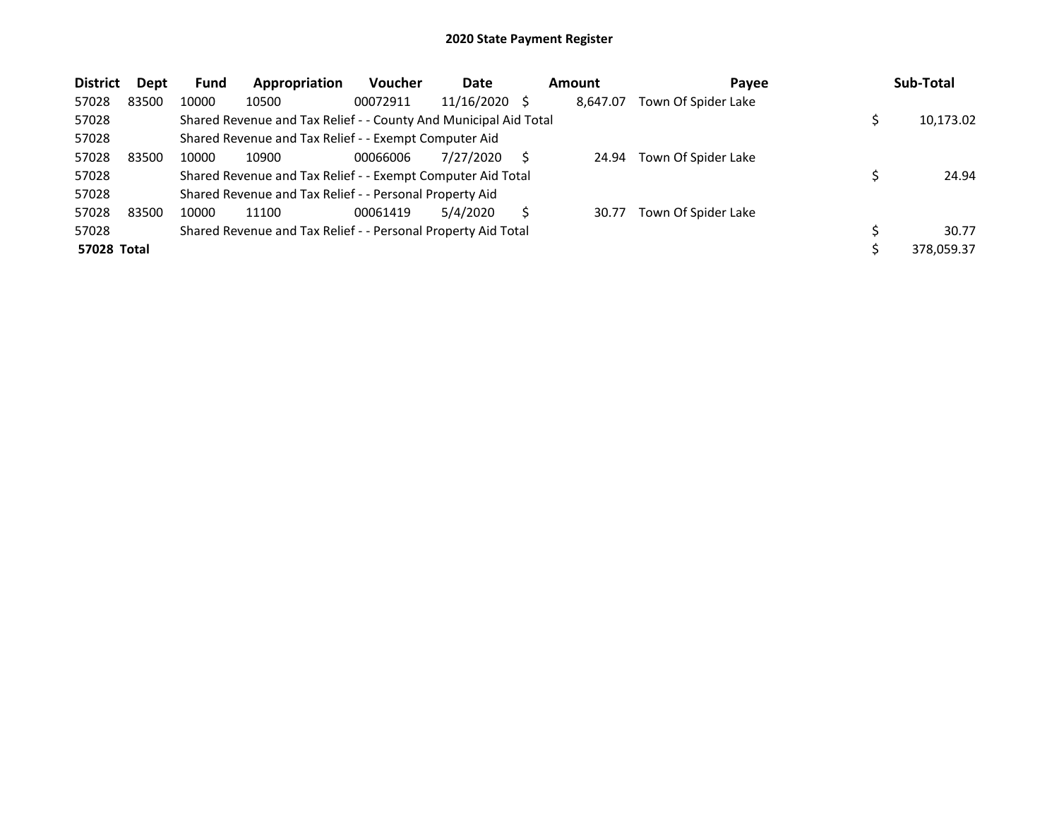| <b>District</b> | Dept  | <b>Fund</b> | Appropriation                                                    | <b>Voucher</b> | Date          | <b>Amount</b> | Payee               | Sub-Total  |
|-----------------|-------|-------------|------------------------------------------------------------------|----------------|---------------|---------------|---------------------|------------|
| 57028           | 83500 | 10000       | 10500                                                            | 00072911       | 11/16/2020 \$ | 8.647.07      | Town Of Spider Lake |            |
| 57028           |       |             | Shared Revenue and Tax Relief - - County And Municipal Aid Total |                |               |               |                     | 10,173.02  |
| 57028           |       |             | Shared Revenue and Tax Relief - - Exempt Computer Aid            |                |               |               |                     |            |
| 57028           | 83500 | 10000       | 10900                                                            | 00066006       | 7/27/2020     | 24.94         | Town Of Spider Lake |            |
| 57028           |       |             | Shared Revenue and Tax Relief - - Exempt Computer Aid Total      |                |               |               |                     | 24.94      |
| 57028           |       |             | Shared Revenue and Tax Relief - - Personal Property Aid          |                |               |               |                     |            |
| 57028           | 83500 | 10000       | 11100                                                            | 00061419       | 5/4/2020      | 30.77         | Town Of Spider Lake |            |
| 57028           |       |             | Shared Revenue and Tax Relief - - Personal Property Aid Total    |                |               |               |                     | 30.77      |
| 57028 Total     |       |             |                                                                  |                |               |               |                     | 378,059.37 |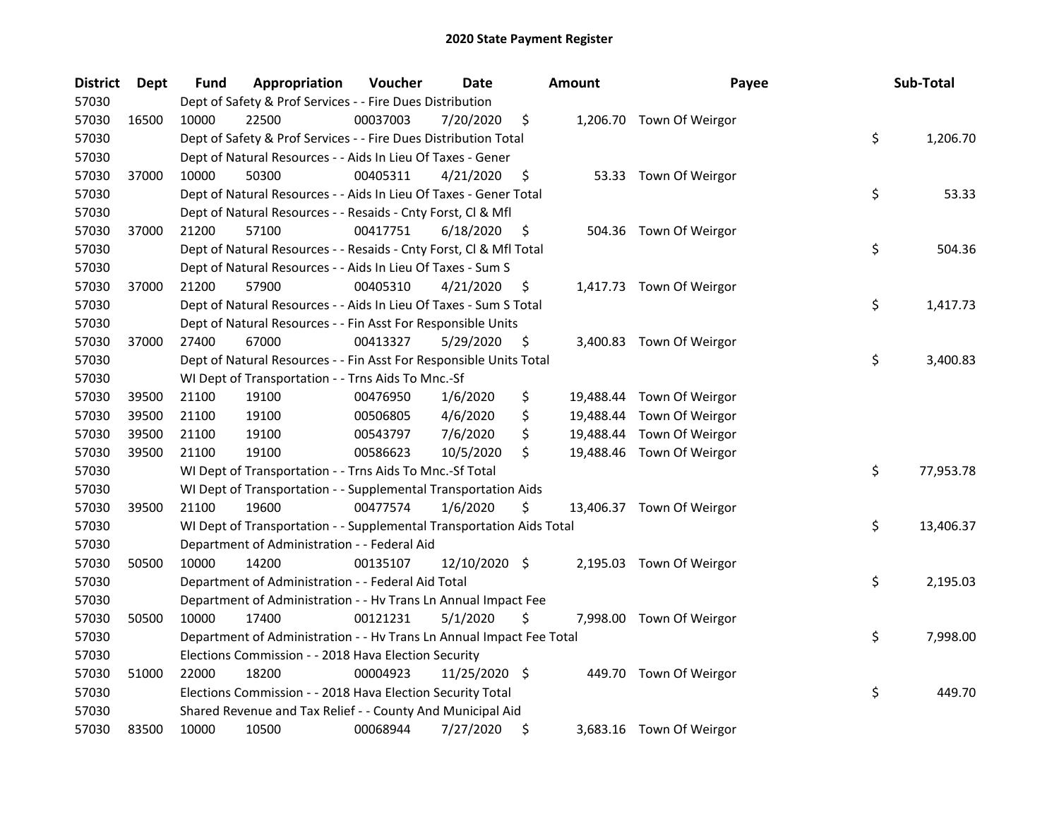| <b>District</b> | <b>Dept</b> | Fund  | Appropriation                                                        | Voucher  | Date          |     | <b>Amount</b> | Payee                     | Sub-Total       |
|-----------------|-------------|-------|----------------------------------------------------------------------|----------|---------------|-----|---------------|---------------------------|-----------------|
| 57030           |             |       | Dept of Safety & Prof Services - - Fire Dues Distribution            |          |               |     |               |                           |                 |
| 57030           | 16500       | 10000 | 22500                                                                | 00037003 | 7/20/2020     | \$  |               | 1,206.70 Town Of Weirgor  |                 |
| 57030           |             |       | Dept of Safety & Prof Services - - Fire Dues Distribution Total      |          |               |     |               |                           | \$<br>1,206.70  |
| 57030           |             |       | Dept of Natural Resources - - Aids In Lieu Of Taxes - Gener          |          |               |     |               |                           |                 |
| 57030           | 37000       | 10000 | 50300                                                                | 00405311 | 4/21/2020     | \$  |               | 53.33 Town Of Weirgor     |                 |
| 57030           |             |       | Dept of Natural Resources - - Aids In Lieu Of Taxes - Gener Total    |          |               |     |               |                           | \$<br>53.33     |
| 57030           |             |       | Dept of Natural Resources - - Resaids - Cnty Forst, Cl & Mfl         |          |               |     |               |                           |                 |
| 57030           | 37000       | 21200 | 57100                                                                | 00417751 | 6/18/2020     | \$  |               | 504.36 Town Of Weirgor    |                 |
| 57030           |             |       | Dept of Natural Resources - - Resaids - Cnty Forst, Cl & Mfl Total   |          |               |     |               |                           | \$<br>504.36    |
| 57030           |             |       | Dept of Natural Resources - - Aids In Lieu Of Taxes - Sum S          |          |               |     |               |                           |                 |
| 57030           | 37000       | 21200 | 57900                                                                | 00405310 | 4/21/2020     | \$  |               | 1,417.73 Town Of Weirgor  |                 |
| 57030           |             |       | Dept of Natural Resources - - Aids In Lieu Of Taxes - Sum S Total    |          |               |     |               |                           | \$<br>1,417.73  |
| 57030           |             |       | Dept of Natural Resources - - Fin Asst For Responsible Units         |          |               |     |               |                           |                 |
| 57030           | 37000       | 27400 | 67000                                                                | 00413327 | 5/29/2020     | \$. |               | 3,400.83 Town Of Weirgor  |                 |
| 57030           |             |       | Dept of Natural Resources - - Fin Asst For Responsible Units Total   |          |               |     |               |                           | \$<br>3,400.83  |
| 57030           |             |       | WI Dept of Transportation - - Trns Aids To Mnc.-Sf                   |          |               |     |               |                           |                 |
| 57030           | 39500       | 21100 | 19100                                                                | 00476950 | 1/6/2020      | \$  |               | 19,488.44 Town Of Weirgor |                 |
| 57030           | 39500       | 21100 | 19100                                                                | 00506805 | 4/6/2020      | \$  |               | 19,488.44 Town Of Weirgor |                 |
| 57030           | 39500       | 21100 | 19100                                                                | 00543797 | 7/6/2020      | \$  | 19,488.44     | Town Of Weirgor           |                 |
| 57030           | 39500       | 21100 | 19100                                                                | 00586623 | 10/5/2020     | \$  |               | 19,488.46 Town Of Weirgor |                 |
| 57030           |             |       | WI Dept of Transportation - - Trns Aids To Mnc.-Sf Total             |          |               |     |               |                           | \$<br>77,953.78 |
| 57030           |             |       | WI Dept of Transportation - - Supplemental Transportation Aids       |          |               |     |               |                           |                 |
| 57030           | 39500       | 21100 | 19600                                                                | 00477574 | 1/6/2020      | \$  |               | 13,406.37 Town Of Weirgor |                 |
| 57030           |             |       | WI Dept of Transportation - - Supplemental Transportation Aids Total |          |               |     |               |                           | \$<br>13,406.37 |
| 57030           |             |       | Department of Administration - - Federal Aid                         |          |               |     |               |                           |                 |
| 57030           | 50500       | 10000 | 14200                                                                | 00135107 | 12/10/2020 \$ |     |               | 2,195.03 Town Of Weirgor  |                 |
| 57030           |             |       | Department of Administration - - Federal Aid Total                   |          |               |     |               |                           | \$<br>2,195.03  |
| 57030           |             |       | Department of Administration - - Hv Trans Ln Annual Impact Fee       |          |               |     |               |                           |                 |
| 57030           | 50500       | 10000 | 17400                                                                | 00121231 | 5/1/2020      | \$  |               | 7,998.00 Town Of Weirgor  |                 |
| 57030           |             |       | Department of Administration - - Hv Trans Ln Annual Impact Fee Total |          |               |     |               |                           | \$<br>7,998.00  |
| 57030           |             |       | Elections Commission - - 2018 Hava Election Security                 |          |               |     |               |                           |                 |
| 57030           | 51000       | 22000 | 18200                                                                | 00004923 | 11/25/2020 \$ |     |               | 449.70 Town Of Weirgor    |                 |
| 57030           |             |       | Elections Commission - - 2018 Hava Election Security Total           |          |               |     |               |                           | \$<br>449.70    |
| 57030           |             |       | Shared Revenue and Tax Relief - - County And Municipal Aid           |          |               |     |               |                           |                 |
| 57030           | 83500       | 10000 | 10500                                                                | 00068944 | 7/27/2020     | \$  |               | 3,683.16 Town Of Weirgor  |                 |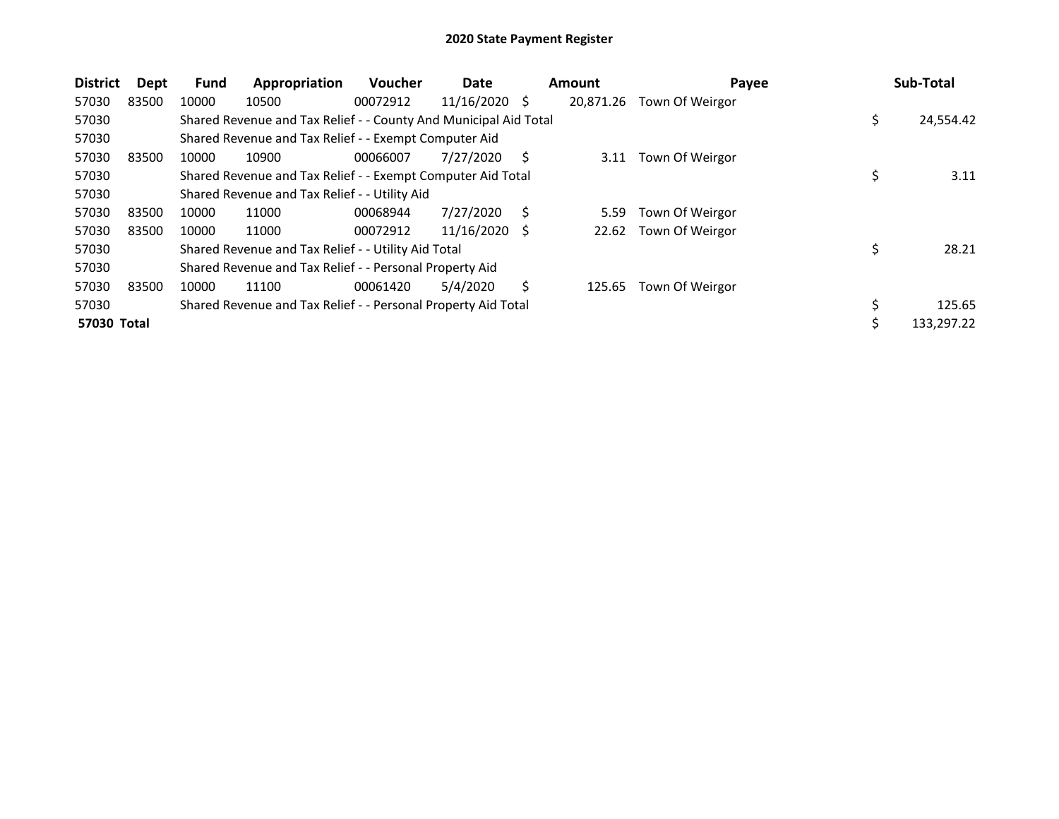| <b>District</b> | Dept  | <b>Fund</b> | Appropriation                                                    | <b>Voucher</b> | Date            |   | <b>Amount</b> | Payee           |    | Sub-Total  |
|-----------------|-------|-------------|------------------------------------------------------------------|----------------|-----------------|---|---------------|-----------------|----|------------|
| 57030           | 83500 | 10000       | 10500                                                            | 00072912       | $11/16/2020$ \$ |   | 20,871.26     | Town Of Weirgor |    |            |
| 57030           |       |             | Shared Revenue and Tax Relief - - County And Municipal Aid Total |                |                 |   |               |                 | \$ | 24,554.42  |
| 57030           |       |             | Shared Revenue and Tax Relief - - Exempt Computer Aid            |                |                 |   |               |                 |    |            |
| 57030           | 83500 | 10000       | 10900                                                            | 00066007       | 7/27/2020       | S | 3.11          | Town Of Weirgor |    |            |
| 57030           |       |             | Shared Revenue and Tax Relief - - Exempt Computer Aid Total      |                |                 |   |               |                 |    | 3.11       |
| 57030           |       |             | Shared Revenue and Tax Relief - - Utility Aid                    |                |                 |   |               |                 |    |            |
| 57030           | 83500 | 10000       | 11000                                                            | 00068944       | 7/27/2020       | Ś | 5.59          | Town Of Weirgor |    |            |
| 57030           | 83500 | 10000       | 11000                                                            | 00072912       | 11/16/2020      | S | 22.62         | Town Of Weirgor |    |            |
| 57030           |       |             | Shared Revenue and Tax Relief - - Utility Aid Total              |                |                 |   |               |                 | \$ | 28.21      |
| 57030           |       |             | Shared Revenue and Tax Relief - - Personal Property Aid          |                |                 |   |               |                 |    |            |
| 57030           | 83500 | 10000       | 11100                                                            | 00061420       | 5/4/2020        | Ś | 125.65        | Town Of Weirgor |    |            |
| 57030           |       |             | Shared Revenue and Tax Relief - - Personal Property Aid Total    |                |                 |   |               |                 | \$ | 125.65     |
| 57030 Total     |       |             |                                                                  |                |                 |   |               |                 | Ś  | 133,297.22 |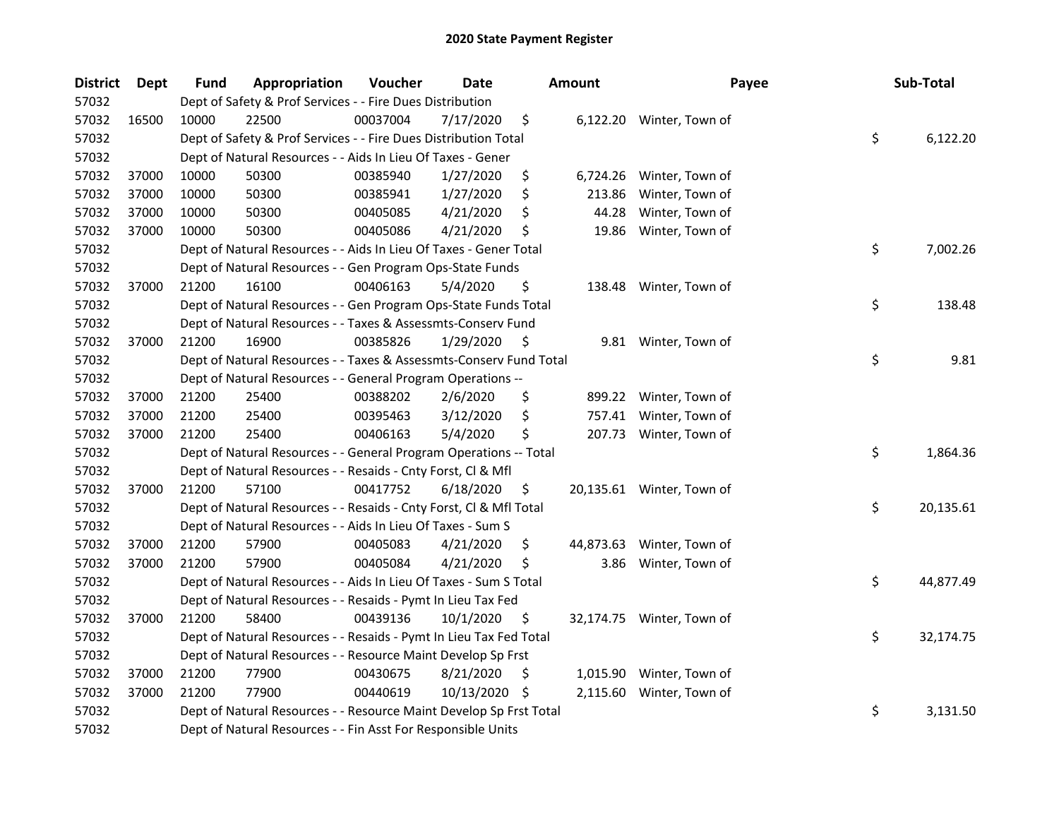| <b>District</b> | Dept  | Fund  | Appropriation                                                      | Voucher  | <b>Date</b> |     | Amount    | Payee                     | Sub-Total       |
|-----------------|-------|-------|--------------------------------------------------------------------|----------|-------------|-----|-----------|---------------------------|-----------------|
| 57032           |       |       | Dept of Safety & Prof Services - - Fire Dues Distribution          |          |             |     |           |                           |                 |
| 57032           | 16500 | 10000 | 22500                                                              | 00037004 | 7/17/2020   | \$  |           | 6,122.20 Winter, Town of  |                 |
| 57032           |       |       | Dept of Safety & Prof Services - - Fire Dues Distribution Total    |          |             |     |           |                           | \$<br>6,122.20  |
| 57032           |       |       | Dept of Natural Resources - - Aids In Lieu Of Taxes - Gener        |          |             |     |           |                           |                 |
| 57032           | 37000 | 10000 | 50300                                                              | 00385940 | 1/27/2020   | \$  | 6,724.26  | Winter, Town of           |                 |
| 57032           | 37000 | 10000 | 50300                                                              | 00385941 | 1/27/2020   | \$  | 213.86    | Winter, Town of           |                 |
| 57032           | 37000 | 10000 | 50300                                                              | 00405085 | 4/21/2020   | \$  | 44.28     | Winter, Town of           |                 |
| 57032           | 37000 | 10000 | 50300                                                              | 00405086 | 4/21/2020   | \$  | 19.86     | Winter, Town of           |                 |
| 57032           |       |       | Dept of Natural Resources - - Aids In Lieu Of Taxes - Gener Total  |          |             |     |           |                           | \$<br>7,002.26  |
| 57032           |       |       | Dept of Natural Resources - - Gen Program Ops-State Funds          |          |             |     |           |                           |                 |
| 57032           | 37000 | 21200 | 16100                                                              | 00406163 | 5/4/2020    | \$  |           | 138.48 Winter, Town of    |                 |
| 57032           |       |       | Dept of Natural Resources - - Gen Program Ops-State Funds Total    |          |             |     |           |                           | \$<br>138.48    |
| 57032           |       |       | Dept of Natural Resources - - Taxes & Assessmts-Conserv Fund       |          |             |     |           |                           |                 |
| 57032           | 37000 | 21200 | 16900                                                              | 00385826 | 1/29/2020   | \$  |           | 9.81 Winter, Town of      |                 |
| 57032           |       |       | Dept of Natural Resources - - Taxes & Assessmts-Conserv Fund Total |          |             |     |           |                           | \$<br>9.81      |
| 57032           |       |       | Dept of Natural Resources - - General Program Operations --        |          |             |     |           |                           |                 |
| 57032           | 37000 | 21200 | 25400                                                              | 00388202 | 2/6/2020    | \$  |           | 899.22 Winter, Town of    |                 |
| 57032           | 37000 | 21200 | 25400                                                              | 00395463 | 3/12/2020   | \$  |           | 757.41 Winter, Town of    |                 |
| 57032           | 37000 | 21200 | 25400                                                              | 00406163 | 5/4/2020    | \$  |           | 207.73 Winter, Town of    |                 |
| 57032           |       |       | Dept of Natural Resources - - General Program Operations -- Total  |          |             |     |           |                           | \$<br>1,864.36  |
| 57032           |       |       | Dept of Natural Resources - - Resaids - Cnty Forst, Cl & Mfl       |          |             |     |           |                           |                 |
| 57032           | 37000 | 21200 | 57100                                                              | 00417752 | 6/18/2020   | \$  |           | 20,135.61 Winter, Town of |                 |
| 57032           |       |       | Dept of Natural Resources - - Resaids - Cnty Forst, CI & Mfl Total |          |             |     |           |                           | \$<br>20,135.61 |
| 57032           |       |       | Dept of Natural Resources - - Aids In Lieu Of Taxes - Sum S        |          |             |     |           |                           |                 |
| 57032           | 37000 | 21200 | 57900                                                              | 00405083 | 4/21/2020   | \$  | 44,873.63 | Winter, Town of           |                 |
| 57032           | 37000 | 21200 | 57900                                                              | 00405084 | 4/21/2020   | \$  | 3.86      | Winter, Town of           |                 |
| 57032           |       |       | Dept of Natural Resources - - Aids In Lieu Of Taxes - Sum S Total  |          |             |     |           |                           | \$<br>44,877.49 |
| 57032           |       |       | Dept of Natural Resources - - Resaids - Pymt In Lieu Tax Fed       |          |             |     |           |                           |                 |
| 57032           | 37000 | 21200 | 58400                                                              | 00439136 | 10/1/2020   | \$  |           | 32,174.75 Winter, Town of |                 |
| 57032           |       |       | Dept of Natural Resources - - Resaids - Pymt In Lieu Tax Fed Total |          |             |     |           |                           | \$<br>32,174.75 |
| 57032           |       |       | Dept of Natural Resources - - Resource Maint Develop Sp Frst       |          |             |     |           |                           |                 |
| 57032           | 37000 | 21200 | 77900                                                              | 00430675 | 8/21/2020   | \$. | 1,015.90  | Winter, Town of           |                 |
| 57032           | 37000 | 21200 | 77900                                                              | 00440619 | 10/13/2020  | \$  | 2,115.60  | Winter, Town of           |                 |
| 57032           |       |       | Dept of Natural Resources - - Resource Maint Develop Sp Frst Total |          |             |     |           |                           | \$<br>3,131.50  |
| 57032           |       |       | Dept of Natural Resources - - Fin Asst For Responsible Units       |          |             |     |           |                           |                 |
|                 |       |       |                                                                    |          |             |     |           |                           |                 |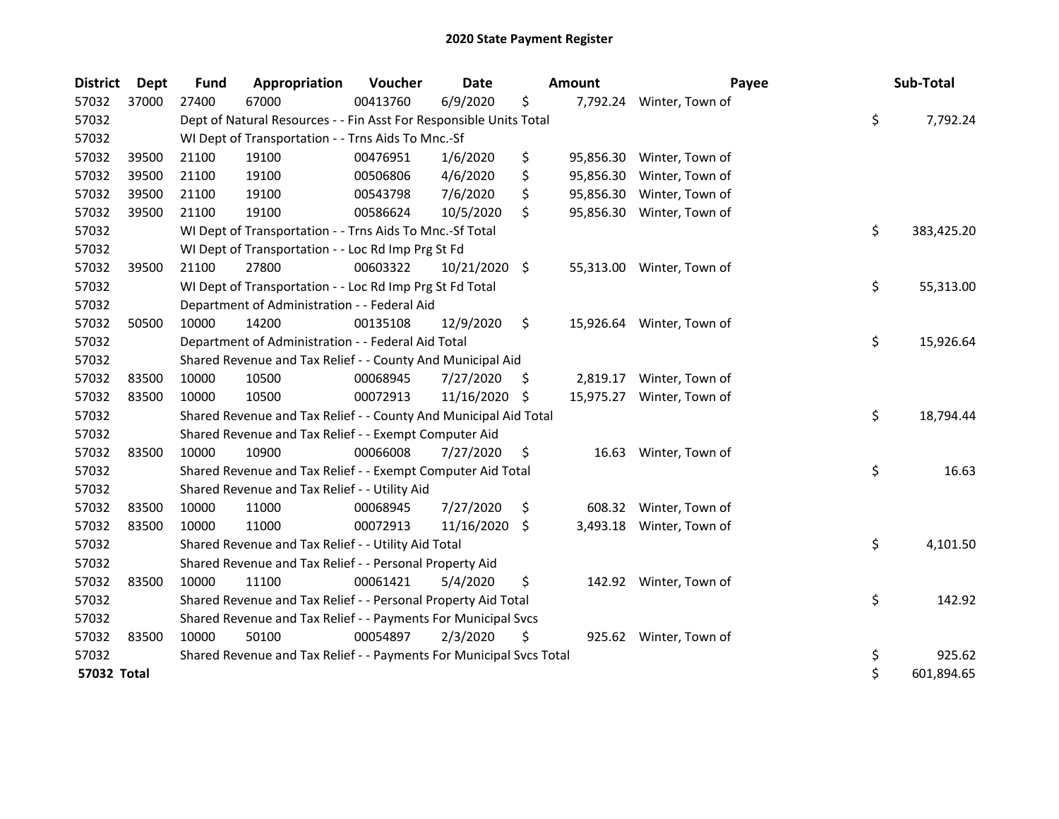| <b>District</b> | Dept  | Fund  | Appropriation                                                       | Voucher  | <b>Date</b>   |     | Amount    | Payee                     | Sub-Total        |
|-----------------|-------|-------|---------------------------------------------------------------------|----------|---------------|-----|-----------|---------------------------|------------------|
| 57032           | 37000 | 27400 | 67000                                                               | 00413760 | 6/9/2020      | \$  |           | 7,792.24 Winter, Town of  |                  |
| 57032           |       |       | Dept of Natural Resources - - Fin Asst For Responsible Units Total  |          |               |     |           |                           | \$<br>7,792.24   |
| 57032           |       |       | WI Dept of Transportation - - Trns Aids To Mnc.-Sf                  |          |               |     |           |                           |                  |
| 57032           | 39500 | 21100 | 19100                                                               | 00476951 | 1/6/2020      | \$  | 95,856.30 | Winter, Town of           |                  |
| 57032           | 39500 | 21100 | 19100                                                               | 00506806 | 4/6/2020      | \$  | 95,856.30 | Winter, Town of           |                  |
| 57032           | 39500 | 21100 | 19100                                                               | 00543798 | 7/6/2020      | \$  | 95,856.30 | Winter, Town of           |                  |
| 57032           | 39500 | 21100 | 19100                                                               | 00586624 | 10/5/2020     | \$  | 95,856.30 | Winter, Town of           |                  |
| 57032           |       |       | WI Dept of Transportation - - Trns Aids To Mnc.-Sf Total            |          |               |     |           |                           | \$<br>383,425.20 |
| 57032           |       |       | WI Dept of Transportation - - Loc Rd Imp Prg St Fd                  |          |               |     |           |                           |                  |
| 57032           | 39500 | 21100 | 27800                                                               | 00603322 | 10/21/2020 \$ |     |           | 55,313.00 Winter, Town of |                  |
| 57032           |       |       | WI Dept of Transportation - - Loc Rd Imp Prg St Fd Total            |          |               |     |           |                           | \$<br>55,313.00  |
| 57032           |       |       | Department of Administration - - Federal Aid                        |          |               |     |           |                           |                  |
| 57032           | 50500 | 10000 | 14200                                                               | 00135108 | 12/9/2020     | \$  | 15,926.64 | Winter, Town of           |                  |
| 57032           |       |       | Department of Administration - - Federal Aid Total                  |          |               |     |           |                           | \$<br>15,926.64  |
| 57032           |       |       | Shared Revenue and Tax Relief - - County And Municipal Aid          |          |               |     |           |                           |                  |
| 57032           | 83500 | 10000 | 10500                                                               | 00068945 | 7/27/2020     | \$, | 2,819.17  | Winter, Town of           |                  |
| 57032           | 83500 | 10000 | 10500                                                               | 00072913 | 11/16/2020    | -\$ | 15,975.27 | Winter, Town of           |                  |
| 57032           |       |       | Shared Revenue and Tax Relief - - County And Municipal Aid Total    |          |               |     |           |                           | \$<br>18,794.44  |
| 57032           |       |       | Shared Revenue and Tax Relief - - Exempt Computer Aid               |          |               |     |           |                           |                  |
| 57032           | 83500 | 10000 | 10900                                                               | 00066008 | 7/27/2020     | \$  | 16.63     | Winter, Town of           |                  |
| 57032           |       |       | Shared Revenue and Tax Relief - - Exempt Computer Aid Total         |          |               |     |           |                           | \$<br>16.63      |
| 57032           |       |       | Shared Revenue and Tax Relief - - Utility Aid                       |          |               |     |           |                           |                  |
| 57032           | 83500 | 10000 | 11000                                                               | 00068945 | 7/27/2020     | \$  | 608.32    | Winter, Town of           |                  |
| 57032           | 83500 | 10000 | 11000                                                               | 00072913 | 11/16/2020    | \$  | 3,493.18  | Winter, Town of           |                  |
| 57032           |       |       | Shared Revenue and Tax Relief - - Utility Aid Total                 |          |               |     |           |                           | \$<br>4,101.50   |
| 57032           |       |       | Shared Revenue and Tax Relief - - Personal Property Aid             |          |               |     |           |                           |                  |
| 57032           | 83500 | 10000 | 11100                                                               | 00061421 | 5/4/2020      | \$  |           | 142.92 Winter, Town of    |                  |
| 57032           |       |       | Shared Revenue and Tax Relief - - Personal Property Aid Total       |          |               |     |           |                           | \$<br>142.92     |
| 57032           |       |       | Shared Revenue and Tax Relief - - Payments For Municipal Svcs       |          |               |     |           |                           |                  |
| 57032           | 83500 | 10000 | 50100                                                               | 00054897 | 2/3/2020      | \$  |           | 925.62 Winter, Town of    |                  |
| 57032           |       |       | Shared Revenue and Tax Relief - - Payments For Municipal Svcs Total |          |               |     |           |                           | \$<br>925.62     |
| 57032 Total     |       |       |                                                                     |          |               |     |           |                           | \$<br>601,894.65 |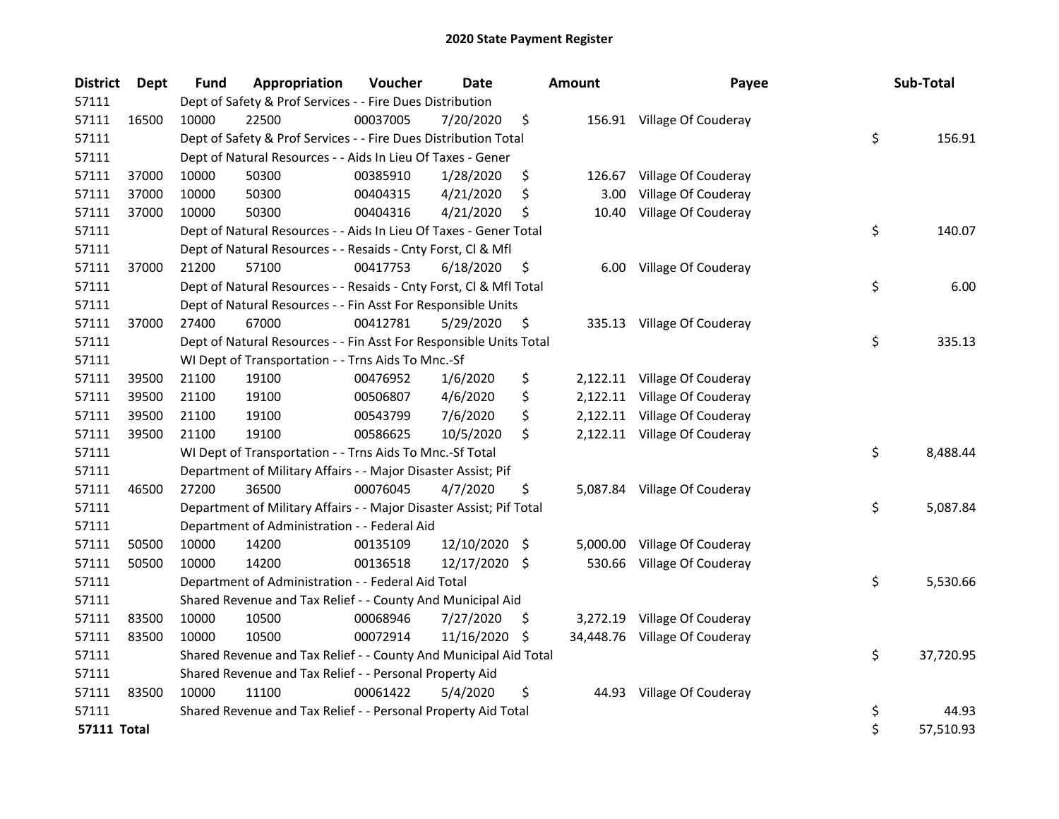| <b>District</b>    | <b>Dept</b> | Fund  | Appropriation                                                       | Voucher  | <b>Date</b>   |      | <b>Amount</b> | Payee                        | Sub-Total       |
|--------------------|-------------|-------|---------------------------------------------------------------------|----------|---------------|------|---------------|------------------------------|-----------------|
| 57111              |             |       | Dept of Safety & Prof Services - - Fire Dues Distribution           |          |               |      |               |                              |                 |
| 57111              | 16500       | 10000 | 22500                                                               | 00037005 | 7/20/2020     | \$   |               | 156.91 Village Of Couderay   |                 |
| 57111              |             |       | Dept of Safety & Prof Services - - Fire Dues Distribution Total     |          |               |      |               |                              | \$<br>156.91    |
| 57111              |             |       | Dept of Natural Resources - - Aids In Lieu Of Taxes - Gener         |          |               |      |               |                              |                 |
| 57111              | 37000       | 10000 | 50300                                                               | 00385910 | 1/28/2020     | \$   | 126.67        | Village Of Couderay          |                 |
| 57111              | 37000       | 10000 | 50300                                                               | 00404315 | 4/21/2020     | \$   | 3.00          | Village Of Couderay          |                 |
| 57111              | 37000       | 10000 | 50300                                                               | 00404316 | 4/21/2020     | \$   | 10.40         | Village Of Couderay          |                 |
| 57111              |             |       | Dept of Natural Resources - - Aids In Lieu Of Taxes - Gener Total   |          |               |      |               |                              | \$<br>140.07    |
| 57111              |             |       | Dept of Natural Resources - - Resaids - Cnty Forst, Cl & Mfl        |          |               |      |               |                              |                 |
| 57111              | 37000       | 21200 | 57100                                                               | 00417753 | 6/18/2020     | \$   | 6.00          | Village Of Couderay          |                 |
| 57111              |             |       | Dept of Natural Resources - - Resaids - Cnty Forst, Cl & Mfl Total  |          |               |      |               |                              | \$<br>6.00      |
| 57111              |             |       | Dept of Natural Resources - - Fin Asst For Responsible Units        |          |               |      |               |                              |                 |
| 57111              | 37000       | 27400 | 67000                                                               | 00412781 | 5/29/2020     | \$   |               | 335.13 Village Of Couderay   |                 |
| 57111              |             |       | Dept of Natural Resources - - Fin Asst For Responsible Units Total  |          |               |      |               |                              | \$<br>335.13    |
| 57111              |             |       | WI Dept of Transportation - - Trns Aids To Mnc.-Sf                  |          |               |      |               |                              |                 |
| 57111              | 39500       | 21100 | 19100                                                               | 00476952 | 1/6/2020      | \$   | 2,122.11      | Village Of Couderay          |                 |
| 57111              | 39500       | 21100 | 19100                                                               | 00506807 | 4/6/2020      | \$   | 2,122.11      | Village Of Couderay          |                 |
| 57111              | 39500       | 21100 | 19100                                                               | 00543799 | 7/6/2020      | \$   | 2,122.11      | Village Of Couderay          |                 |
| 57111              | 39500       | 21100 | 19100                                                               | 00586625 | 10/5/2020     | \$   |               | 2,122.11 Village Of Couderay |                 |
| 57111              |             |       | WI Dept of Transportation - - Trns Aids To Mnc.-Sf Total            |          |               |      |               |                              | \$<br>8,488.44  |
| 57111              |             |       | Department of Military Affairs - - Major Disaster Assist; Pif       |          |               |      |               |                              |                 |
| 57111              | 46500       | 27200 | 36500                                                               | 00076045 | 4/7/2020      | \$   |               | 5,087.84 Village Of Couderay |                 |
| 57111              |             |       | Department of Military Affairs - - Major Disaster Assist; Pif Total |          |               |      |               |                              | \$<br>5,087.84  |
| 57111              |             |       | Department of Administration - - Federal Aid                        |          |               |      |               |                              |                 |
| 57111              | 50500       | 10000 | 14200                                                               | 00135109 | 12/10/2020    | - \$ | 5,000.00      | Village Of Couderay          |                 |
| 57111              | 50500       | 10000 | 14200                                                               | 00136518 | 12/17/2020 \$ |      | 530.66        | Village Of Couderay          |                 |
| 57111              |             |       | Department of Administration - - Federal Aid Total                  |          |               |      |               |                              | \$<br>5,530.66  |
| 57111              |             |       | Shared Revenue and Tax Relief - - County And Municipal Aid          |          |               |      |               |                              |                 |
| 57111              | 83500       | 10000 | 10500                                                               | 00068946 | 7/27/2020     | \$.  | 3,272.19      | Village Of Couderay          |                 |
| 57111              | 83500       | 10000 | 10500                                                               | 00072914 | 11/16/2020    | \$.  | 34,448.76     | Village Of Couderay          |                 |
| 57111              |             |       | Shared Revenue and Tax Relief - - County And Municipal Aid Total    |          |               |      |               |                              | \$<br>37,720.95 |
| 57111              |             |       | Shared Revenue and Tax Relief - - Personal Property Aid             |          |               |      |               |                              |                 |
| 57111              | 83500       | 10000 | 11100                                                               | 00061422 | 5/4/2020      | \$   | 44.93         | Village Of Couderay          |                 |
| 57111              |             |       | Shared Revenue and Tax Relief - - Personal Property Aid Total       |          |               |      |               |                              | \$<br>44.93     |
| <b>57111 Total</b> |             |       |                                                                     |          |               |      |               |                              | \$<br>57,510.93 |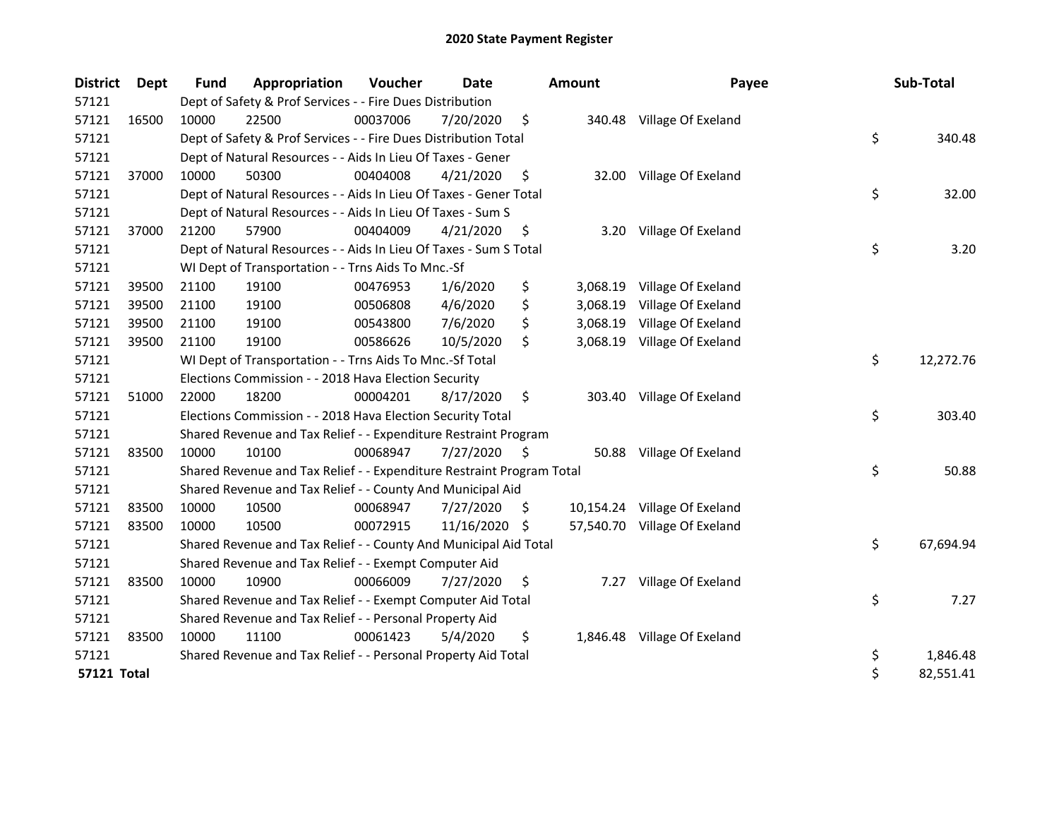| <b>District</b>    | <b>Dept</b> | Fund  | Appropriation                                                         | Voucher  | <b>Date</b> |    | <b>Amount</b> | Payee                        | Sub-Total       |
|--------------------|-------------|-------|-----------------------------------------------------------------------|----------|-------------|----|---------------|------------------------------|-----------------|
| 57121              |             |       | Dept of Safety & Prof Services - - Fire Dues Distribution             |          |             |    |               |                              |                 |
| 57121              | 16500       | 10000 | 22500                                                                 | 00037006 | 7/20/2020   | \$ |               | 340.48 Village Of Exeland    |                 |
| 57121              |             |       | Dept of Safety & Prof Services - - Fire Dues Distribution Total       |          |             |    |               |                              | \$<br>340.48    |
| 57121              |             |       | Dept of Natural Resources - - Aids In Lieu Of Taxes - Gener           |          |             |    |               |                              |                 |
| 57121              | 37000       | 10000 | 50300                                                                 | 00404008 | 4/21/2020   | \$ | 32.00         | Village Of Exeland           |                 |
| 57121              |             |       | Dept of Natural Resources - - Aids In Lieu Of Taxes - Gener Total     |          |             |    |               |                              | \$<br>32.00     |
| 57121              |             |       | Dept of Natural Resources - - Aids In Lieu Of Taxes - Sum S           |          |             |    |               |                              |                 |
| 57121              | 37000       | 21200 | 57900                                                                 | 00404009 | 4/21/2020   | \$ |               | 3.20 Village Of Exeland      |                 |
| 57121              |             |       | Dept of Natural Resources - - Aids In Lieu Of Taxes - Sum S Total     |          |             |    |               |                              | \$<br>3.20      |
| 57121              |             |       | WI Dept of Transportation - - Trns Aids To Mnc.-Sf                    |          |             |    |               |                              |                 |
| 57121              | 39500       | 21100 | 19100                                                                 | 00476953 | 1/6/2020    | \$ | 3,068.19      | Village Of Exeland           |                 |
| 57121              | 39500       | 21100 | 19100                                                                 | 00506808 | 4/6/2020    | \$ | 3,068.19      | Village Of Exeland           |                 |
| 57121              | 39500       | 21100 | 19100                                                                 | 00543800 | 7/6/2020    | \$ | 3,068.19      | Village Of Exeland           |                 |
| 57121              | 39500       | 21100 | 19100                                                                 | 00586626 | 10/5/2020   | \$ |               | 3,068.19 Village Of Exeland  |                 |
| 57121              |             |       | WI Dept of Transportation - - Trns Aids To Mnc.-Sf Total              |          |             |    |               |                              | \$<br>12,272.76 |
| 57121              |             |       | Elections Commission - - 2018 Hava Election Security                  |          |             |    |               |                              |                 |
| 57121              | 51000       | 22000 | 18200                                                                 | 00004201 | 8/17/2020   | \$ |               | 303.40 Village Of Exeland    |                 |
| 57121              |             |       | Elections Commission - - 2018 Hava Election Security Total            |          |             |    |               |                              | \$<br>303.40    |
| 57121              |             |       | Shared Revenue and Tax Relief - - Expenditure Restraint Program       |          |             |    |               |                              |                 |
| 57121              | 83500       | 10000 | 10100                                                                 | 00068947 | 7/27/2020   | \$ | 50.88         | Village Of Exeland           |                 |
| 57121              |             |       | Shared Revenue and Tax Relief - - Expenditure Restraint Program Total |          |             |    |               |                              | \$<br>50.88     |
| 57121              |             |       | Shared Revenue and Tax Relief - - County And Municipal Aid            |          |             |    |               |                              |                 |
| 57121              | 83500       | 10000 | 10500                                                                 | 00068947 | 7/27/2020   | S. |               | 10,154.24 Village Of Exeland |                 |
| 57121              | 83500       | 10000 | 10500                                                                 | 00072915 | 11/16/2020  | S  |               | 57,540.70 Village Of Exeland |                 |
| 57121              |             |       | Shared Revenue and Tax Relief - - County And Municipal Aid Total      |          |             |    |               |                              | \$<br>67,694.94 |
| 57121              |             |       | Shared Revenue and Tax Relief - - Exempt Computer Aid                 |          |             |    |               |                              |                 |
| 57121              | 83500       | 10000 | 10900                                                                 | 00066009 | 7/27/2020   | \$ | 7.27          | Village Of Exeland           |                 |
| 57121              |             |       | Shared Revenue and Tax Relief - - Exempt Computer Aid Total           |          |             |    |               |                              | \$<br>7.27      |
| 57121              |             |       | Shared Revenue and Tax Relief - - Personal Property Aid               |          |             |    |               |                              |                 |
| 57121              | 83500       | 10000 | 11100                                                                 | 00061423 | 5/4/2020    | \$ |               | 1,846.48 Village Of Exeland  |                 |
| 57121              |             |       | Shared Revenue and Tax Relief - - Personal Property Aid Total         |          |             |    |               |                              | \$<br>1,846.48  |
| <b>57121 Total</b> |             |       |                                                                       |          |             |    |               |                              | \$<br>82,551.41 |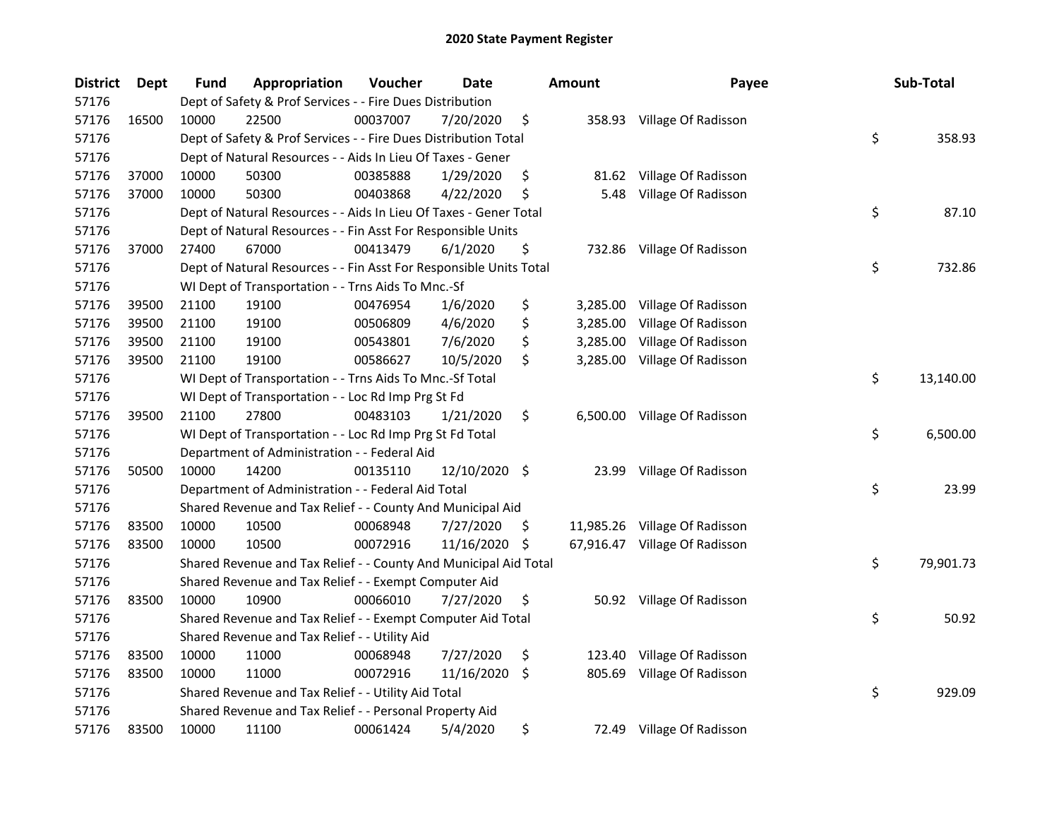| <b>District</b> | Dept  | Fund  | <b>Appropriation</b>                                               | Voucher  | Date          |     | <b>Amount</b> | Payee                         | Sub-Total       |
|-----------------|-------|-------|--------------------------------------------------------------------|----------|---------------|-----|---------------|-------------------------------|-----------------|
| 57176           |       |       | Dept of Safety & Prof Services - - Fire Dues Distribution          |          |               |     |               |                               |                 |
| 57176           | 16500 | 10000 | 22500                                                              | 00037007 | 7/20/2020     | \$  |               | 358.93 Village Of Radisson    |                 |
| 57176           |       |       | Dept of Safety & Prof Services - - Fire Dues Distribution Total    |          |               |     |               |                               | \$<br>358.93    |
| 57176           |       |       | Dept of Natural Resources - - Aids In Lieu Of Taxes - Gener        |          |               |     |               |                               |                 |
| 57176           | 37000 | 10000 | 50300                                                              | 00385888 | 1/29/2020     | \$  | 81.62         | Village Of Radisson           |                 |
| 57176           | 37000 | 10000 | 50300                                                              | 00403868 | 4/22/2020     | \$  | 5.48          | Village Of Radisson           |                 |
| 57176           |       |       | Dept of Natural Resources - - Aids In Lieu Of Taxes - Gener Total  |          |               |     |               |                               | \$<br>87.10     |
| 57176           |       |       | Dept of Natural Resources - - Fin Asst For Responsible Units       |          |               |     |               |                               |                 |
| 57176           | 37000 | 27400 | 67000                                                              | 00413479 | 6/1/2020      | \$  |               | 732.86 Village Of Radisson    |                 |
| 57176           |       |       | Dept of Natural Resources - - Fin Asst For Responsible Units Total |          |               |     |               |                               | \$<br>732.86    |
| 57176           |       |       | WI Dept of Transportation - - Trns Aids To Mnc.-Sf                 |          |               |     |               |                               |                 |
| 57176           | 39500 | 21100 | 19100                                                              | 00476954 | 1/6/2020      | \$  | 3,285.00      | Village Of Radisson           |                 |
| 57176           | 39500 | 21100 | 19100                                                              | 00506809 | 4/6/2020      | \$  | 3,285.00      | Village Of Radisson           |                 |
| 57176           | 39500 | 21100 | 19100                                                              | 00543801 | 7/6/2020      | \$  | 3,285.00      | Village Of Radisson           |                 |
| 57176           | 39500 | 21100 | 19100                                                              | 00586627 | 10/5/2020     | \$  | 3,285.00      | Village Of Radisson           |                 |
| 57176           |       |       | WI Dept of Transportation - - Trns Aids To Mnc.-Sf Total           |          |               |     |               |                               | \$<br>13,140.00 |
| 57176           |       |       | WI Dept of Transportation - - Loc Rd Imp Prg St Fd                 |          |               |     |               |                               |                 |
| 57176           | 39500 | 21100 | 27800                                                              | 00483103 | 1/21/2020     | \$  | 6,500.00      | Village Of Radisson           |                 |
| 57176           |       |       | WI Dept of Transportation - - Loc Rd Imp Prg St Fd Total           |          |               |     |               |                               | \$<br>6,500.00  |
| 57176           |       |       | Department of Administration - - Federal Aid                       |          |               |     |               |                               |                 |
| 57176           | 50500 | 10000 | 14200                                                              | 00135110 | 12/10/2020 \$ |     | 23.99         | Village Of Radisson           |                 |
| 57176           |       |       | Department of Administration - - Federal Aid Total                 |          |               |     |               |                               | \$<br>23.99     |
| 57176           |       |       | Shared Revenue and Tax Relief - - County And Municipal Aid         |          |               |     |               |                               |                 |
| 57176           | 83500 | 10000 | 10500                                                              | 00068948 | 7/27/2020     | \$, |               | 11,985.26 Village Of Radisson |                 |
| 57176           | 83500 | 10000 | 10500                                                              | 00072916 | 11/16/2020    | \$  |               | 67,916.47 Village Of Radisson |                 |
| 57176           |       |       | Shared Revenue and Tax Relief - - County And Municipal Aid Total   |          |               |     |               |                               | \$<br>79,901.73 |
| 57176           |       |       | Shared Revenue and Tax Relief - - Exempt Computer Aid              |          |               |     |               |                               |                 |
| 57176           | 83500 | 10000 | 10900                                                              | 00066010 | 7/27/2020     | \$  |               | 50.92 Village Of Radisson     |                 |
| 57176           |       |       | Shared Revenue and Tax Relief - - Exempt Computer Aid Total        |          |               |     |               |                               | \$<br>50.92     |
| 57176           |       |       | Shared Revenue and Tax Relief - - Utility Aid                      |          |               |     |               |                               |                 |
| 57176           | 83500 | 10000 | 11000                                                              | 00068948 | 7/27/2020     | \$  | 123.40        | Village Of Radisson           |                 |
| 57176           | 83500 | 10000 | 11000                                                              | 00072916 | 11/16/2020    | \$  | 805.69        | Village Of Radisson           |                 |
| 57176           |       |       | Shared Revenue and Tax Relief - - Utility Aid Total                |          |               |     |               |                               | \$<br>929.09    |
| 57176           |       |       | Shared Revenue and Tax Relief - - Personal Property Aid            |          |               |     |               |                               |                 |
| 57176           | 83500 | 10000 | 11100                                                              | 00061424 | 5/4/2020      | \$  |               | 72.49 Village Of Radisson     |                 |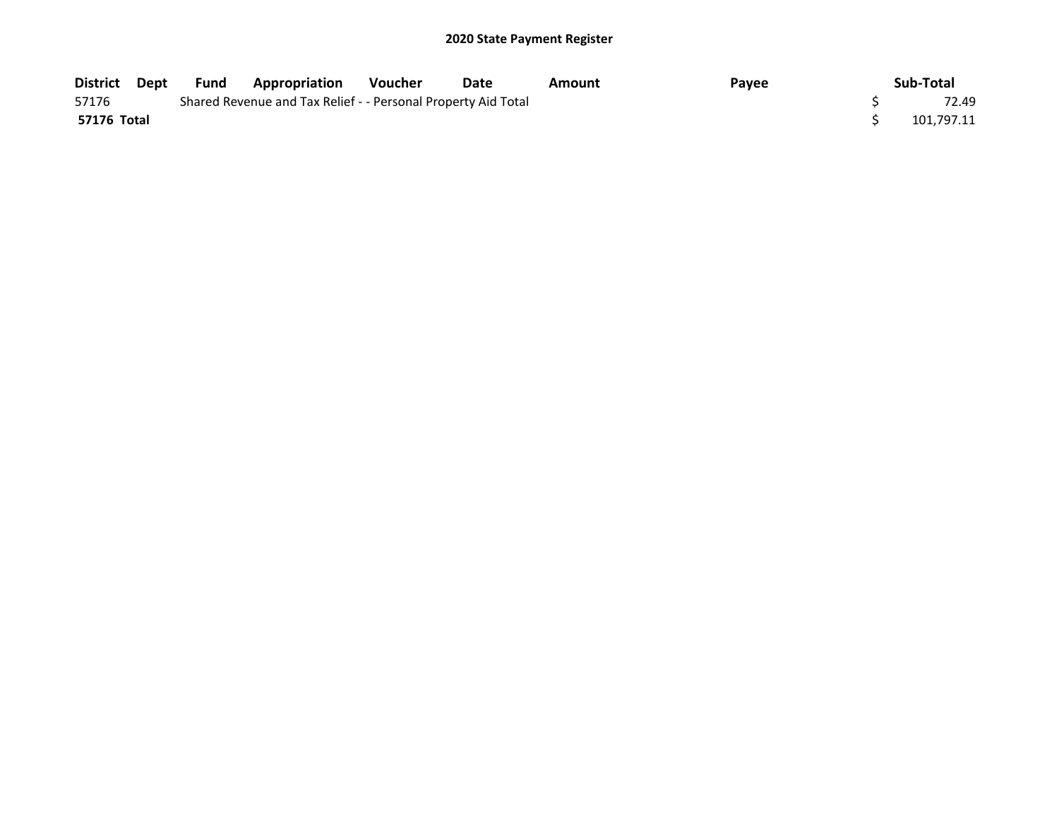| District Dept | Fund | <b>Appropriation</b>                                          | Voucher | Date | Amount | Payee | Sub-Total  |
|---------------|------|---------------------------------------------------------------|---------|------|--------|-------|------------|
| 57176         |      | Shared Revenue and Tax Relief - - Personal Property Aid Total |         |      |        |       | 72.49      |
| 57176 Total   |      |                                                               |         |      |        |       | 101.797.11 |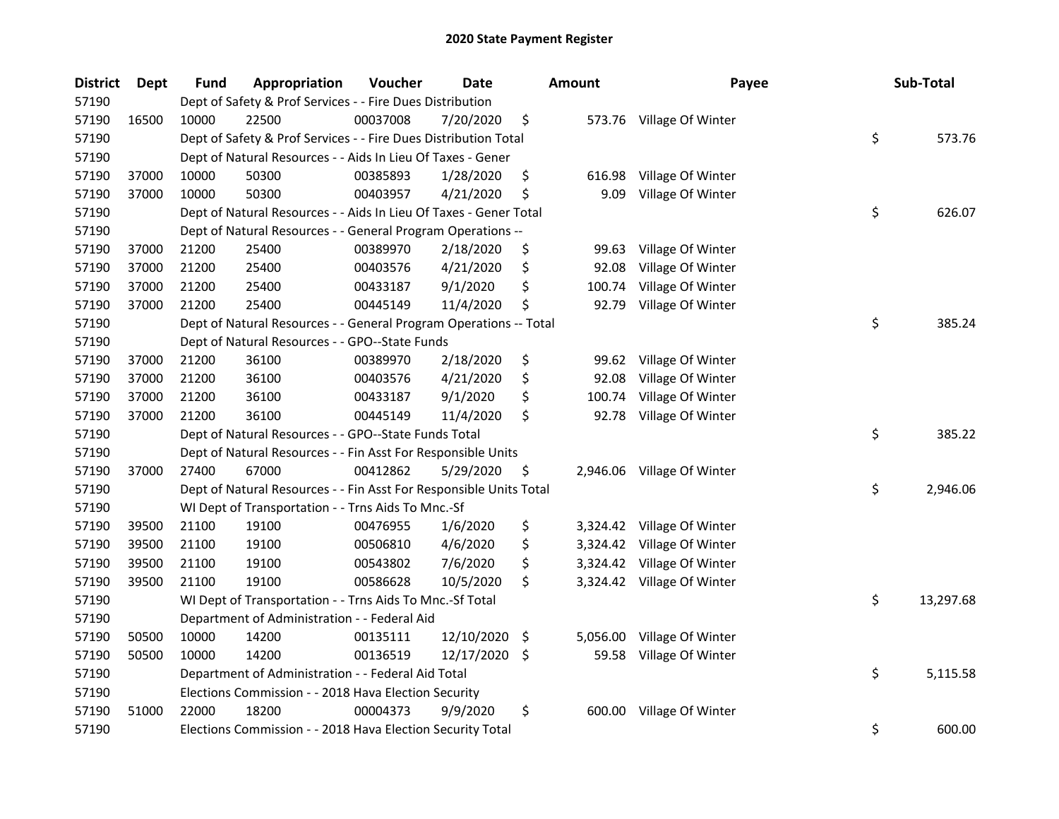| <b>District</b> | Dept  | Fund  | Appropriation                                                      | Voucher  | Date       |     | <b>Amount</b> | Payee                      | Sub-Total       |
|-----------------|-------|-------|--------------------------------------------------------------------|----------|------------|-----|---------------|----------------------------|-----------------|
| 57190           |       |       | Dept of Safety & Prof Services - - Fire Dues Distribution          |          |            |     |               |                            |                 |
| 57190           | 16500 | 10000 | 22500                                                              | 00037008 | 7/20/2020  | \$  |               | 573.76 Village Of Winter   |                 |
| 57190           |       |       | Dept of Safety & Prof Services - - Fire Dues Distribution Total    |          |            |     |               |                            | \$<br>573.76    |
| 57190           |       |       | Dept of Natural Resources - - Aids In Lieu Of Taxes - Gener        |          |            |     |               |                            |                 |
| 57190           | 37000 | 10000 | 50300                                                              | 00385893 | 1/28/2020  | \$  | 616.98        | Village Of Winter          |                 |
| 57190           | 37000 | 10000 | 50300                                                              | 00403957 | 4/21/2020  | \$  | 9.09          | Village Of Winter          |                 |
| 57190           |       |       | Dept of Natural Resources - - Aids In Lieu Of Taxes - Gener Total  |          |            |     |               |                            | \$<br>626.07    |
| 57190           |       |       | Dept of Natural Resources - - General Program Operations --        |          |            |     |               |                            |                 |
| 57190           | 37000 | 21200 | 25400                                                              | 00389970 | 2/18/2020  | \$  | 99.63         | Village Of Winter          |                 |
| 57190           | 37000 | 21200 | 25400                                                              | 00403576 | 4/21/2020  | \$  | 92.08         | Village Of Winter          |                 |
| 57190           | 37000 | 21200 | 25400                                                              | 00433187 | 9/1/2020   | \$  | 100.74        | Village Of Winter          |                 |
| 57190           | 37000 | 21200 | 25400                                                              | 00445149 | 11/4/2020  | \$  | 92.79         | Village Of Winter          |                 |
| 57190           |       |       | Dept of Natural Resources - - General Program Operations -- Total  |          |            |     |               |                            | \$<br>385.24    |
| 57190           |       |       | Dept of Natural Resources - - GPO--State Funds                     |          |            |     |               |                            |                 |
| 57190           | 37000 | 21200 | 36100                                                              | 00389970 | 2/18/2020  | \$  | 99.62         | Village Of Winter          |                 |
| 57190           | 37000 | 21200 | 36100                                                              | 00403576 | 4/21/2020  | \$  | 92.08         | Village Of Winter          |                 |
| 57190           | 37000 | 21200 | 36100                                                              | 00433187 | 9/1/2020   | \$  | 100.74        | Village Of Winter          |                 |
| 57190           | 37000 | 21200 | 36100                                                              | 00445149 | 11/4/2020  | \$  | 92.78         | Village Of Winter          |                 |
| 57190           |       |       | Dept of Natural Resources - - GPO--State Funds Total               |          |            |     |               |                            | \$<br>385.22    |
| 57190           |       |       | Dept of Natural Resources - - Fin Asst For Responsible Units       |          |            |     |               |                            |                 |
| 57190           | 37000 | 27400 | 67000                                                              | 00412862 | 5/29/2020  | \$  |               | 2,946.06 Village Of Winter |                 |
| 57190           |       |       | Dept of Natural Resources - - Fin Asst For Responsible Units Total |          |            |     |               |                            | \$<br>2,946.06  |
| 57190           |       |       | WI Dept of Transportation - - Trns Aids To Mnc.-Sf                 |          |            |     |               |                            |                 |
| 57190           | 39500 | 21100 | 19100                                                              | 00476955 | 1/6/2020   | \$  |               | 3,324.42 Village Of Winter |                 |
| 57190           | 39500 | 21100 | 19100                                                              | 00506810 | 4/6/2020   | \$  |               | 3,324.42 Village Of Winter |                 |
| 57190           | 39500 | 21100 | 19100                                                              | 00543802 | 7/6/2020   | \$  |               | 3,324.42 Village Of Winter |                 |
| 57190           | 39500 | 21100 | 19100                                                              | 00586628 | 10/5/2020  | \$  |               | 3,324.42 Village Of Winter |                 |
| 57190           |       |       | WI Dept of Transportation - - Trns Aids To Mnc.-Sf Total           |          |            |     |               |                            | \$<br>13,297.68 |
| 57190           |       |       | Department of Administration - - Federal Aid                       |          |            |     |               |                            |                 |
| 57190           | 50500 | 10000 | 14200                                                              | 00135111 | 12/10/2020 | -\$ | 5,056.00      | Village Of Winter          |                 |
| 57190           | 50500 | 10000 | 14200                                                              | 00136519 | 12/17/2020 | \$  | 59.58         | Village Of Winter          |                 |
| 57190           |       |       | Department of Administration - - Federal Aid Total                 |          |            |     |               |                            | \$<br>5,115.58  |
| 57190           |       |       | Elections Commission - - 2018 Hava Election Security               |          |            |     |               |                            |                 |
| 57190           | 51000 | 22000 | 18200                                                              | 00004373 | 9/9/2020   | \$  | 600.00        | Village Of Winter          |                 |
| 57190           |       |       | Elections Commission - - 2018 Hava Election Security Total         |          |            |     |               |                            | \$<br>600.00    |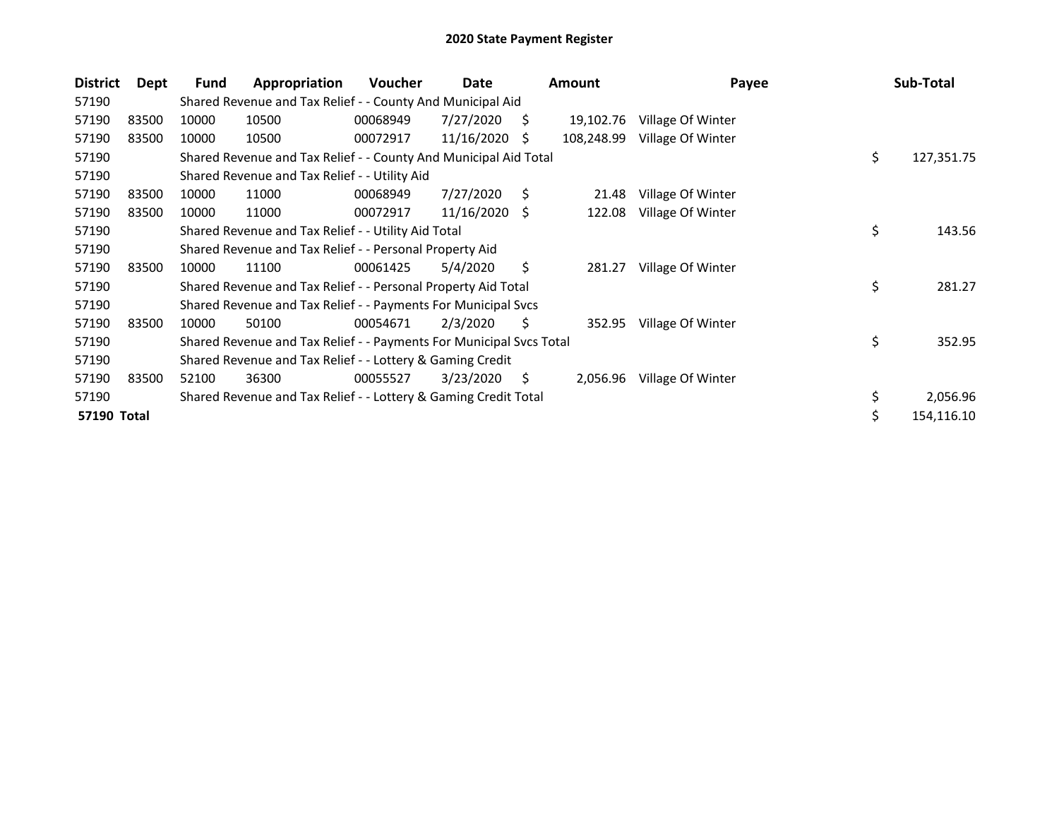| <b>District</b> | Dept  | Fund  | Appropriation                                                       | Voucher  | Date            |     | <b>Amount</b> | Payee             | Sub-Total        |
|-----------------|-------|-------|---------------------------------------------------------------------|----------|-----------------|-----|---------------|-------------------|------------------|
| 57190           |       |       | Shared Revenue and Tax Relief - - County And Municipal Aid          |          |                 |     |               |                   |                  |
| 57190           | 83500 | 10000 | 10500                                                               | 00068949 | 7/27/2020       | S.  | 19,102.76     | Village Of Winter |                  |
| 57190           | 83500 | 10000 | 10500                                                               | 00072917 | 11/16/2020      | -\$ | 108,248.99    | Village Of Winter |                  |
| 57190           |       |       | Shared Revenue and Tax Relief - - County And Municipal Aid Total    |          |                 |     |               |                   | \$<br>127,351.75 |
| 57190           |       |       | Shared Revenue and Tax Relief - - Utility Aid                       |          |                 |     |               |                   |                  |
| 57190           | 83500 | 10000 | 11000                                                               | 00068949 | 7/27/2020       | S   | 21.48         | Village Of Winter |                  |
| 57190           | 83500 | 10000 | 11000                                                               | 00072917 | $11/16/2020$ \$ |     | 122.08        | Village Of Winter |                  |
| 57190           |       |       | Shared Revenue and Tax Relief - - Utility Aid Total                 |          |                 |     |               |                   | \$<br>143.56     |
| 57190           |       |       | Shared Revenue and Tax Relief - - Personal Property Aid             |          |                 |     |               |                   |                  |
| 57190           | 83500 | 10000 | 11100                                                               | 00061425 | 5/4/2020        | \$  | 281.27        | Village Of Winter |                  |
| 57190           |       |       | Shared Revenue and Tax Relief - - Personal Property Aid Total       |          |                 |     |               |                   | \$<br>281.27     |
| 57190           |       |       | Shared Revenue and Tax Relief - - Payments For Municipal Svcs       |          |                 |     |               |                   |                  |
| 57190           | 83500 | 10000 | 50100                                                               | 00054671 | 2/3/2020        | \$  | 352.95        | Village Of Winter |                  |
| 57190           |       |       | Shared Revenue and Tax Relief - - Payments For Municipal Svcs Total |          |                 |     |               |                   | \$<br>352.95     |
| 57190           |       |       | Shared Revenue and Tax Relief - - Lottery & Gaming Credit           |          |                 |     |               |                   |                  |
| 57190           | 83500 | 52100 | 36300                                                               | 00055527 | 3/23/2020       | S.  | 2,056.96      | Village Of Winter |                  |
| 57190           |       |       | Shared Revenue and Tax Relief - - Lottery & Gaming Credit Total     |          |                 |     |               |                   | \$<br>2,056.96   |
| 57190 Total     |       |       |                                                                     |          |                 |     |               |                   | \$<br>154,116.10 |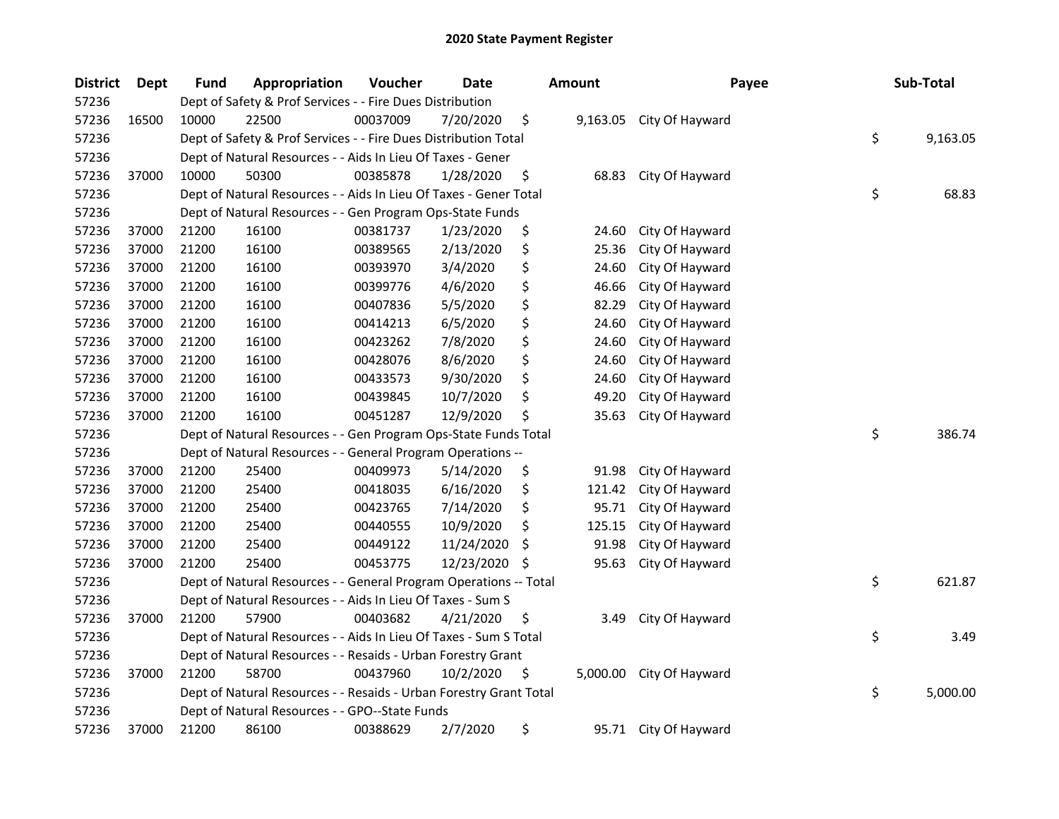| <b>District</b> | <b>Dept</b> | Fund                                                            | Appropriation                                                      | Voucher  | <b>Date</b> |    | <b>Amount</b> | Payee                 |    | Sub-Total |
|-----------------|-------------|-----------------------------------------------------------------|--------------------------------------------------------------------|----------|-------------|----|---------------|-----------------------|----|-----------|
| 57236           |             | Dept of Safety & Prof Services - - Fire Dues Distribution       |                                                                    |          |             |    |               |                       |    |           |
| 57236           | 16500       | 10000                                                           | 22500                                                              | 00037009 | 7/20/2020   | \$ | 9,163.05      | City Of Hayward       |    |           |
| 57236           |             | Dept of Safety & Prof Services - - Fire Dues Distribution Total | \$                                                                 | 9,163.05 |             |    |               |                       |    |           |
| 57236           |             |                                                                 | Dept of Natural Resources - - Aids In Lieu Of Taxes - Gener        |          |             |    |               |                       |    |           |
| 57236           | 37000       | 10000                                                           | 50300                                                              | 00385878 | 1/28/2020   | \$ | 68.83         | City Of Hayward       |    |           |
| 57236           |             |                                                                 | Dept of Natural Resources - - Aids In Lieu Of Taxes - Gener Total  |          |             |    |               |                       | \$ | 68.83     |
| 57236           |             |                                                                 | Dept of Natural Resources - - Gen Program Ops-State Funds          |          |             |    |               |                       |    |           |
| 57236           | 37000       | 21200                                                           | 16100                                                              | 00381737 | 1/23/2020   | \$ | 24.60         | City Of Hayward       |    |           |
| 57236           | 37000       | 21200                                                           | 16100                                                              | 00389565 | 2/13/2020   | \$ | 25.36         | City Of Hayward       |    |           |
| 57236           | 37000       | 21200                                                           | 16100                                                              | 00393970 | 3/4/2020    | \$ | 24.60         | City Of Hayward       |    |           |
| 57236           | 37000       | 21200                                                           | 16100                                                              | 00399776 | 4/6/2020    | \$ | 46.66         | City Of Hayward       |    |           |
| 57236           | 37000       | 21200                                                           | 16100                                                              | 00407836 | 5/5/2020    | \$ | 82.29         | City Of Hayward       |    |           |
| 57236           | 37000       | 21200                                                           | 16100                                                              | 00414213 | 6/5/2020    | \$ | 24.60         | City Of Hayward       |    |           |
| 57236           | 37000       | 21200                                                           | 16100                                                              | 00423262 | 7/8/2020    | \$ | 24.60         | City Of Hayward       |    |           |
| 57236           | 37000       | 21200                                                           | 16100                                                              | 00428076 | 8/6/2020    | \$ | 24.60         | City Of Hayward       |    |           |
| 57236           | 37000       | 21200                                                           | 16100                                                              | 00433573 | 9/30/2020   | \$ | 24.60         | City Of Hayward       |    |           |
| 57236           | 37000       | 21200                                                           | 16100                                                              | 00439845 | 10/7/2020   | \$ | 49.20         | City Of Hayward       |    |           |
| 57236           | 37000       | 21200                                                           | 16100                                                              | 00451287 | 12/9/2020   | \$ | 35.63         | City Of Hayward       |    |           |
| 57236           |             | Dept of Natural Resources - - Gen Program Ops-State Funds Total |                                                                    |          |             |    |               |                       |    | 386.74    |
| 57236           |             |                                                                 | Dept of Natural Resources - - General Program Operations --        |          |             |    |               |                       |    |           |
| 57236           | 37000       | 21200                                                           | 25400                                                              | 00409973 | 5/14/2020   | \$ | 91.98         | City Of Hayward       |    |           |
| 57236           | 37000       | 21200                                                           | 25400                                                              | 00418035 | 6/16/2020   | \$ | 121.42        | City Of Hayward       |    |           |
| 57236           | 37000       | 21200                                                           | 25400                                                              | 00423765 | 7/14/2020   | \$ | 95.71         | City Of Hayward       |    |           |
| 57236           | 37000       | 21200                                                           | 25400                                                              | 00440555 | 10/9/2020   | \$ | 125.15        | City Of Hayward       |    |           |
| 57236           | 37000       | 21200                                                           | 25400                                                              | 00449122 | 11/24/2020  | \$ | 91.98         | City Of Hayward       |    |           |
| 57236           | 37000       | 21200                                                           | 25400                                                              | 00453775 | 12/23/2020  | -S | 95.63         | City Of Hayward       |    |           |
| 57236           |             |                                                                 | Dept of Natural Resources - - General Program Operations -- Total  |          |             |    |               |                       | \$ | 621.87    |
| 57236           |             |                                                                 | Dept of Natural Resources - - Aids In Lieu Of Taxes - Sum S        |          |             |    |               |                       |    |           |
| 57236           | 37000       | 21200                                                           | 57900                                                              | 00403682 | 4/21/2020   | \$ | 3.49          | City Of Hayward       |    |           |
| 57236           |             |                                                                 | Dept of Natural Resources - - Aids In Lieu Of Taxes - Sum S Total  |          |             |    |               |                       | \$ | 3.49      |
| 57236           |             |                                                                 | Dept of Natural Resources - - Resaids - Urban Forestry Grant       |          |             |    |               |                       |    |           |
| 57236           | 37000       | 21200                                                           | 58700                                                              | 00437960 | 10/2/2020   | \$ | 5,000.00      | City Of Hayward       |    |           |
| 57236           |             |                                                                 | Dept of Natural Resources - - Resaids - Urban Forestry Grant Total |          |             |    |               |                       | \$ | 5,000.00  |
| 57236           |             |                                                                 | Dept of Natural Resources - - GPO--State Funds                     |          |             |    |               |                       |    |           |
| 57236           | 37000       | 21200                                                           | 86100                                                              | 00388629 | 2/7/2020    | \$ |               | 95.71 City Of Hayward |    |           |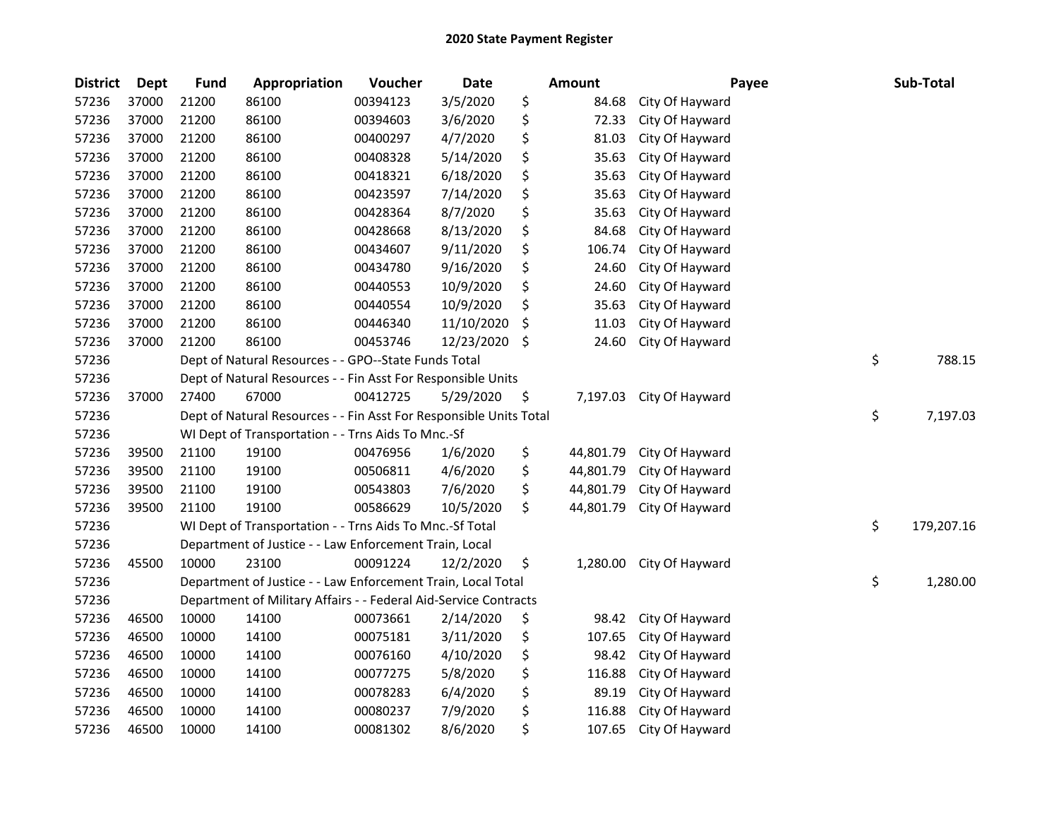| <b>District</b> | <b>Dept</b> | <b>Fund</b> | Appropriation                                                      | Voucher  | Date       | <b>Amount</b>   | Payee           | Sub-Total        |
|-----------------|-------------|-------------|--------------------------------------------------------------------|----------|------------|-----------------|-----------------|------------------|
| 57236           | 37000       | 21200       | 86100                                                              | 00394123 | 3/5/2020   | \$<br>84.68     | City Of Hayward |                  |
| 57236           | 37000       | 21200       | 86100                                                              | 00394603 | 3/6/2020   | \$<br>72.33     | City Of Hayward |                  |
| 57236           | 37000       | 21200       | 86100                                                              | 00400297 | 4/7/2020   | \$<br>81.03     | City Of Hayward |                  |
| 57236           | 37000       | 21200       | 86100                                                              | 00408328 | 5/14/2020  | \$<br>35.63     | City Of Hayward |                  |
| 57236           | 37000       | 21200       | 86100                                                              | 00418321 | 6/18/2020  | \$<br>35.63     | City Of Hayward |                  |
| 57236           | 37000       | 21200       | 86100                                                              | 00423597 | 7/14/2020  | \$<br>35.63     | City Of Hayward |                  |
| 57236           | 37000       | 21200       | 86100                                                              | 00428364 | 8/7/2020   | \$<br>35.63     | City Of Hayward |                  |
| 57236           | 37000       | 21200       | 86100                                                              | 00428668 | 8/13/2020  | \$<br>84.68     | City Of Hayward |                  |
| 57236           | 37000       | 21200       | 86100                                                              | 00434607 | 9/11/2020  | \$<br>106.74    | City Of Hayward |                  |
| 57236           | 37000       | 21200       | 86100                                                              | 00434780 | 9/16/2020  | \$<br>24.60     | City Of Hayward |                  |
| 57236           | 37000       | 21200       | 86100                                                              | 00440553 | 10/9/2020  | \$<br>24.60     | City Of Hayward |                  |
| 57236           | 37000       | 21200       | 86100                                                              | 00440554 | 10/9/2020  | \$<br>35.63     | City Of Hayward |                  |
| 57236           | 37000       | 21200       | 86100                                                              | 00446340 | 11/10/2020 | \$<br>11.03     | City Of Hayward |                  |
| 57236           | 37000       | 21200       | 86100                                                              | 00453746 | 12/23/2020 | \$<br>24.60     | City Of Hayward |                  |
| 57236           |             |             | Dept of Natural Resources - - GPO--State Funds Total               |          |            |                 |                 | \$<br>788.15     |
| 57236           |             |             | Dept of Natural Resources - - Fin Asst For Responsible Units       |          |            |                 |                 |                  |
| 57236           | 37000       | 27400       | 67000                                                              | 00412725 | 5/29/2020  | \$<br>7,197.03  | City Of Hayward |                  |
| 57236           |             |             | Dept of Natural Resources - - Fin Asst For Responsible Units Total |          |            |                 |                 | \$<br>7,197.03   |
| 57236           |             |             | WI Dept of Transportation - - Trns Aids To Mnc.-Sf                 |          |            |                 |                 |                  |
| 57236           | 39500       | 21100       | 19100                                                              | 00476956 | 1/6/2020   | \$<br>44,801.79 | City Of Hayward |                  |
| 57236           | 39500       | 21100       | 19100                                                              | 00506811 | 4/6/2020   | \$<br>44,801.79 | City Of Hayward |                  |
| 57236           | 39500       | 21100       | 19100                                                              | 00543803 | 7/6/2020   | \$<br>44,801.79 | City Of Hayward |                  |
| 57236           | 39500       | 21100       | 19100                                                              | 00586629 | 10/5/2020  | \$<br>44,801.79 | City Of Hayward |                  |
| 57236           |             |             | WI Dept of Transportation - - Trns Aids To Mnc.-Sf Total           |          |            |                 |                 | \$<br>179,207.16 |
| 57236           |             |             | Department of Justice - - Law Enforcement Train, Local             |          |            |                 |                 |                  |
| 57236           | 45500       | 10000       | 23100                                                              | 00091224 | 12/2/2020  | \$<br>1,280.00  | City Of Hayward |                  |
| 57236           |             |             | Department of Justice - - Law Enforcement Train, Local Total       |          |            |                 |                 | \$<br>1,280.00   |
| 57236           |             |             | Department of Military Affairs - - Federal Aid-Service Contracts   |          |            |                 |                 |                  |
| 57236           | 46500       | 10000       | 14100                                                              | 00073661 | 2/14/2020  | \$<br>98.42     | City Of Hayward |                  |
| 57236           | 46500       | 10000       | 14100                                                              | 00075181 | 3/11/2020  | \$<br>107.65    | City Of Hayward |                  |
| 57236           | 46500       | 10000       | 14100                                                              | 00076160 | 4/10/2020  | \$<br>98.42     | City Of Hayward |                  |
| 57236           | 46500       | 10000       | 14100                                                              | 00077275 | 5/8/2020   | \$<br>116.88    | City Of Hayward |                  |
| 57236           | 46500       | 10000       | 14100                                                              | 00078283 | 6/4/2020   | \$<br>89.19     | City Of Hayward |                  |
| 57236           | 46500       | 10000       | 14100                                                              | 00080237 | 7/9/2020   | \$<br>116.88    | City Of Hayward |                  |
| 57236           | 46500       | 10000       | 14100                                                              | 00081302 | 8/6/2020   | \$<br>107.65    | City Of Hayward |                  |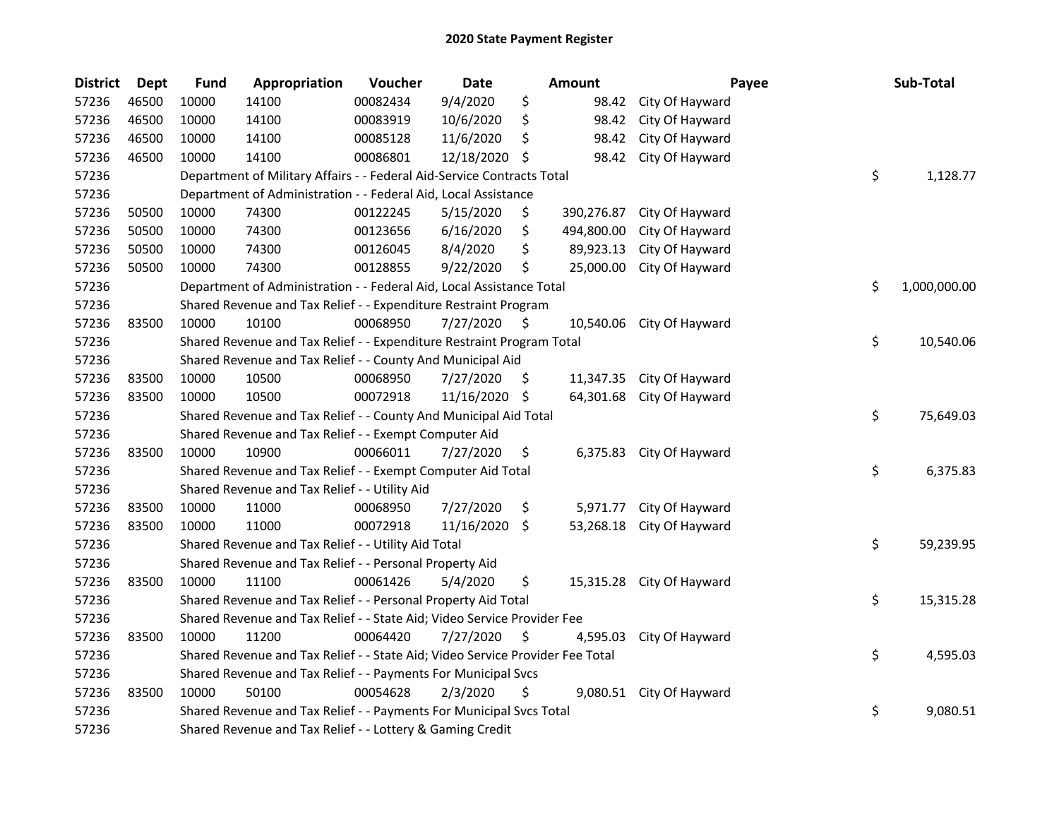| <b>Dept</b> | <b>Fund</b>                                                             | Appropriation | Voucher  | Date                                          |                                                                                                                                                                                                                                      | Amount                                                                                                                                                                                                                                          | Payee                                                                                                                                                                                                                                                                                                                                                                                                                                                                                                                  |                       | Sub-Total    |
|-------------|-------------------------------------------------------------------------|---------------|----------|-----------------------------------------------|--------------------------------------------------------------------------------------------------------------------------------------------------------------------------------------------------------------------------------------|-------------------------------------------------------------------------------------------------------------------------------------------------------------------------------------------------------------------------------------------------|------------------------------------------------------------------------------------------------------------------------------------------------------------------------------------------------------------------------------------------------------------------------------------------------------------------------------------------------------------------------------------------------------------------------------------------------------------------------------------------------------------------------|-----------------------|--------------|
| 46500       | 10000                                                                   | 14100         | 00082434 | 9/4/2020                                      | \$                                                                                                                                                                                                                                   | 98.42                                                                                                                                                                                                                                           | City Of Hayward                                                                                                                                                                                                                                                                                                                                                                                                                                                                                                        |                       |              |
| 46500       | 10000                                                                   | 14100         | 00083919 | 10/6/2020                                     | \$                                                                                                                                                                                                                                   | 98.42                                                                                                                                                                                                                                           | City Of Hayward                                                                                                                                                                                                                                                                                                                                                                                                                                                                                                        |                       |              |
| 46500       | 10000                                                                   | 14100         | 00085128 | 11/6/2020                                     | \$                                                                                                                                                                                                                                   | 98.42                                                                                                                                                                                                                                           | City Of Hayward                                                                                                                                                                                                                                                                                                                                                                                                                                                                                                        |                       |              |
| 46500       | 10000                                                                   | 14100         | 00086801 |                                               | Ŝ.                                                                                                                                                                                                                                   | 98.42                                                                                                                                                                                                                                           | City Of Hayward                                                                                                                                                                                                                                                                                                                                                                                                                                                                                                        |                       |              |
|             |                                                                         |               |          |                                               |                                                                                                                                                                                                                                      |                                                                                                                                                                                                                                                 |                                                                                                                                                                                                                                                                                                                                                                                                                                                                                                                        | \$                    | 1,128.77     |
|             |                                                                         |               |          |                                               |                                                                                                                                                                                                                                      |                                                                                                                                                                                                                                                 |                                                                                                                                                                                                                                                                                                                                                                                                                                                                                                                        |                       |              |
| 50500       | 10000                                                                   | 74300         | 00122245 | 5/15/2020                                     | \$                                                                                                                                                                                                                                   | 390,276.87                                                                                                                                                                                                                                      | City Of Hayward                                                                                                                                                                                                                                                                                                                                                                                                                                                                                                        |                       |              |
| 50500       | 10000                                                                   | 74300         | 00123656 | 6/16/2020                                     | \$                                                                                                                                                                                                                                   | 494,800.00                                                                                                                                                                                                                                      | City Of Hayward                                                                                                                                                                                                                                                                                                                                                                                                                                                                                                        |                       |              |
| 50500       | 10000                                                                   | 74300         | 00126045 | 8/4/2020                                      | \$                                                                                                                                                                                                                                   | 89,923.13                                                                                                                                                                                                                                       | City Of Hayward                                                                                                                                                                                                                                                                                                                                                                                                                                                                                                        |                       |              |
| 50500       | 10000                                                                   | 74300         | 00128855 | 9/22/2020                                     | \$                                                                                                                                                                                                                                   | 25,000.00                                                                                                                                                                                                                                       | City Of Hayward                                                                                                                                                                                                                                                                                                                                                                                                                                                                                                        |                       |              |
|             |                                                                         |               |          |                                               |                                                                                                                                                                                                                                      |                                                                                                                                                                                                                                                 |                                                                                                                                                                                                                                                                                                                                                                                                                                                                                                                        | \$                    | 1,000,000.00 |
|             |                                                                         |               |          |                                               |                                                                                                                                                                                                                                      |                                                                                                                                                                                                                                                 |                                                                                                                                                                                                                                                                                                                                                                                                                                                                                                                        |                       |              |
| 83500       | 10000                                                                   | 10100         | 00068950 | 7/27/2020                                     | \$                                                                                                                                                                                                                                   | 10,540.06                                                                                                                                                                                                                                       | City Of Hayward                                                                                                                                                                                                                                                                                                                                                                                                                                                                                                        |                       |              |
|             |                                                                         |               |          |                                               |                                                                                                                                                                                                                                      |                                                                                                                                                                                                                                                 |                                                                                                                                                                                                                                                                                                                                                                                                                                                                                                                        | \$                    | 10,540.06    |
|             |                                                                         |               |          |                                               |                                                                                                                                                                                                                                      |                                                                                                                                                                                                                                                 |                                                                                                                                                                                                                                                                                                                                                                                                                                                                                                                        |                       |              |
| 83500       | 10000                                                                   | 10500         | 00068950 | 7/27/2020                                     | S                                                                                                                                                                                                                                    | 11,347.35                                                                                                                                                                                                                                       | City Of Hayward                                                                                                                                                                                                                                                                                                                                                                                                                                                                                                        |                       |              |
| 83500       | 10000                                                                   | 10500         | 00072918 |                                               |                                                                                                                                                                                                                                      | 64,301.68                                                                                                                                                                                                                                       | City Of Hayward                                                                                                                                                                                                                                                                                                                                                                                                                                                                                                        |                       |              |
|             |                                                                         |               |          |                                               |                                                                                                                                                                                                                                      |                                                                                                                                                                                                                                                 |                                                                                                                                                                                                                                                                                                                                                                                                                                                                                                                        | \$                    | 75,649.03    |
|             |                                                                         |               |          |                                               |                                                                                                                                                                                                                                      |                                                                                                                                                                                                                                                 |                                                                                                                                                                                                                                                                                                                                                                                                                                                                                                                        |                       |              |
| 83500       | 10000                                                                   | 10900         | 00066011 | 7/27/2020                                     | \$                                                                                                                                                                                                                                   | 6,375.83                                                                                                                                                                                                                                        | City Of Hayward                                                                                                                                                                                                                                                                                                                                                                                                                                                                                                        |                       |              |
|             | Shared Revenue and Tax Relief - - Exempt Computer Aid Total             |               |          |                                               |                                                                                                                                                                                                                                      |                                                                                                                                                                                                                                                 | \$                                                                                                                                                                                                                                                                                                                                                                                                                                                                                                                     | 6,375.83              |              |
|             |                                                                         |               |          |                                               |                                                                                                                                                                                                                                      |                                                                                                                                                                                                                                                 |                                                                                                                                                                                                                                                                                                                                                                                                                                                                                                                        |                       |              |
| 83500       | 10000                                                                   | 11000         | 00068950 | 7/27/2020                                     | \$                                                                                                                                                                                                                                   | 5,971.77                                                                                                                                                                                                                                        | City Of Hayward                                                                                                                                                                                                                                                                                                                                                                                                                                                                                                        |                       |              |
| 83500       | 10000                                                                   | 11000         | 00072918 |                                               |                                                                                                                                                                                                                                      | 53,268.18                                                                                                                                                                                                                                       | City Of Hayward                                                                                                                                                                                                                                                                                                                                                                                                                                                                                                        |                       |              |
|             |                                                                         |               |          |                                               |                                                                                                                                                                                                                                      |                                                                                                                                                                                                                                                 |                                                                                                                                                                                                                                                                                                                                                                                                                                                                                                                        | \$                    | 59,239.95    |
|             |                                                                         |               |          |                                               |                                                                                                                                                                                                                                      |                                                                                                                                                                                                                                                 |                                                                                                                                                                                                                                                                                                                                                                                                                                                                                                                        |                       |              |
| 83500       | 10000                                                                   | 11100         | 00061426 | 5/4/2020                                      | \$                                                                                                                                                                                                                                   |                                                                                                                                                                                                                                                 | City Of Hayward                                                                                                                                                                                                                                                                                                                                                                                                                                                                                                        |                       |              |
|             |                                                                         |               |          |                                               |                                                                                                                                                                                                                                      |                                                                                                                                                                                                                                                 |                                                                                                                                                                                                                                                                                                                                                                                                                                                                                                                        | \$                    | 15,315.28    |
|             | Shared Revenue and Tax Relief - - State Aid; Video Service Provider Fee |               |          |                                               |                                                                                                                                                                                                                                      |                                                                                                                                                                                                                                                 |                                                                                                                                                                                                                                                                                                                                                                                                                                                                                                                        |                       |              |
| 83500       | 10000                                                                   | 11200         | 00064420 | 7/27/2020                                     | \$.                                                                                                                                                                                                                                  | 4,595.03                                                                                                                                                                                                                                        | City Of Hayward                                                                                                                                                                                                                                                                                                                                                                                                                                                                                                        |                       |              |
|             |                                                                         |               |          |                                               |                                                                                                                                                                                                                                      |                                                                                                                                                                                                                                                 |                                                                                                                                                                                                                                                                                                                                                                                                                                                                                                                        | \$                    | 4,595.03     |
|             | Shared Revenue and Tax Relief - - Payments For Municipal Svcs           |               |          |                                               |                                                                                                                                                                                                                                      |                                                                                                                                                                                                                                                 |                                                                                                                                                                                                                                                                                                                                                                                                                                                                                                                        |                       |              |
| 83500       | 10000                                                                   | 50100         | 00054628 | 2/3/2020                                      | \$                                                                                                                                                                                                                                   |                                                                                                                                                                                                                                                 | City Of Hayward                                                                                                                                                                                                                                                                                                                                                                                                                                                                                                        |                       |              |
|             |                                                                         |               |          |                                               |                                                                                                                                                                                                                                      |                                                                                                                                                                                                                                                 |                                                                                                                                                                                                                                                                                                                                                                                                                                                                                                                        | \$                    | 9,080.51     |
|             |                                                                         |               |          |                                               |                                                                                                                                                                                                                                      |                                                                                                                                                                                                                                                 |                                                                                                                                                                                                                                                                                                                                                                                                                                                                                                                        |                       |              |
|             | <b>District</b>                                                         |               |          | Shared Revenue and Tax Relief - - Utility Aid | Shared Revenue and Tax Relief - - Exempt Computer Aid<br>Shared Revenue and Tax Relief - - Utility Aid Total<br>Shared Revenue and Tax Relief - - Personal Property Aid<br>Shared Revenue and Tax Relief - - Lottery & Gaming Credit | 12/18/2020<br>Department of Administration - - Federal Aid, Local Assistance<br>Shared Revenue and Tax Relief - - County And Municipal Aid<br>11/16/2020 \$<br>$11/16/2020$ \$<br>Shared Revenue and Tax Relief - - Personal Property Aid Total | Department of Military Affairs - - Federal Aid-Service Contracts Total<br>Department of Administration - - Federal Aid, Local Assistance Total<br>Shared Revenue and Tax Relief - - Expenditure Restraint Program<br>Shared Revenue and Tax Relief - - Expenditure Restraint Program Total<br>Shared Revenue and Tax Relief - - County And Municipal Aid Total<br>Shared Revenue and Tax Relief - - State Aid; Video Service Provider Fee Total<br>Shared Revenue and Tax Relief - - Payments For Municipal Svcs Total | 15,315.28<br>9,080.51 |              |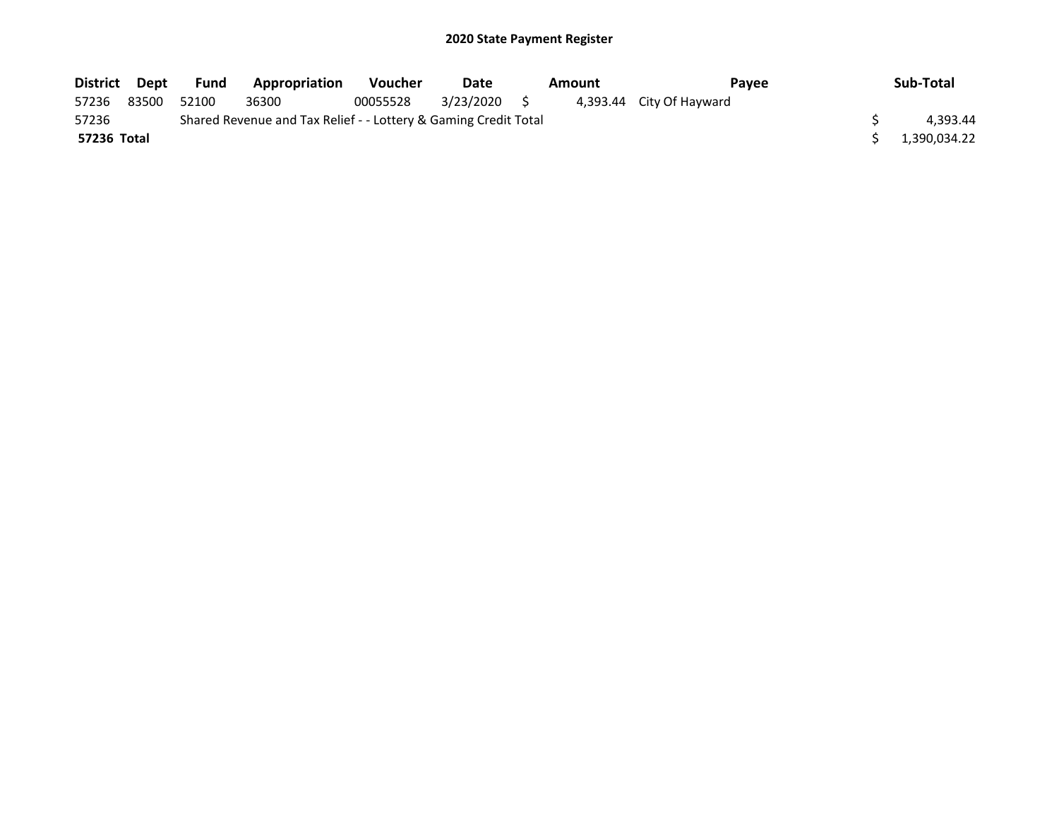| District Dept |          | Fund  | <b>Appropriation</b> | <b>Voucher</b> | Date         |  | Amount       | <b>Pavee</b>             | Sub-Total |
|---------------|----------|-------|----------------------|----------------|--------------|--|--------------|--------------------------|-----------|
| 57236         | 83500    | 52100 | 36300                | 00055528       | 3/23/2020 \$ |  |              | 4,393.44 City Of Hayward |           |
| 57236         | 4.393.44 |       |                      |                |              |  |              |                          |           |
| 57236 Total   |          |       |                      |                |              |  | 1,390,034.22 |                          |           |